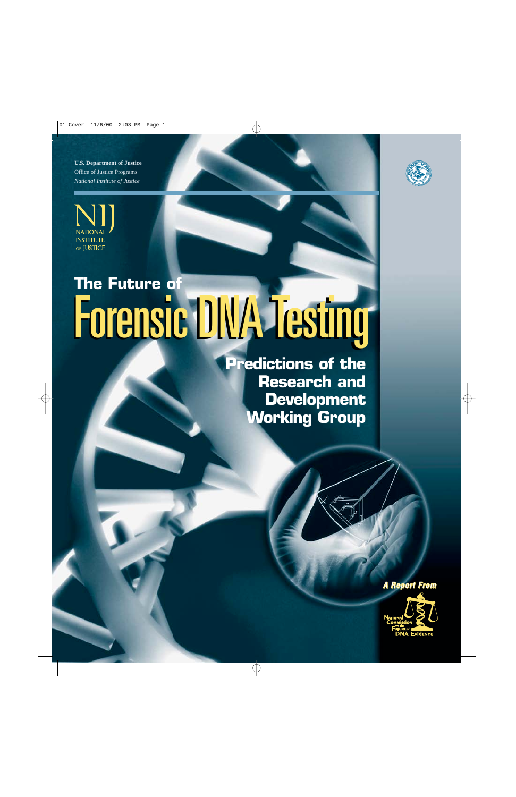**U.S. Department of Justice** Office of Justice Programs *National Institute of Justice*





# **The Future of** Forensic DNA Testing Forensic DNA Testing

**Predictions of the Research and Development Working Group**

*A Report From*

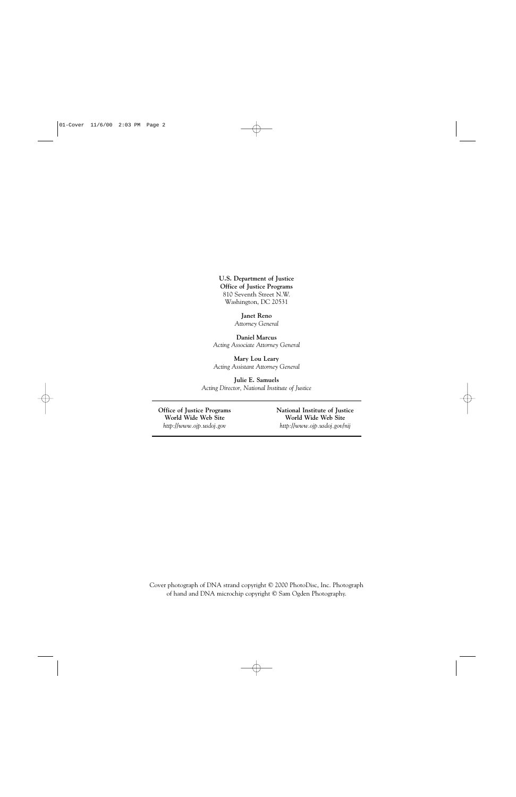**U.S. Department of Justice Office of Justice Programs** 810 Seventh Street N.W. Washington, DC 20531

> **Janet Reno** *Attorney General*

**Daniel Marcus** *Acting Associate Attorney General*

**Mary Lou Leary** *Acting Assistant Attorney General*

**Julie E. Samuels** *Acting Director, National Institute of Justice*

**Office of Justice Programs National Institute of Justice**

**World Wide Web Site World Wide Web Site** *http://www.ojp.usdoj.gov http://www.ojp.usdoj.gov/nij*

Cover photograph of DNA strand copyright © 2000 PhotoDisc, Inc. Photograph of hand and DNA microchip copyright © Sam Ogden Photography.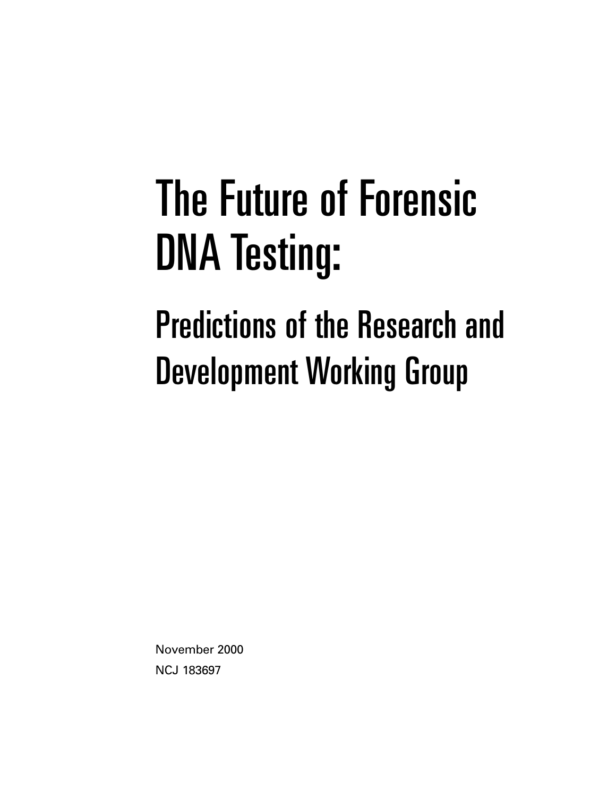# The Future of Forensic DNA Testing:

# Predictions of the Research and Development Working Group

November 2000 NCJ 183697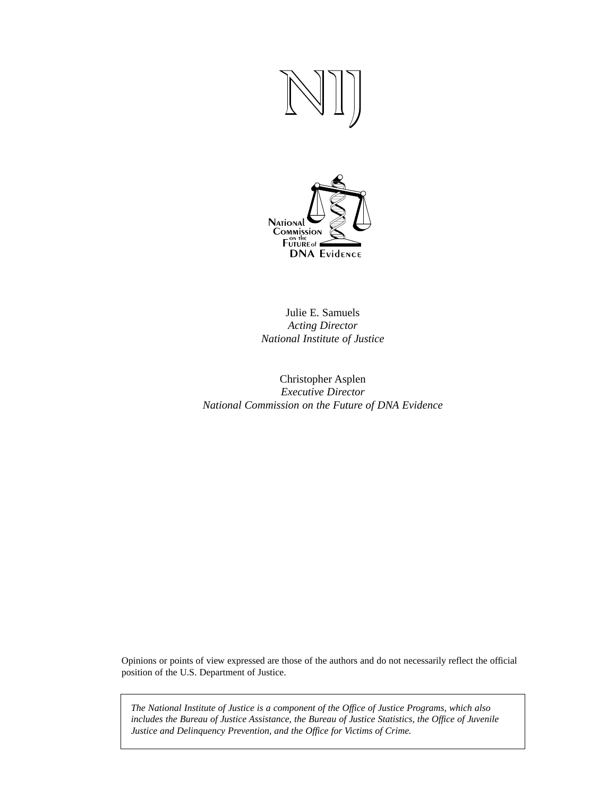

Julie E. Samuels *Acting Director National Institute of Justice*

Christopher Asplen *Executive Director National Commission on the Future of DNA Evidence*

Opinions or points of view expressed are those of the authors and do not necessarily reflect the official position of the U.S. Department of Justice.

*The National Institute of Justice is a component of the Office of Justice Programs, which also includes the Bureau of Justice Assistance, the Bureau of Justice Statistics, the Office of Juvenile Justice and Delinquency Prevention, and the Office for Victims of Crime.*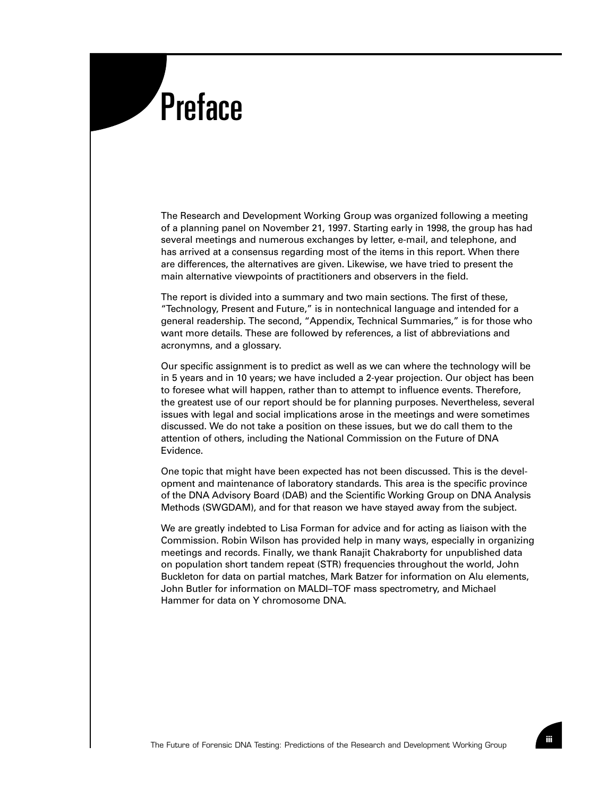# **Preface**

The Research and Development Working Group was organized following a meeting of a planning panel on November 21, 1997. Starting early in 1998, the group has had several meetings and numerous exchanges by letter, e-mail, and telephone, and has arrived at a consensus regarding most of the items in this report. When there are differences, the alternatives are given. Likewise, we have tried to present the main alternative viewpoints of practitioners and observers in the field.

The report is divided into a summary and two main sections. The first of these, "Technology, Present and Future," is in nontechnical language and intended for a general readership. The second, "Appendix, Technical Summaries," is for those who want more details. These are followed by references, a list of abbreviations and acronymns, and a glossary.

Our specific assignment is to predict as well as we can where the technology will be in 5 years and in 10 years; we have included a 2-year projection. Our object has been to foresee what will happen, rather than to attempt to influence events. Therefore, the greatest use of our report should be for planning purposes. Nevertheless, several issues with legal and social implications arose in the meetings and were sometimes discussed. We do not take a position on these issues, but we do call them to the attention of others, including the National Commission on the Future of DNA Evidence.

One topic that might have been expected has not been discussed. This is the development and maintenance of laboratory standards. This area is the specific province of the DNA Advisory Board (DAB) and the Scientific Working Group on DNA Analysis Methods (SWGDAM), and for that reason we have stayed away from the subject.

We are greatly indebted to Lisa Forman for advice and for acting as liaison with the Commission. Robin Wilson has provided help in many ways, especially in organizing meetings and records. Finally, we thank Ranajit Chakraborty for unpublished data on population short tandem repeat (STR) frequencies throughout the world, John Buckleton for data on partial matches, Mark Batzer for information on Alu elements, John Butler for information on MALDI–TOF mass spectrometry, and Michael Hammer for data on Y chromosome DNA.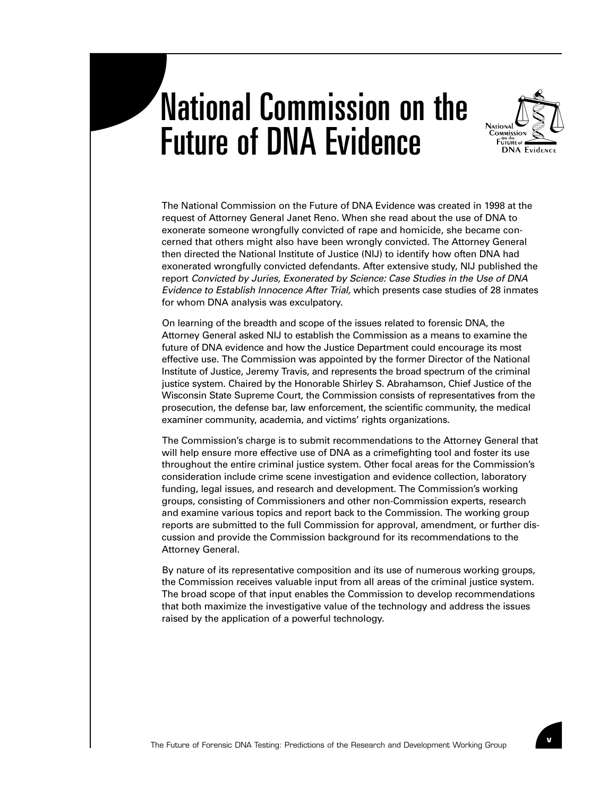# National Commission on the Future of DNA Evidence



The National Commission on the Future of DNA Evidence was created in 1998 at the request of Attorney General Janet Reno. When she read about the use of DNA to exonerate someone wrongfully convicted of rape and homicide, she became concerned that others might also have been wrongly convicted. The Attorney General then directed the National Institute of Justice (NIJ) to identify how often DNA had exonerated wrongfully convicted defendants. After extensive study, NIJ published the report *Convicted by Juries, Exonerated by Science: Case Studies in the Use of DNA Evidence to Establish Innocence After Trial,* which presents case studies of 28 inmates for whom DNA analysis was exculpatory.

On learning of the breadth and scope of the issues related to forensic DNA, the Attorney General asked NIJ to establish the Commission as a means to examine the future of DNA evidence and how the Justice Department could encourage its most effective use. The Commission was appointed by the former Director of the National Institute of Justice, Jeremy Travis, and represents the broad spectrum of the criminal justice system. Chaired by the Honorable Shirley S. Abrahamson, Chief Justice of the Wisconsin State Supreme Court, the Commission consists of representatives from the prosecution, the defense bar, law enforcement, the scientific community, the medical examiner community, academia, and victims' rights organizations.

The Commission's charge is to submit recommendations to the Attorney General that will help ensure more effective use of DNA as a crimefighting tool and foster its use throughout the entire criminal justice system. Other focal areas for the Commission's consideration include crime scene investigation and evidence collection, laboratory funding, legal issues, and research and development. The Commission's working groups, consisting of Commissioners and other non-Commission experts, research and examine various topics and report back to the Commission. The working group reports are submitted to the full Commission for approval, amendment, or further discussion and provide the Commission background for its recommendations to the Attorney General.

By nature of its representative composition and its use of numerous working groups, the Commission receives valuable input from all areas of the criminal justice system. The broad scope of that input enables the Commission to develop recommendations that both maximize the investigative value of the technology and address the issues raised by the application of a powerful technology.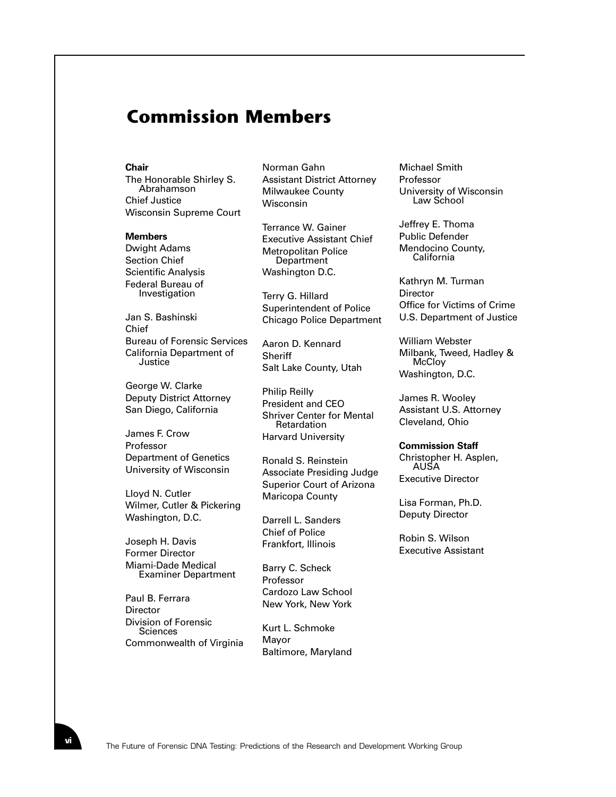# **Commission Members**

#### **Chair**

The Honorable Shirley S. Abrahamson Chief Justice Wisconsin Supreme Court

#### **Members**

Dwight Adams Section Chief Scientific Analysis Federal Bureau of Investigation

Jan S. Bashinski Chief Bureau of Forensic Services California Department of **Justice** 

George W. Clarke Deputy District Attorney San Diego, California

James F. Crow Professor Department of Genetics University of Wisconsin

Lloyd N. Cutler Wilmer, Cutler & Pickering Washington, D.C.

Joseph H. Davis Former Director Miami-Dade Medical Examiner Department

Paul B. Ferrara **Director** Division of Forensic **Sciences** Commonwealth of Virginia

Norman Gahn Assistant District Attorney Milwaukee County Wisconsin

Terrance W. Gainer Executive Assistant Chief Metropolitan Police **Department** Washington D.C.

Terry G. Hillard Superintendent of Police Chicago Police Department

Aaron D. Kennard **Sheriff** Salt Lake County, Utah

Philip Reilly President and CEO Shriver Center for Mental Retardation Harvard University

Ronald S. Reinstein Associate Presiding Judge Superior Court of Arizona Maricopa County

Darrell L. Sanders Chief of Police Frankfort, Illinois

Barry C. Scheck Professor Cardozo Law School New York, New York

Kurt L. Schmoke Mayor Baltimore, Maryland Michael Smith Professor University of Wisconsin Law School

Jeffrey E. Thoma Public Defender Mendocino County, California

Kathryn M. Turman **Director** Office for Victims of Crime U.S. Department of Justice

William Webster Milbank, Tweed, Hadley & **McCloy** Washington, D.C.

James R. Wooley Assistant U.S. Attorney Cleveland, Ohio

#### **Commission Staff**

Christopher H. Asplen, AUSA Executive Director

Lisa Forman, Ph.D. Deputy Director

Robin S. Wilson Executive Assistant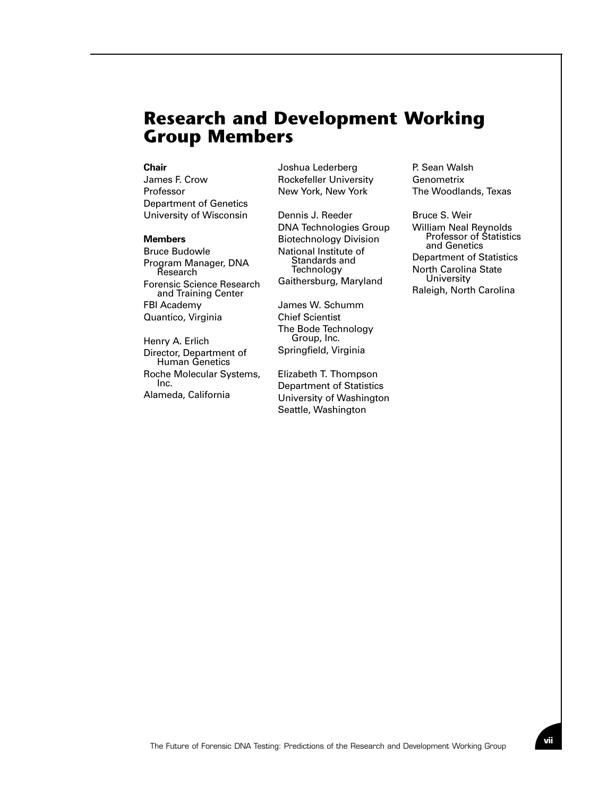#### **Research and Development Working Group Members**

#### **Chair**

James F. Crow Professor Department of Genetics University of Wisconsin

#### **Members**

Bruce Budowle Program Manager, DNA Research Forensic Science Research and Training Center FBI Academy Quantico, Virginia

Henry A. Erlich Director, Department of Human Genetics Roche Molecular Systems, Inc. Alameda, California

Joshua Lederberg Rockefeller University New York, New York

Dennis J. Reeder DNA Technologies Group Biotechnology Division National Institute of Standards and **Technology** Gaithersburg, Maryland

James W. Schumm Chief Scientist The Bode Technology Group, Inc. Springfield, Virginia

Elizabeth T. Thompson Department of Statistics University of Washington Seattle, Washington

P. Sean Walsh Genometrix The Woodlands, Texas

Bruce S. Weir William Neal Reynolds Professor of Statistics and Genetics Department of Statistics North Carolina State **University** Raleigh, North Carolina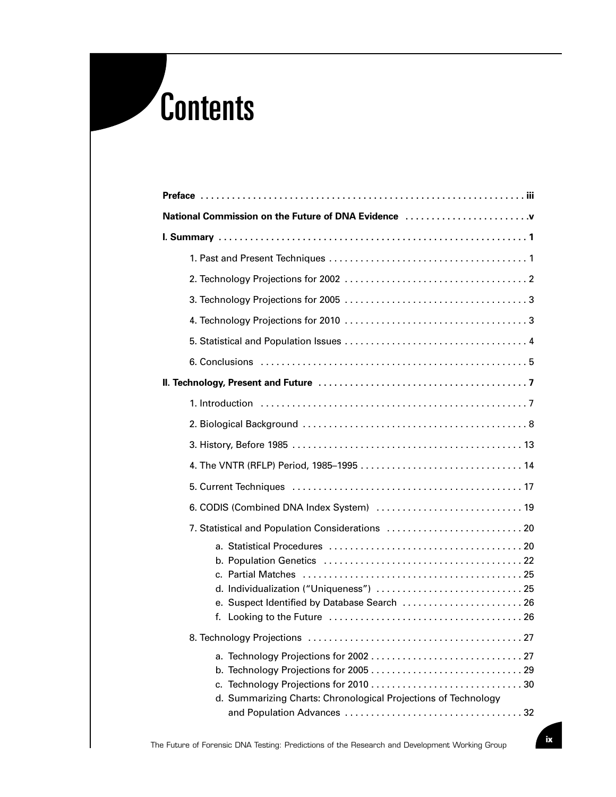# Contents

| National Commission on the Future of DNA Evidence              |  |  |  |  |
|----------------------------------------------------------------|--|--|--|--|
|                                                                |  |  |  |  |
|                                                                |  |  |  |  |
|                                                                |  |  |  |  |
|                                                                |  |  |  |  |
|                                                                |  |  |  |  |
|                                                                |  |  |  |  |
|                                                                |  |  |  |  |
|                                                                |  |  |  |  |
|                                                                |  |  |  |  |
|                                                                |  |  |  |  |
|                                                                |  |  |  |  |
|                                                                |  |  |  |  |
|                                                                |  |  |  |  |
|                                                                |  |  |  |  |
| 7. Statistical and Population Considerations  20               |  |  |  |  |
|                                                                |  |  |  |  |
|                                                                |  |  |  |  |
| d. Individualization ("Uniqueness")  25                        |  |  |  |  |
| e. Suspect Identified by Database Search  26                   |  |  |  |  |
| f.                                                             |  |  |  |  |
|                                                                |  |  |  |  |
|                                                                |  |  |  |  |
|                                                                |  |  |  |  |
| d. Summarizing Charts: Chronological Projections of Technology |  |  |  |  |
|                                                                |  |  |  |  |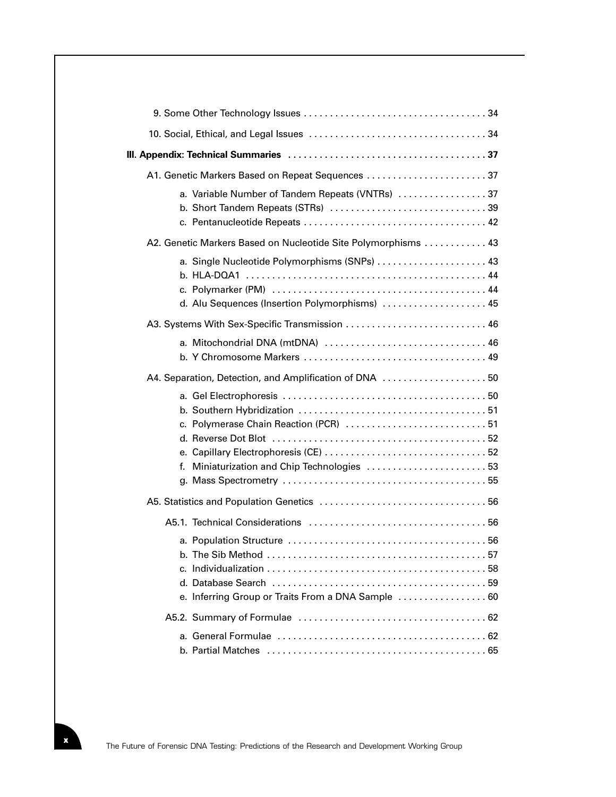| A1. Genetic Markers Based on Repeat Sequences                                                   |  |  |  |  |
|-------------------------------------------------------------------------------------------------|--|--|--|--|
| a. Variable Number of Tandem Repeats (VNTRs) 37                                                 |  |  |  |  |
| A2. Genetic Markers Based on Nucleotide Site Polymorphisms  43                                  |  |  |  |  |
| a. Single Nucleotide Polymorphisms (SNPs)  43<br>d. Alu Sequences (Insertion Polymorphisms)  45 |  |  |  |  |
|                                                                                                 |  |  |  |  |
| a. Mitochondrial DNA (mtDNA)  46                                                                |  |  |  |  |
| A4. Separation, Detection, and Amplification of DNA  50                                         |  |  |  |  |
| c. Polymerase Chain Reaction (PCR)  51<br>f. Miniaturization and Chip Technologies  53          |  |  |  |  |
|                                                                                                 |  |  |  |  |
|                                                                                                 |  |  |  |  |
| e. Inferring Group or Traits From a DNA Sample  60                                              |  |  |  |  |
|                                                                                                 |  |  |  |  |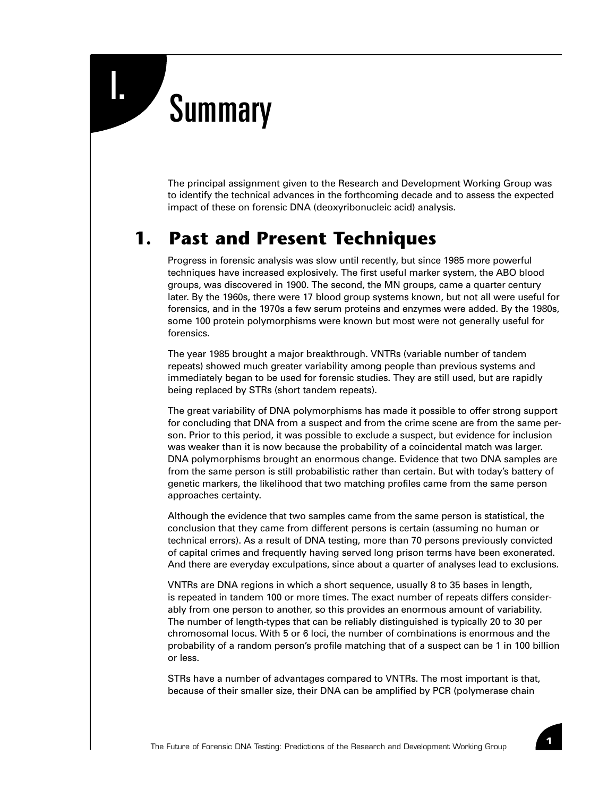# **Summary**

The principal assignment given to the Research and Development Working Group was to identify the technical advances in the forthcoming decade and to assess the expected impact of these on forensic DNA (deoxyribonucleic acid) analysis.

### **1. Past and Present Techniques**

Progress in forensic analysis was slow until recently, but since 1985 more powerful techniques have increased explosively. The first useful marker system, the ABO blood groups, was discovered in 1900. The second, the MN groups, came a quarter century later. By the 1960s, there were 17 blood group systems known, but not all were useful for forensics, and in the 1970s a few serum proteins and enzymes were added. By the 1980s, some 100 protein polymorphisms were known but most were not generally useful for forensics.

The year 1985 brought a major breakthrough. VNTRs (variable number of tandem repeats) showed much greater variability among people than previous systems and immediately began to be used for forensic studies. They are still used, but are rapidly being replaced by STRs (short tandem repeats).

The great variability of DNA polymorphisms has made it possible to offer strong support for concluding that DNA from a suspect and from the crime scene are from the same person. Prior to this period, it was possible to exclude a suspect, but evidence for inclusion was weaker than it is now because the probability of a coincidental match was larger. DNA polymorphisms brought an enormous change. Evidence that two DNA samples are from the same person is still probabilistic rather than certain. But with today's battery of genetic markers, the likelihood that two matching profiles came from the same person approaches certainty.

Although the evidence that two samples came from the same person is statistical, the conclusion that they came from different persons is certain (assuming no human or technical errors). As a result of DNA testing, more than 70 persons previously convicted of capital crimes and frequently having served long prison terms have been exonerated. And there are everyday exculpations, since about a quarter of analyses lead to exclusions.

VNTRs are DNA regions in which a short sequence, usually 8 to 35 bases in length, is repeated in tandem 100 or more times. The exact number of repeats differs considerably from one person to another, so this provides an enormous amount of variability. The number of length-types that can be reliably distinguished is typically 20 to 30 per chromosomal locus. With 5 or 6 loci, the number of combinations is enormous and the probability of a random person's profile matching that of a suspect can be 1 in 100 billion or less.

STRs have a number of advantages compared to VNTRs. The most important is that, because of their smaller size, their DNA can be amplified by PCR (polymerase chain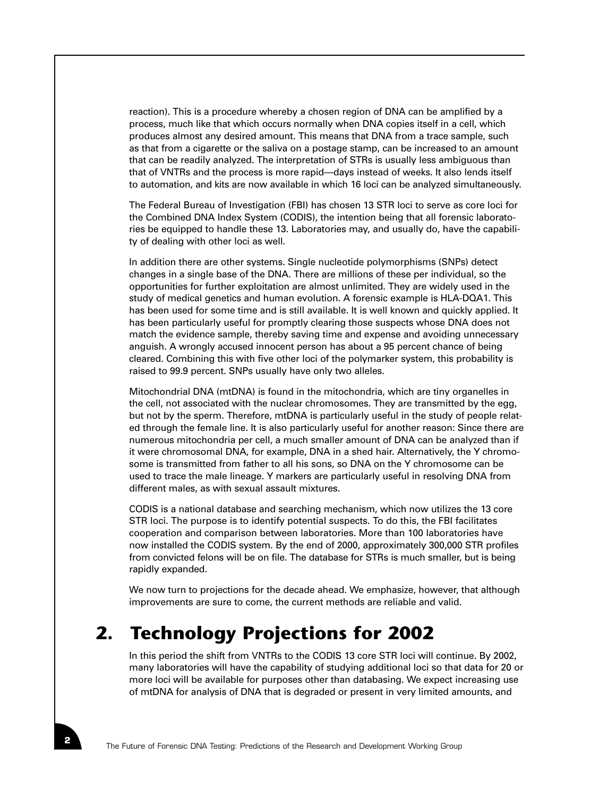reaction). This is a procedure whereby a chosen region of DNA can be amplified by a process, much like that which occurs normally when DNA copies itself in a cell, which produces almost any desired amount. This means that DNA from a trace sample, such as that from a cigarette or the saliva on a postage stamp, can be increased to an amount that can be readily analyzed. The interpretation of STRs is usually less ambiguous than that of VNTRs and the process is more rapid—days instead of weeks. It also lends itself to automation, and kits are now available in which 16 loci can be analyzed simultaneously.

The Federal Bureau of Investigation (FBI) has chosen 13 STR loci to serve as core loci for the Combined DNA Index System (CODIS), the intention being that all forensic laboratories be equipped to handle these 13. Laboratories may, and usually do, have the capability of dealing with other loci as well.

In addition there are other systems. Single nucleotide polymorphisms (SNPs) detect changes in a single base of the DNA. There are millions of these per individual, so the opportunities for further exploitation are almost unlimited. They are widely used in the study of medical genetics and human evolution. A forensic example is HLA-DQA1. This has been used for some time and is still available. It is well known and quickly applied. It has been particularly useful for promptly clearing those suspects whose DNA does not match the evidence sample, thereby saving time and expense and avoiding unnecessary anguish. A wrongly accused innocent person has about a 95 percent chance of being cleared. Combining this with five other loci of the polymarker system, this probability is raised to 99.9 percent. SNPs usually have only two alleles.

Mitochondrial DNA (mtDNA) is found in the mitochondria, which are tiny organelles in the cell, not associated with the nuclear chromosomes. They are transmitted by the egg, but not by the sperm. Therefore, mtDNA is particularly useful in the study of people related through the female line. It is also particularly useful for another reason: Since there are numerous mitochondria per cell, a much smaller amount of DNA can be analyzed than if it were chromosomal DNA, for example, DNA in a shed hair. Alternatively, the Y chromosome is transmitted from father to all his sons, so DNA on the Y chromosome can be used to trace the male lineage. Y markers are particularly useful in resolving DNA from different males, as with sexual assault mixtures.

CODIS is a national database and searching mechanism, which now utilizes the 13 core STR loci. The purpose is to identify potential suspects. To do this, the FBI facilitates cooperation and comparison between laboratories. More than 100 laboratories have now installed the CODIS system. By the end of 2000, approximately 300,000 STR profiles from convicted felons will be on file. The database for STRs is much smaller, but is being rapidly expanded.

We now turn to projections for the decade ahead. We emphasize, however, that although improvements are sure to come, the current methods are reliable and valid.

## **2. Technology Projections for 2002**

In this period the shift from VNTRs to the CODIS 13 core STR loci will continue. By 2002, many laboratories will have the capability of studying additional loci so that data for 20 or more loci will be available for purposes other than databasing. We expect increasing use of mtDNA for analysis of DNA that is degraded or present in very limited amounts, and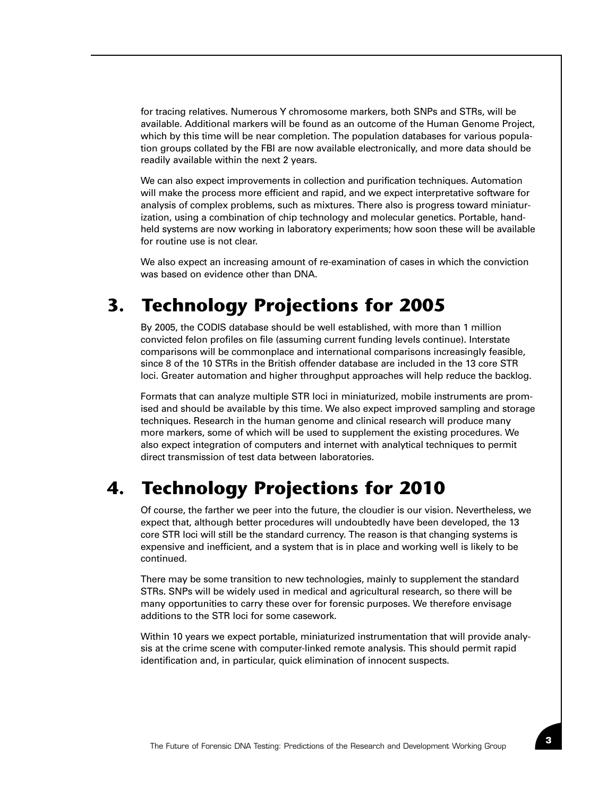for tracing relatives. Numerous Y chromosome markers, both SNPs and STRs, will be available. Additional markers will be found as an outcome of the Human Genome Project, which by this time will be near completion. The population databases for various population groups collated by the FBI are now available electronically, and more data should be readily available within the next 2 years.

We can also expect improvements in collection and purification techniques. Automation will make the process more efficient and rapid, and we expect interpretative software for analysis of complex problems, such as mixtures. There also is progress toward miniaturization, using a combination of chip technology and molecular genetics. Portable, handheld systems are now working in laboratory experiments; how soon these will be available for routine use is not clear.

We also expect an increasing amount of re-examination of cases in which the conviction was based on evidence other than DNA.

#### **3. Technology Projections for 2005**

By 2005, the CODIS database should be well established, with more than 1 million convicted felon profiles on file (assuming current funding levels continue). Interstate comparisons will be commonplace and international comparisons increasingly feasible, since 8 of the 10 STRs in the British offender database are included in the 13 core STR loci. Greater automation and higher throughput approaches will help reduce the backlog.

Formats that can analyze multiple STR loci in miniaturized, mobile instruments are promised and should be available by this time. We also expect improved sampling and storage techniques. Research in the human genome and clinical research will produce many more markers, some of which will be used to supplement the existing procedures. We also expect integration of computers and internet with analytical techniques to permit direct transmission of test data between laboratories.

## **4. Technology Projections for 2010**

Of course, the farther we peer into the future, the cloudier is our vision. Nevertheless, we expect that, although better procedures will undoubtedly have been developed, the 13 core STR loci will still be the standard currency. The reason is that changing systems is expensive and inefficient, and a system that is in place and working well is likely to be continued.

There may be some transition to new technologies, mainly to supplement the standard STRs. SNPs will be widely used in medical and agricultural research, so there will be many opportunities to carry these over for forensic purposes. We therefore envisage additions to the STR loci for some casework.

Within 10 years we expect portable, miniaturized instrumentation that will provide analysis at the crime scene with computer-linked remote analysis. This should permit rapid identification and, in particular, quick elimination of innocent suspects.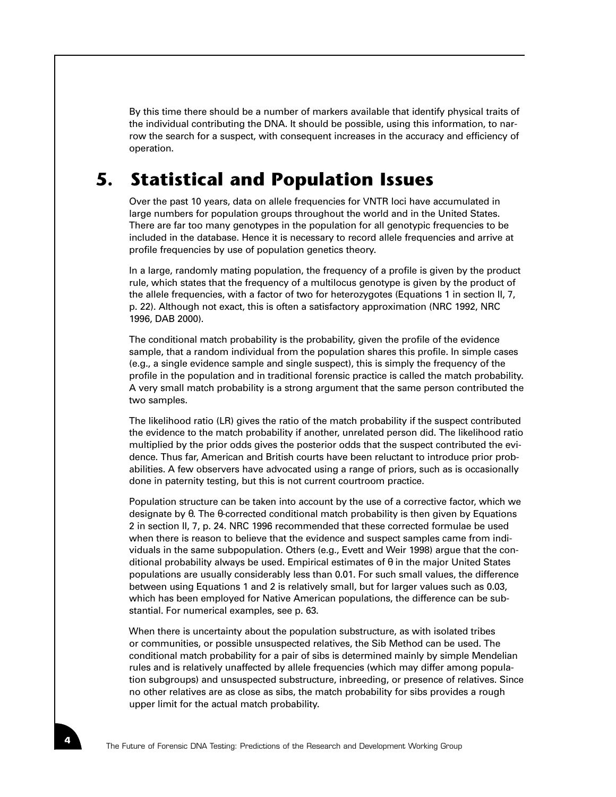By this time there should be a number of markers available that identify physical traits of the individual contributing the DNA. It should be possible, using this information, to narrow the search for a suspect, with consequent increases in the accuracy and efficiency of operation.

### **5. Statistical and Population Issues**

Over the past 10 years, data on allele frequencies for VNTR loci have accumulated in large numbers for population groups throughout the world and in the United States. There are far too many genotypes in the population for all genotypic frequencies to be included in the database. Hence it is necessary to record allele frequencies and arrive at profile frequencies by use of population genetics theory.

In a large, randomly mating population, the frequency of a profile is given by the product rule, which states that the frequency of a multilocus genotype is given by the product of the allele frequencies, with a factor of two for heterozygotes (Equations 1 in section II, 7, p. 22). Although not exact, this is often a satisfactory approximation (NRC 1992, NRC 1996, DAB 2000).

The conditional match probability is the probability, given the profile of the evidence sample, that a random individual from the population shares this profile. In simple cases (e.g., a single evidence sample and single suspect), this is simply the frequency of the profile in the population and in traditional forensic practice is called the match probability. A very small match probability is a strong argument that the same person contributed the two samples.

The likelihood ratio (LR) gives the ratio of the match probability if the suspect contributed the evidence to the match probability if another, unrelated person did. The likelihood ratio multiplied by the prior odds gives the posterior odds that the suspect contributed the evidence. Thus far, American and British courts have been reluctant to introduce prior probabilities. A few observers have advocated using a range of priors, such as is occasionally done in paternity testing, but this is not current courtroom practice.

Population structure can be taken into account by the use of a corrective factor, which we designate by θ. The θ-corrected conditional match probability is then given by Equations 2 in section II, 7, p. 24. NRC 1996 recommended that these corrected formulae be used when there is reason to believe that the evidence and suspect samples came from individuals in the same subpopulation. Others (e.g., Evett and Weir 1998) argue that the conditional probability always be used. Empirical estimates of  $\theta$  in the major United States populations are usually considerably less than 0.01. For such small values, the difference between using Equations 1 and 2 is relatively small, but for larger values such as 0.03, which has been employed for Native American populations, the difference can be substantial. For numerical examples, see p. 63.

When there is uncertainty about the population substructure, as with isolated tribes or communities, or possible unsuspected relatives, the Sib Method can be used. The conditional match probability for a pair of sibs is determined mainly by simple Mendelian rules and is relatively unaffected by allele frequencies (which may differ among population subgroups) and unsuspected substructure, inbreeding, or presence of relatives. Since no other relatives are as close as sibs, the match probability for sibs provides a rough upper limit for the actual match probability.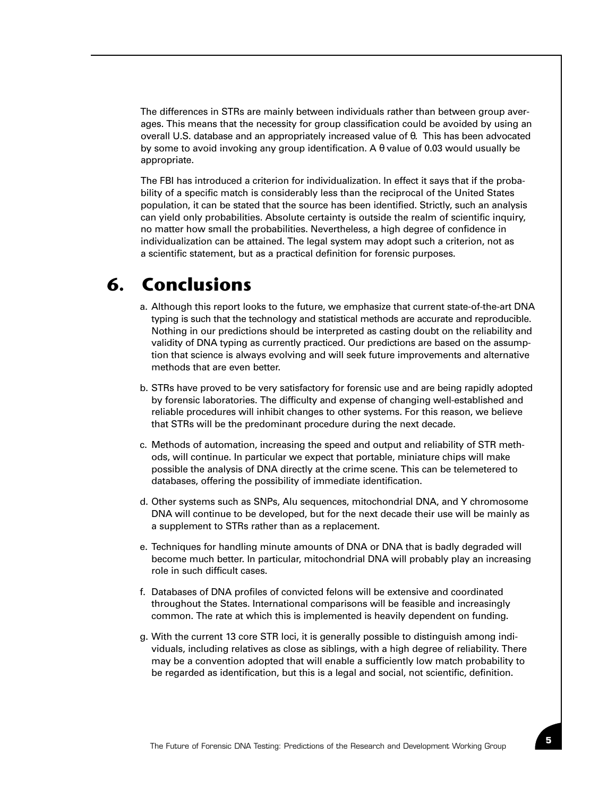The differences in STRs are mainly between individuals rather than between group averages. This means that the necessity for group classification could be avoided by using an overall U.S. database and an appropriately increased value of θ. This has been advocated by some to avoid invoking any group identification. A θ value of 0.03 would usually be appropriate.

The FBI has introduced a criterion for individualization. In effect it says that if the probability of a specific match is considerably less than the reciprocal of the United States population, it can be stated that the source has been identified. Strictly, such an analysis can yield only probabilities. Absolute certainty is outside the realm of scientific inquiry, no matter how small the probabilities. Nevertheless, a high degree of confidence in individualization can be attained. The legal system may adopt such a criterion, not as a scientific statement, but as a practical definition for forensic purposes.

### **6. Conclusions**

- a. Although this report looks to the future, we emphasize that current state-of-the-art DNA typing is such that the technology and statistical methods are accurate and reproducible. Nothing in our predictions should be interpreted as casting doubt on the reliability and validity of DNA typing as currently practiced. Our predictions are based on the assumption that science is always evolving and will seek future improvements and alternative methods that are even better.
- b. STRs have proved to be very satisfactory for forensic use and are being rapidly adopted by forensic laboratories. The difficulty and expense of changing well-established and reliable procedures will inhibit changes to other systems. For this reason, we believe that STRs will be the predominant procedure during the next decade.
- c. Methods of automation, increasing the speed and output and reliability of STR methods, will continue. In particular we expect that portable, miniature chips will make possible the analysis of DNA directly at the crime scene. This can be telemetered to databases, offering the possibility of immediate identification.
- d. Other systems such as SNPs, Alu sequences, mitochondrial DNA, and Y chromosome DNA will continue to be developed, but for the next decade their use will be mainly as a supplement to STRs rather than as a replacement.
- e. Techniques for handling minute amounts of DNA or DNA that is badly degraded will become much better. In particular, mitochondrial DNA will probably play an increasing role in such difficult cases.
- f. Databases of DNA profiles of convicted felons will be extensive and coordinated throughout the States. International comparisons will be feasible and increasingly common. The rate at which this is implemented is heavily dependent on funding.
- g. With the current 13 core STR loci, it is generally possible to distinguish among individuals, including relatives as close as siblings, with a high degree of reliability. There may be a convention adopted that will enable a sufficiently low match probability to be regarded as identification, but this is a legal and social, not scientific, definition.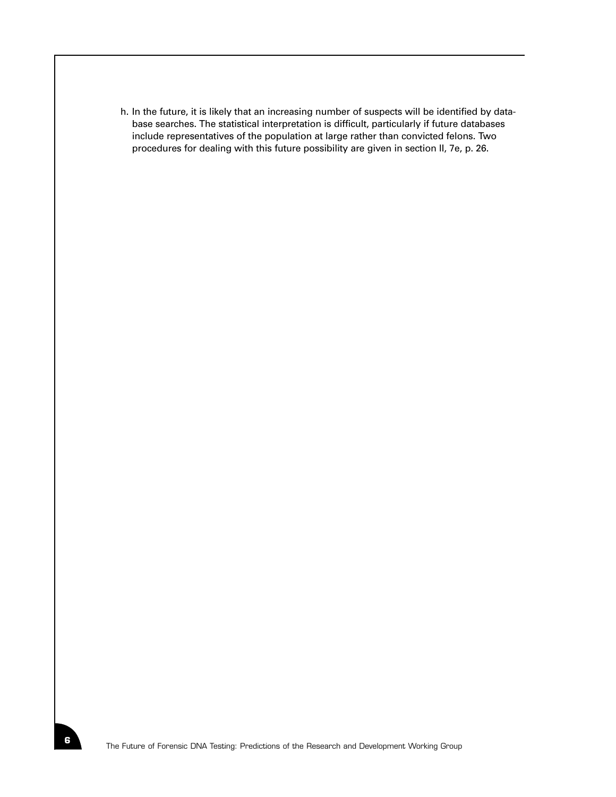h. In the future, it is likely that an increasing number of suspects will be identified by database searches. The statistical interpretation is difficult, particularly if future databases include representatives of the population at large rather than convicted felons. Two procedures for dealing with this future possibility are given in section II, 7e, p. 26.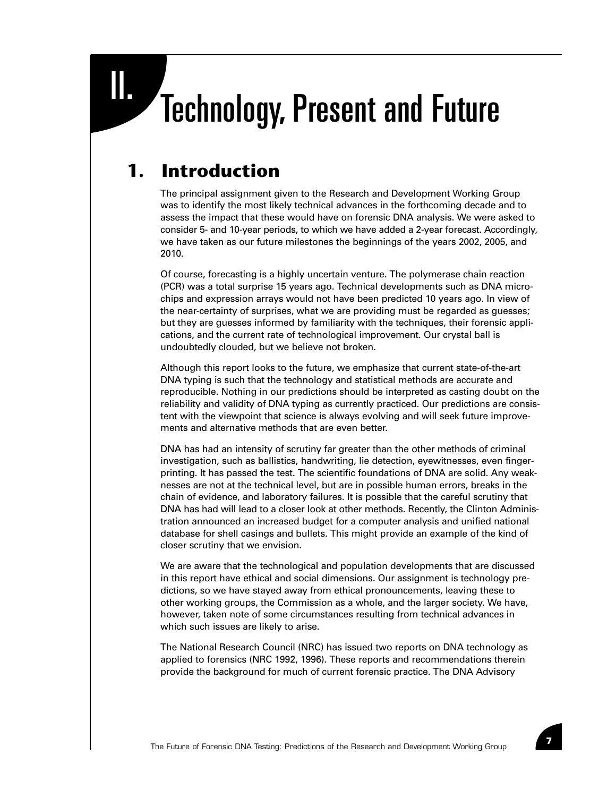# II. Technology, Present and Future

## **1. Introduction**

The principal assignment given to the Research and Development Working Group was to identify the most likely technical advances in the forthcoming decade and to assess the impact that these would have on forensic DNA analysis. We were asked to consider 5- and 10-year periods, to which we have added a 2-year forecast. Accordingly, we have taken as our future milestones the beginnings of the years 2002, 2005, and 2010.

Of course, forecasting is a highly uncertain venture. The polymerase chain reaction (PCR) was a total surprise 15 years ago. Technical developments such as DNA microchips and expression arrays would not have been predicted 10 years ago. In view of the near-certainty of surprises, what we are providing must be regarded as guesses; but they are guesses informed by familiarity with the techniques, their forensic applications, and the current rate of technological improvement. Our crystal ball is undoubtedly clouded, but we believe not broken.

Although this report looks to the future, we emphasize that current state-of-the-art DNA typing is such that the technology and statistical methods are accurate and reproducible. Nothing in our predictions should be interpreted as casting doubt on the reliability and validity of DNA typing as currently practiced. Our predictions are consistent with the viewpoint that science is always evolving and will seek future improvements and alternative methods that are even better.

DNA has had an intensity of scrutiny far greater than the other methods of criminal investigation, such as ballistics, handwriting, lie detection, eyewitnesses, even fingerprinting. It has passed the test. The scientific foundations of DNA are solid. Any weaknesses are not at the technical level, but are in possible human errors, breaks in the chain of evidence, and laboratory failures. It is possible that the careful scrutiny that DNA has had will lead to a closer look at other methods. Recently, the Clinton Administration announced an increased budget for a computer analysis and unified national database for shell casings and bullets. This might provide an example of the kind of closer scrutiny that we envision.

We are aware that the technological and population developments that are discussed in this report have ethical and social dimensions. Our assignment is technology predictions, so we have stayed away from ethical pronouncements, leaving these to other working groups, the Commission as a whole, and the larger society. We have, however, taken note of some circumstances resulting from technical advances in which such issues are likely to arise.

The National Research Council (NRC) has issued two reports on DNA technology as applied to forensics (NRC 1992, 1996). These reports and recommendations therein provide the background for much of current forensic practice. The DNA Advisory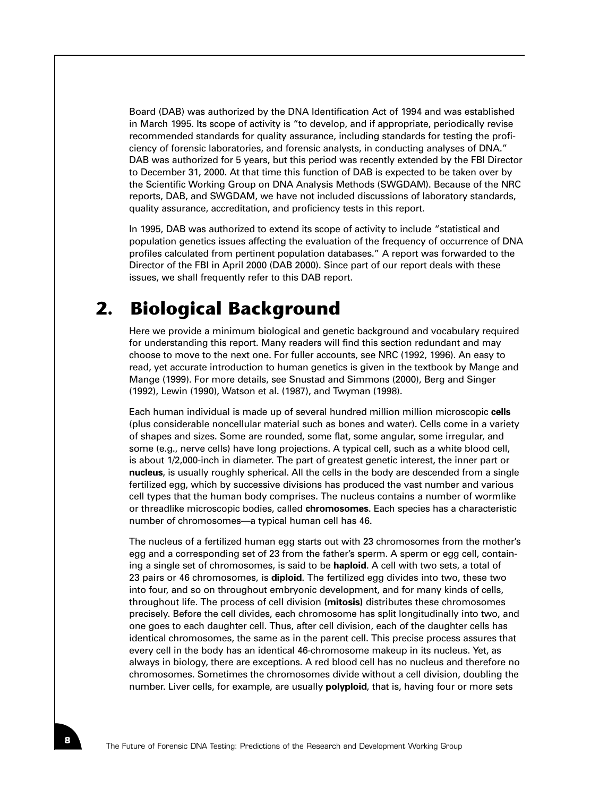Board (DAB) was authorized by the DNA Identification Act of 1994 and was established in March 1995. Its scope of activity is "to develop, and if appropriate, periodically revise recommended standards for quality assurance, including standards for testing the proficiency of forensic laboratories, and forensic analysts, in conducting analyses of DNA." DAB was authorized for 5 years, but this period was recently extended by the FBI Director to December 31, 2000. At that time this function of DAB is expected to be taken over by the Scientific Working Group on DNA Analysis Methods (SWGDAM). Because of the NRC reports, DAB, and SWGDAM, we have not included discussions of laboratory standards, quality assurance, accreditation, and proficiency tests in this report.

In 1995, DAB was authorized to extend its scope of activity to include "statistical and population genetics issues affecting the evaluation of the frequency of occurrence of DNA profiles calculated from pertinent population databases." A report was forwarded to the Director of the FBI in April 2000 (DAB 2000). Since part of our report deals with these issues, we shall frequently refer to this DAB report.

### **2. Biological Background**

Here we provide a minimum biological and genetic background and vocabulary required for understanding this report. Many readers will find this section redundant and may choose to move to the next one. For fuller accounts, see NRC (1992, 1996). An easy to read, yet accurate introduction to human genetics is given in the textbook by Mange and Mange (1999). For more details, see Snustad and Simmons (2000), Berg and Singer (1992), Lewin (1990), Watson et al. (1987), and Twyman (1998).

Each human individual is made up of several hundred million million microscopic **cells** (plus considerable noncellular material such as bones and water). Cells come in a variety of shapes and sizes. Some are rounded, some flat, some angular, some irregular, and some (e.g., nerve cells) have long projections. A typical cell, such as a white blood cell, is about 1/2,000-inch in diameter. The part of greatest genetic interest, the inner part or **nucleus**, is usually roughly spherical. All the cells in the body are descended from a single fertilized egg, which by successive divisions has produced the vast number and various cell types that the human body comprises. The nucleus contains a number of wormlike or threadlike microscopic bodies, called **chromosomes**. Each species has a characteristic number of chromosomes—a typical human cell has 46.

The nucleus of a fertilized human egg starts out with 23 chromosomes from the mother's egg and a corresponding set of 23 from the father's sperm. A sperm or egg cell, containing a single set of chromosomes, is said to be **haploid**. A cell with two sets, a total of 23 pairs or 46 chromosomes, is **diploid**. The fertilized egg divides into two, these two into four, and so on throughout embryonic development, and for many kinds of cells, throughout life. The process of cell division **(mitosis)** distributes these chromosomes precisely. Before the cell divides, each chromosome has split longitudinally into two, and one goes to each daughter cell. Thus, after cell division, each of the daughter cells has identical chromosomes, the same as in the parent cell. This precise process assures that every cell in the body has an identical 46-chromosome makeup in its nucleus. Yet, as always in biology, there are exceptions. A red blood cell has no nucleus and therefore no chromosomes. Sometimes the chromosomes divide without a cell division, doubling the number. Liver cells, for example, are usually **polyploid**, that is, having four or more sets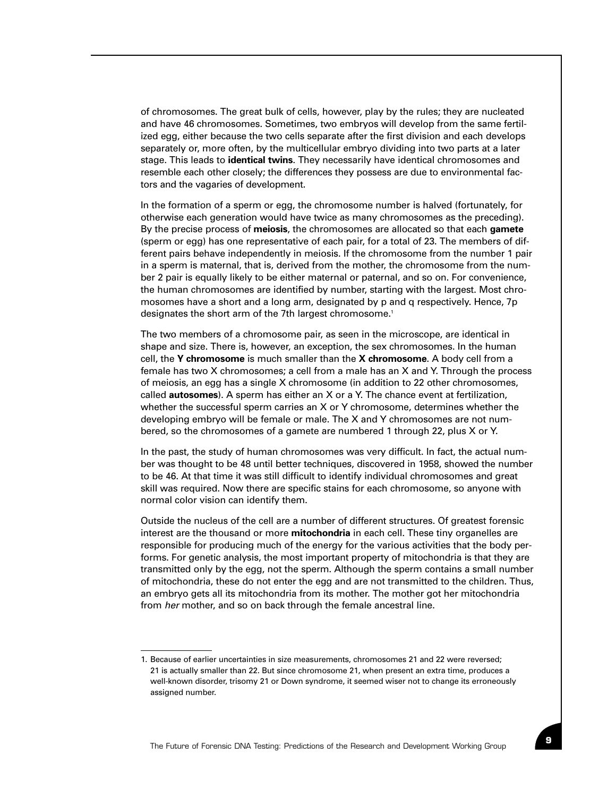of chromosomes. The great bulk of cells, however, play by the rules; they are nucleated and have 46 chromosomes. Sometimes, two embryos will develop from the same fertilized egg, either because the two cells separate after the first division and each develops separately or, more often, by the multicellular embryo dividing into two parts at a later stage. This leads to **identical twins**. They necessarily have identical chromosomes and resemble each other closely; the differences they possess are due to environmental factors and the vagaries of development.

In the formation of a sperm or egg, the chromosome number is halved (fortunately, for otherwise each generation would have twice as many chromosomes as the preceding). By the precise process of **meiosis**, the chromosomes are allocated so that each **gamete** (sperm or egg) has one representative of each pair, for a total of 23. The members of different pairs behave independently in meiosis. If the chromosome from the number 1 pair in a sperm is maternal, that is, derived from the mother, the chromosome from the number 2 pair is equally likely to be either maternal or paternal, and so on. For convenience, the human chromosomes are identified by number, starting with the largest. Most chromosomes have a short and a long arm, designated by p and q respectively. Hence, 7p designates the short arm of the 7th largest chromosome.<sup>1</sup>

The two members of a chromosome pair, as seen in the microscope, are identical in shape and size. There is, however, an exception, the sex chromosomes. In the human cell, the **Y chromosome** is much smaller than the **X chromosome**. A body cell from a female has two X chromosomes; a cell from a male has an X and Y. Through the process of meiosis, an egg has a single X chromosome (in addition to 22 other chromosomes, called **autosomes**). A sperm has either an X or a Y. The chance event at fertilization, whether the successful sperm carries an X or Y chromosome, determines whether the developing embryo will be female or male. The X and Y chromosomes are not numbered, so the chromosomes of a gamete are numbered 1 through 22, plus X or Y.

In the past, the study of human chromosomes was very difficult. In fact, the actual number was thought to be 48 until better techniques, discovered in 1958, showed the number to be 46. At that time it was still difficult to identify individual chromosomes and great skill was required. Now there are specific stains for each chromosome, so anyone with normal color vision can identify them.

Outside the nucleus of the cell are a number of different structures. Of greatest forensic interest are the thousand or more **mitochondria** in each cell. These tiny organelles are responsible for producing much of the energy for the various activities that the body performs. For genetic analysis, the most important property of mitochondria is that they are transmitted only by the egg, not the sperm. Although the sperm contains a small number of mitochondria, these do not enter the egg and are not transmitted to the children. Thus, an embryo gets all its mitochondria from its mother. The mother got her mitochondria from *her* mother, and so on back through the female ancestral line.

<sup>1.</sup> Because of earlier uncertainties in size measurements, chromosomes 21 and 22 were reversed; 21 is actually smaller than 22. But since chromosome 21, when present an extra time, produces a well-known disorder, trisomy 21 or Down syndrome, it seemed wiser not to change its erroneously assigned number.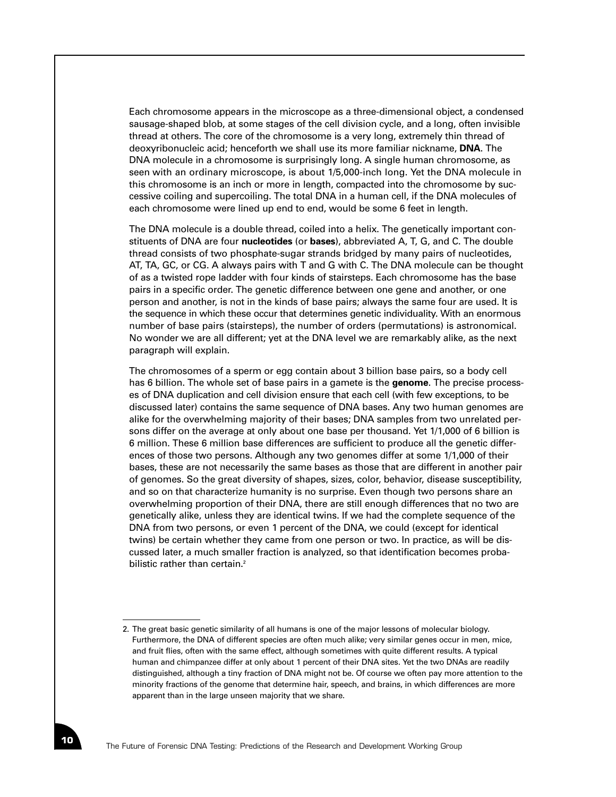Each chromosome appears in the microscope as a three-dimensional object, a condensed sausage-shaped blob, at some stages of the cell division cycle, and a long, often invisible thread at others. The core of the chromosome is a very long, extremely thin thread of deoxyribonucleic acid; henceforth we shall use its more familiar nickname, **DNA**. The DNA molecule in a chromosome is surprisingly long. A single human chromosome, as seen with an ordinary microscope, is about 1/5,000-inch long. Yet the DNA molecule in this chromosome is an inch or more in length, compacted into the chromosome by successive coiling and supercoiling. The total DNA in a human cell, if the DNA molecules of each chromosome were lined up end to end, would be some 6 feet in length.

The DNA molecule is a double thread, coiled into a helix. The genetically important constituents of DNA are four **nucleotides** (or **bases**), abbreviated A, T, G, and C. The double thread consists of two phosphate-sugar strands bridged by many pairs of nucleotides, AT, TA, GC, or CG. A always pairs with T and G with C. The DNA molecule can be thought of as a twisted rope ladder with four kinds of stairsteps. Each chromosome has the base pairs in a specific order. The genetic difference between one gene and another, or one person and another, is not in the kinds of base pairs; always the same four are used. It is the sequence in which these occur that determines genetic individuality. With an enormous number of base pairs (stairsteps), the number of orders (permutations) is astronomical. No wonder we are all different; yet at the DNA level we are remarkably alike, as the next paragraph will explain.

The chromosomes of a sperm or egg contain about 3 billion base pairs, so a body cell has 6 billion. The whole set of base pairs in a gamete is the **genome**. The precise processes of DNA duplication and cell division ensure that each cell (with few exceptions, to be discussed later) contains the same sequence of DNA bases. Any two human genomes are alike for the overwhelming majority of their bases; DNA samples from two unrelated persons differ on the average at only about one base per thousand. Yet 1/1,000 of 6 billion is 6 million. These 6 million base differences are sufficient to produce all the genetic differences of those two persons. Although any two genomes differ at some 1/1,000 of their bases, these are not necessarily the same bases as those that are different in another pair of genomes. So the great diversity of shapes, sizes, color, behavior, disease susceptibility, and so on that characterize humanity is no surprise. Even though two persons share an overwhelming proportion of their DNA, there are still enough differences that no two are genetically alike, unless they are identical twins. If we had the complete sequence of the DNA from two persons, or even 1 percent of the DNA, we could (except for identical twins) be certain whether they came from one person or two. In practice, as will be discussed later, a much smaller fraction is analyzed, so that identification becomes probabilistic rather than certain.<sup>2</sup>

<sup>2.</sup> The great basic genetic similarity of all humans is one of the major lessons of molecular biology. Furthermore, the DNA of different species are often much alike; very similar genes occur in men, mice, and fruit flies, often with the same effect, although sometimes with quite different results. A typical human and chimpanzee differ at only about 1 percent of their DNA sites. Yet the two DNAs are readily distinguished, although a tiny fraction of DNA might not be. Of course we often pay more attention to the minority fractions of the genome that determine hair, speech, and brains, in which differences are more apparent than in the large unseen majority that we share.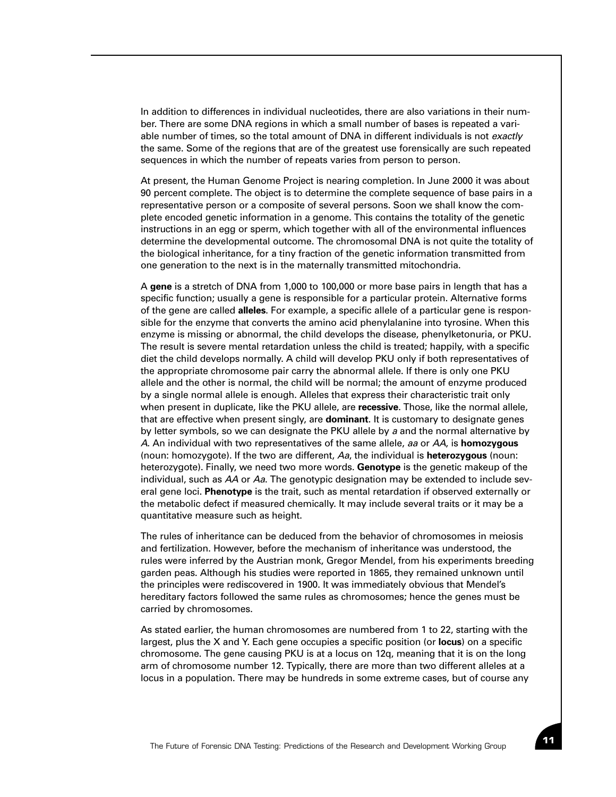In addition to differences in individual nucleotides, there are also variations in their number. There are some DNA regions in which a small number of bases is repeated a variable number of times, so the total amount of DNA in different individuals is not *exactly* the same. Some of the regions that are of the greatest use forensically are such repeated sequences in which the number of repeats varies from person to person.

At present, the Human Genome Project is nearing completion. In June 2000 it was about 90 percent complete. The object is to determine the complete sequence of base pairs in a representative person or a composite of several persons. Soon we shall know the complete encoded genetic information in a genome. This contains the totality of the genetic instructions in an egg or sperm, which together with all of the environmental influences determine the developmental outcome. The chromosomal DNA is not quite the totality of the biological inheritance, for a tiny fraction of the genetic information transmitted from one generation to the next is in the maternally transmitted mitochondria.

A **gene** is a stretch of DNA from 1,000 to 100,000 or more base pairs in length that has a specific function; usually a gene is responsible for a particular protein. Alternative forms of the gene are called **alleles**. For example, a specific allele of a particular gene is responsible for the enzyme that converts the amino acid phenylalanine into tyrosine. When this enzyme is missing or abnormal, the child develops the disease, phenylketonuria, or PKU. The result is severe mental retardation unless the child is treated; happily, with a specific diet the child develops normally. A child will develop PKU only if both representatives of the appropriate chromosome pair carry the abnormal allele. If there is only one PKU allele and the other is normal, the child will be normal; the amount of enzyme produced by a single normal allele is enough. Alleles that express their characteristic trait only when present in duplicate, like the PKU allele, are **recessive**. Those, like the normal allele, that are effective when present singly, are **dominant**. It is customary to designate genes by letter symbols, so we can designate the PKU allele by *a* and the normal alternative by *A*. An individual with two representatives of the same allele, *aa* or *AA*, is **homozygous** (noun: homozygote). If the two are different, *Aa*, the individual is **heterozygous** (noun: heterozygote). Finally, we need two more words. **Genotype** is the genetic makeup of the individual, such as *AA* or *Aa*. The genotypic designation may be extended to include several gene loci. **Phenotype** is the trait, such as mental retardation if observed externally or the metabolic defect if measured chemically. It may include several traits or it may be a quantitative measure such as height.

The rules of inheritance can be deduced from the behavior of chromosomes in meiosis and fertilization. However, before the mechanism of inheritance was understood, the rules were inferred by the Austrian monk, Gregor Mendel, from his experiments breeding garden peas. Although his studies were reported in 1865, they remained unknown until the principles were rediscovered in 1900. It was immediately obvious that Mendel's hereditary factors followed the same rules as chromosomes; hence the genes must be carried by chromosomes.

As stated earlier, the human chromosomes are numbered from 1 to 22, starting with the largest, plus the X and Y. Each gene occupies a specific position (or **locus**) on a specific chromosome. The gene causing PKU is at a locus on 12q, meaning that it is on the long arm of chromosome number 12. Typically, there are more than two different alleles at a locus in a population. There may be hundreds in some extreme cases, but of course any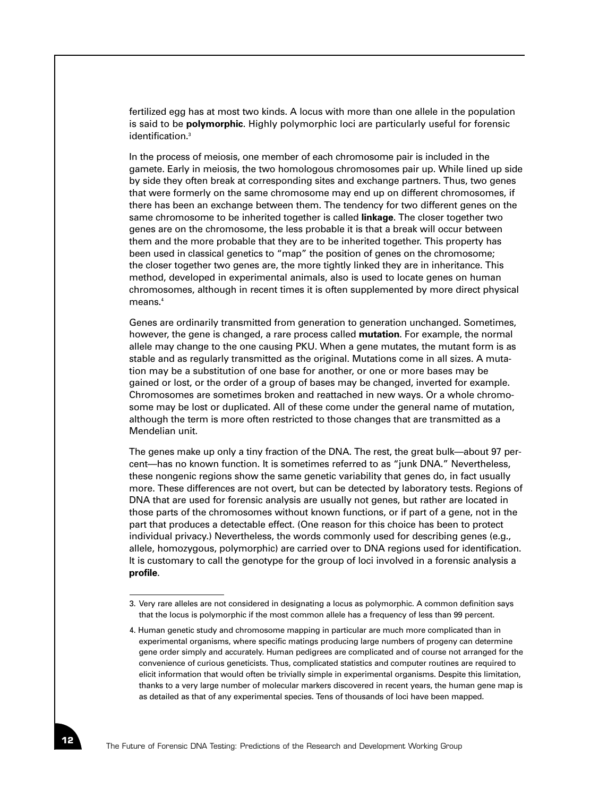fertilized egg has at most two kinds. A locus with more than one allele in the population is said to be **polymorphic**. Highly polymorphic loci are particularly useful for forensic identification.<sup>3</sup>

In the process of meiosis, one member of each chromosome pair is included in the gamete. Early in meiosis, the two homologous chromosomes pair up. While lined up side by side they often break at corresponding sites and exchange partners. Thus, two genes that were formerly on the same chromosome may end up on different chromosomes, if there has been an exchange between them. The tendency for two different genes on the same chromosome to be inherited together is called **linkage**. The closer together two genes are on the chromosome, the less probable it is that a break will occur between them and the more probable that they are to be inherited together. This property has been used in classical genetics to "map" the position of genes on the chromosome; the closer together two genes are, the more tightly linked they are in inheritance. This method, developed in experimental animals, also is used to locate genes on human chromosomes, although in recent times it is often supplemented by more direct physical means.<sup>4</sup>

Genes are ordinarily transmitted from generation to generation unchanged. Sometimes, however, the gene is changed, a rare process called **mutation**. For example, the normal allele may change to the one causing PKU. When a gene mutates, the mutant form is as stable and as regularly transmitted as the original. Mutations come in all sizes. A mutation may be a substitution of one base for another, or one or more bases may be gained or lost, or the order of a group of bases may be changed, inverted for example. Chromosomes are sometimes broken and reattached in new ways. Or a whole chromosome may be lost or duplicated. All of these come under the general name of mutation, although the term is more often restricted to those changes that are transmitted as a Mendelian unit.

The genes make up only a tiny fraction of the DNA. The rest, the great bulk—about 97 percent—has no known function. It is sometimes referred to as "junk DNA." Nevertheless, these nongenic regions show the same genetic variability that genes do, in fact usually more. These differences are not overt, but can be detected by laboratory tests. Regions of DNA that are used for forensic analysis are usually not genes, but rather are located in those parts of the chromosomes without known functions, or if part of a gene, not in the part that produces a detectable effect. (One reason for this choice has been to protect individual privacy.) Nevertheless, the words commonly used for describing genes (e.g., allele, homozygous, polymorphic) are carried over to DNA regions used for identification. It is customary to call the genotype for the group of loci involved in a forensic analysis a **profile**.

<sup>3.</sup> Very rare alleles are not considered in designating a locus as polymorphic. A common definition says that the locus is polymorphic if the most common allele has a frequency of less than 99 percent.

<sup>4.</sup> Human genetic study and chromosome mapping in particular are much more complicated than in experimental organisms, where specific matings producing large numbers of progeny can determine gene order simply and accurately. Human pedigrees are complicated and of course not arranged for the convenience of curious geneticists. Thus, complicated statistics and computer routines are required to elicit information that would often be trivially simple in experimental organisms. Despite this limitation, thanks to a very large number of molecular markers discovered in recent years, the human gene map is as detailed as that of any experimental species. Tens of thousands of loci have been mapped.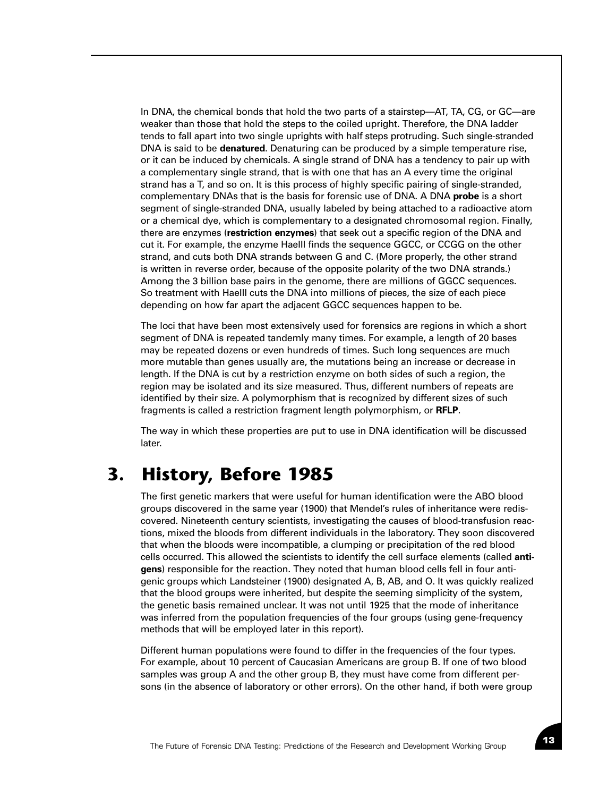In DNA, the chemical bonds that hold the two parts of a stairstep—AT, TA, CG, or GC—are weaker than those that hold the steps to the coiled upright. Therefore, the DNA ladder tends to fall apart into two single uprights with half steps protruding. Such single-stranded DNA is said to be **denatured**. Denaturing can be produced by a simple temperature rise, or it can be induced by chemicals. A single strand of DNA has a tendency to pair up with a complementary single strand, that is with one that has an A every time the original strand has a T, and so on. It is this process of highly specific pairing of single-stranded, complementary DNAs that is the basis for forensic use of DNA. A DNA **probe** is a short segment of single-stranded DNA, usually labeled by being attached to a radioactive atom or a chemical dye, which is complementary to a designated chromosomal region. Finally, there are enzymes (**restriction enzymes**) that seek out a specific region of the DNA and cut it. For example, the enzyme HaeIII finds the sequence GGCC, or CCGG on the other strand, and cuts both DNA strands between G and C. (More properly, the other strand is written in reverse order, because of the opposite polarity of the two DNA strands.) Among the 3 billion base pairs in the genome, there are millions of GGCC sequences. So treatment with HaeIII cuts the DNA into millions of pieces, the size of each piece depending on how far apart the adjacent GGCC sequences happen to be.

The loci that have been most extensively used for forensics are regions in which a short segment of DNA is repeated tandemly many times. For example, a length of 20 bases may be repeated dozens or even hundreds of times. Such long sequences are much more mutable than genes usually are, the mutations being an increase or decrease in length. If the DNA is cut by a restriction enzyme on both sides of such a region, the region may be isolated and its size measured. Thus, different numbers of repeats are identified by their size. A polymorphism that is recognized by different sizes of such fragments is called a restriction fragment length polymorphism, or **RFLP**.

The way in which these properties are put to use in DNA identification will be discussed later.

#### **3. History, Before 1985**

The first genetic markers that were useful for human identification were the ABO blood groups discovered in the same year (1900) that Mendel's rules of inheritance were rediscovered. Nineteenth century scientists, investigating the causes of blood-transfusion reactions, mixed the bloods from different individuals in the laboratory. They soon discovered that when the bloods were incompatible, a clumping or precipitation of the red blood cells occurred. This allowed the scientists to identify the cell surface elements (called **antigens**) responsible for the reaction. They noted that human blood cells fell in four antigenic groups which Landsteiner (1900) designated A, B, AB, and O. It was quickly realized that the blood groups were inherited, but despite the seeming simplicity of the system, the genetic basis remained unclear. It was not until 1925 that the mode of inheritance was inferred from the population frequencies of the four groups (using gene-frequency methods that will be employed later in this report).

Different human populations were found to differ in the frequencies of the four types. For example, about 10 percent of Caucasian Americans are group B. If one of two blood samples was group A and the other group B, they must have come from different persons (in the absence of laboratory or other errors). On the other hand, if both were group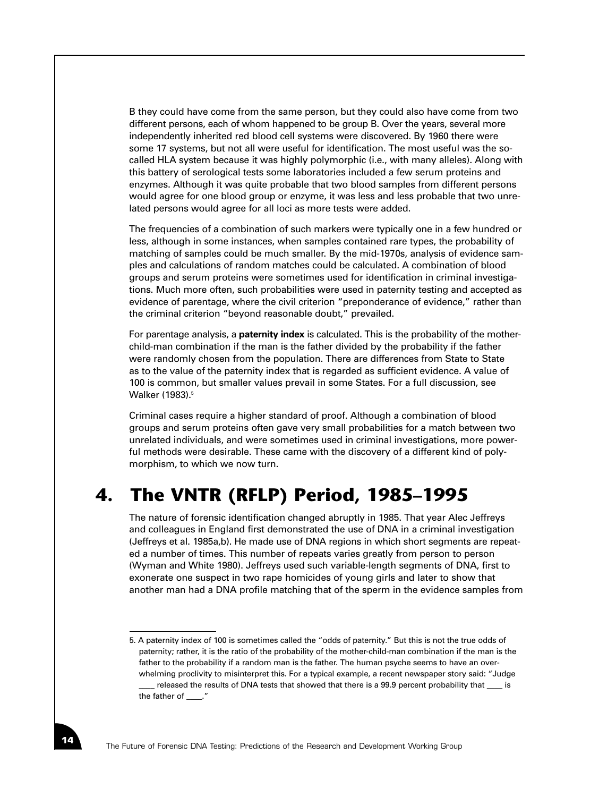B they could have come from the same person, but they could also have come from two different persons, each of whom happened to be group B. Over the years, several more independently inherited red blood cell systems were discovered. By 1960 there were some 17 systems, but not all were useful for identification. The most useful was the socalled HLA system because it was highly polymorphic (i.e., with many alleles). Along with this battery of serological tests some laboratories included a few serum proteins and enzymes. Although it was quite probable that two blood samples from different persons would agree for one blood group or enzyme, it was less and less probable that two unrelated persons would agree for all loci as more tests were added.

The frequencies of a combination of such markers were typically one in a few hundred or less, although in some instances, when samples contained rare types, the probability of matching of samples could be much smaller. By the mid-1970s, analysis of evidence samples and calculations of random matches could be calculated. A combination of blood groups and serum proteins were sometimes used for identification in criminal investigations. Much more often, such probabilities were used in paternity testing and accepted as evidence of parentage, where the civil criterion "preponderance of evidence," rather than the criminal criterion "beyond reasonable doubt," prevailed.

For parentage analysis, a **paternity index** is calculated. This is the probability of the motherchild-man combination if the man is the father divided by the probability if the father were randomly chosen from the population. There are differences from State to State as to the value of the paternity index that is regarded as sufficient evidence. A value of 100 is common, but smaller values prevail in some States. For a full discussion, see Walker (1983).<sup>5</sup>

Criminal cases require a higher standard of proof. Although a combination of blood groups and serum proteins often gave very small probabilities for a match between two unrelated individuals, and were sometimes used in criminal investigations, more powerful methods were desirable. These came with the discovery of a different kind of polymorphism, to which we now turn.

## **4. The VNTR (RFLP) Period, 1985–1995**

The nature of forensic identification changed abruptly in 1985. That year Alec Jeffreys and colleagues in England first demonstrated the use of DNA in a criminal investigation (Jeffreys et al. 1985a,b). He made use of DNA regions in which short segments are repeated a number of times. This number of repeats varies greatly from person to person (Wyman and White 1980). Jeffreys used such variable-length segments of DNA, first to exonerate one suspect in two rape homicides of young girls and later to show that another man had a DNA profile matching that of the sperm in the evidence samples from

<sup>5.</sup> A paternity index of 100 is sometimes called the "odds of paternity." But this is not the true odds of paternity; rather, it is the ratio of the probability of the mother-child-man combination if the man is the father to the probability if a random man is the father. The human psyche seems to have an overwhelming proclivity to misinterpret this. For a typical example, a recent newspaper story said: "Judge released the results of DNA tests that showed that there is a 99.9 percent probability that \_\_\_ is the father of \_\_\_\_."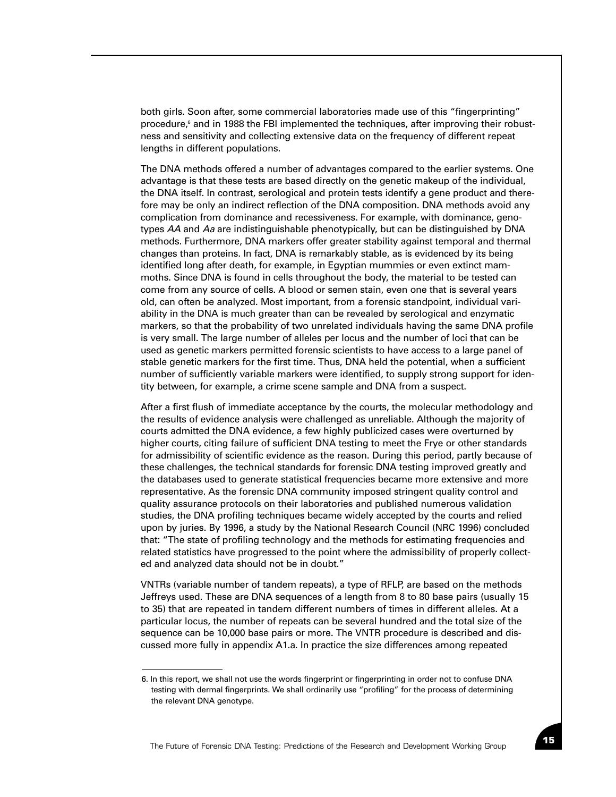both girls. Soon after, some commercial laboratories made use of this "fingerprinting" procedure,<sup>6</sup> and in 1988 the FBI implemented the techniques, after improving their robustness and sensitivity and collecting extensive data on the frequency of different repeat lengths in different populations.

The DNA methods offered a number of advantages compared to the earlier systems. One advantage is that these tests are based directly on the genetic makeup of the individual, the DNA itself. In contrast, serological and protein tests identify a gene product and therefore may be only an indirect reflection of the DNA composition. DNA methods avoid any complication from dominance and recessiveness. For example, with dominance, genotypes *AA* and *Aa* are indistinguishable phenotypically, but can be distinguished by DNA methods. Furthermore, DNA markers offer greater stability against temporal and thermal changes than proteins. In fact, DNA is remarkably stable, as is evidenced by its being identified long after death, for example, in Egyptian mummies or even extinct mammoths. Since DNA is found in cells throughout the body, the material to be tested can come from any source of cells. A blood or semen stain, even one that is several years old, can often be analyzed. Most important, from a forensic standpoint, individual variability in the DNA is much greater than can be revealed by serological and enzymatic markers, so that the probability of two unrelated individuals having the same DNA profile is very small. The large number of alleles per locus and the number of loci that can be used as genetic markers permitted forensic scientists to have access to a large panel of stable genetic markers for the first time. Thus, DNA held the potential, when a sufficient number of sufficiently variable markers were identified, to supply strong support for identity between, for example, a crime scene sample and DNA from a suspect.

After a first flush of immediate acceptance by the courts, the molecular methodology and the results of evidence analysis were challenged as unreliable. Although the majority of courts admitted the DNA evidence, a few highly publicized cases were overturned by higher courts, citing failure of sufficient DNA testing to meet the Frye or other standards for admissibility of scientific evidence as the reason. During this period, partly because of these challenges, the technical standards for forensic DNA testing improved greatly and the databases used to generate statistical frequencies became more extensive and more representative. As the forensic DNA community imposed stringent quality control and quality assurance protocols on their laboratories and published numerous validation studies, the DNA profiling techniques became widely accepted by the courts and relied upon by juries. By 1996, a study by the National Research Council (NRC 1996) concluded that: "The state of profiling technology and the methods for estimating frequencies and related statistics have progressed to the point where the admissibility of properly collected and analyzed data should not be in doubt."

VNTRs (variable number of tandem repeats), a type of RFLP, are based on the methods Jeffreys used. These are DNA sequences of a length from 8 to 80 base pairs (usually 15 to 35) that are repeated in tandem different numbers of times in different alleles. At a particular locus, the number of repeats can be several hundred and the total size of the sequence can be 10,000 base pairs or more. The VNTR procedure is described and discussed more fully in appendix A1.a. In practice the size differences among repeated

<sup>6.</sup> In this report, we shall not use the words fingerprint or fingerprinting in order not to confuse DNA testing with dermal fingerprints. We shall ordinarily use "profiling" for the process of determining the relevant DNA genotype.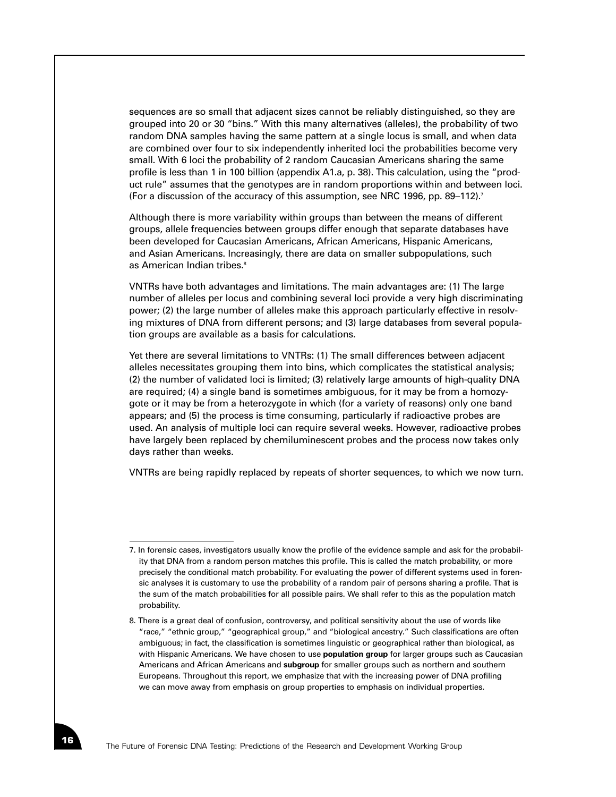sequences are so small that adjacent sizes cannot be reliably distinguished, so they are grouped into 20 or 30 "bins." With this many alternatives (alleles), the probability of two random DNA samples having the same pattern at a single locus is small, and when data are combined over four to six independently inherited loci the probabilities become very small. With 6 loci the probability of 2 random Caucasian Americans sharing the same profile is less than 1 in 100 billion (appendix A1.a, p. 38). This calculation, using the "product rule" assumes that the genotypes are in random proportions within and between loci. (For a discussion of the accuracy of this assumption, see NRC 1996, pp. 89–112).<sup>7</sup>

Although there is more variability within groups than between the means of different groups, allele frequencies between groups differ enough that separate databases have been developed for Caucasian Americans, African Americans, Hispanic Americans, and Asian Americans. Increasingly, there are data on smaller subpopulations, such as American Indian tribes.<sup>8</sup>

VNTRs have both advantages and limitations. The main advantages are: (1) The large number of alleles per locus and combining several loci provide a very high discriminating power; (2) the large number of alleles make this approach particularly effective in resolving mixtures of DNA from different persons; and (3) large databases from several population groups are available as a basis for calculations.

Yet there are several limitations to VNTRs: (1) The small differences between adjacent alleles necessitates grouping them into bins, which complicates the statistical analysis; (2) the number of validated loci is limited; (3) relatively large amounts of high-quality DNA are required; (4) a single band is sometimes ambiguous, for it may be from a homozygote or it may be from a heterozygote in which (for a variety of reasons) only one band appears; and (5) the process is time consuming, particularly if radioactive probes are used. An analysis of multiple loci can require several weeks. However, radioactive probes have largely been replaced by chemiluminescent probes and the process now takes only days rather than weeks.

VNTRs are being rapidly replaced by repeats of shorter sequences, to which we now turn.

<sup>7.</sup> In forensic cases, investigators usually know the profile of the evidence sample and ask for the probability that DNA from a random person matches this profile. This is called the match probability, or more precisely the conditional match probability. For evaluating the power of different systems used in forensic analyses it is customary to use the probability of a random pair of persons sharing a profile. That is the sum of the match probabilities for all possible pairs. We shall refer to this as the population match probability.

<sup>8.</sup> There is a great deal of confusion, controversy, and political sensitivity about the use of words like "race," "ethnic group," "geographical group," and "biological ancestry." Such classifications are often ambiguous; in fact, the classification is sometimes linguistic or geographical rather than biological, as with Hispanic Americans. We have chosen to use **population group** for larger groups such as Caucasian Americans and African Americans and **subgroup** for smaller groups such as northern and southern Europeans. Throughout this report, we emphasize that with the increasing power of DNA profiling we can move away from emphasis on group properties to emphasis on individual properties.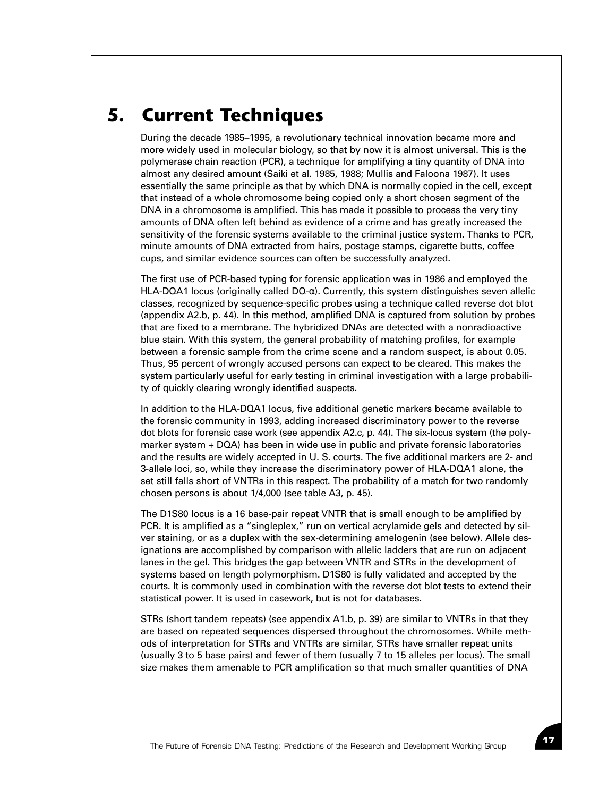#### **5. Current Techniques**

During the decade 1985–1995, a revolutionary technical innovation became more and more widely used in molecular biology, so that by now it is almost universal. This is the polymerase chain reaction (PCR), a technique for amplifying a tiny quantity of DNA into almost any desired amount (Saiki et al. 1985, 1988; Mullis and Faloona 1987). It uses essentially the same principle as that by which DNA is normally copied in the cell, except that instead of a whole chromosome being copied only a short chosen segment of the DNA in a chromosome is amplified. This has made it possible to process the very tiny amounts of DNA often left behind as evidence of a crime and has greatly increased the sensitivity of the forensic systems available to the criminal justice system. Thanks to PCR, minute amounts of DNA extracted from hairs, postage stamps, cigarette butts, coffee cups, and similar evidence sources can often be successfully analyzed.

The first use of PCR-based typing for forensic application was in 1986 and employed the HLA-DQA1 locus (originally called  $DQ-\alpha$ ). Currently, this system distinguishes seven allelic classes, recognized by sequence-specific probes using a technique called reverse dot blot (appendix A2.b, p. 44). In this method, amplified DNA is captured from solution by probes that are fixed to a membrane. The hybridized DNAs are detected with a nonradioactive blue stain. With this system, the general probability of matching profiles, for example between a forensic sample from the crime scene and a random suspect, is about 0.05. Thus, 95 percent of wrongly accused persons can expect to be cleared. This makes the system particularly useful for early testing in criminal investigation with a large probability of quickly clearing wrongly identified suspects.

In addition to the HLA-DQA1 locus, five additional genetic markers became available to the forensic community in 1993, adding increased discriminatory power to the reverse dot blots for forensic case work (see appendix A2.c, p. 44). The six-locus system (the polymarker system + DQA) has been in wide use in public and private forensic laboratories and the results are widely accepted in U. S. courts. The five additional markers are 2- and 3-allele loci, so, while they increase the discriminatory power of HLA-DQA1 alone, the set still falls short of VNTRs in this respect. The probability of a match for two randomly chosen persons is about 1/4,000 (see table A3, p. 45).

The D1S80 locus is a 16 base-pair repeat VNTR that is small enough to be amplified by PCR. It is amplified as a "singleplex," run on vertical acrylamide gels and detected by silver staining, or as a duplex with the sex-determining amelogenin (see below). Allele designations are accomplished by comparison with allelic ladders that are run on adjacent lanes in the gel. This bridges the gap between VNTR and STRs in the development of systems based on length polymorphism. D1S80 is fully validated and accepted by the courts. It is commonly used in combination with the reverse dot blot tests to extend their statistical power. It is used in casework, but is not for databases.

STRs (short tandem repeats) (see appendix A1.b, p. 39) are similar to VNTRs in that they are based on repeated sequences dispersed throughout the chromosomes. While methods of interpretation for STRs and VNTRs are similar, STRs have smaller repeat units (usually 3 to 5 base pairs) and fewer of them (usually 7 to 15 alleles per locus). The small size makes them amenable to PCR amplification so that much smaller quantities of DNA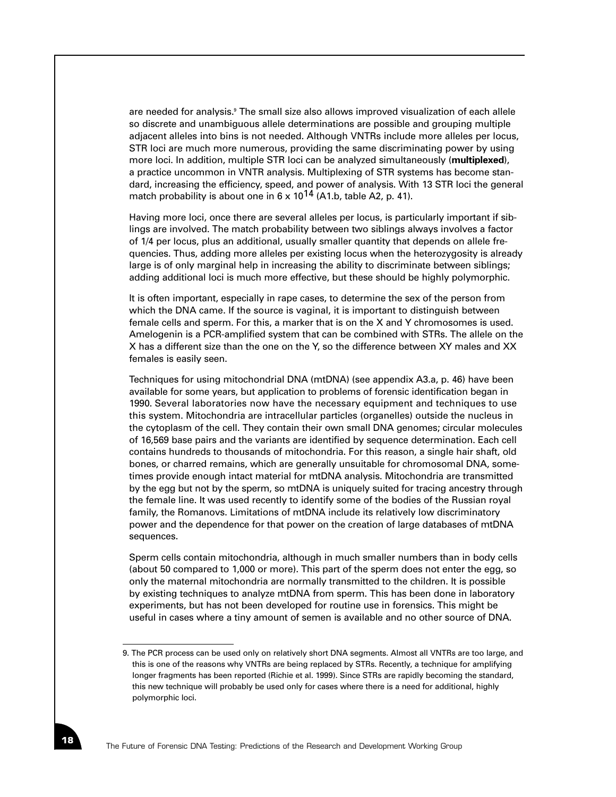are needed for analysis.<sup>9</sup> The small size also allows improved visualization of each allele so discrete and unambiguous allele determinations are possible and grouping multiple adjacent alleles into bins is not needed. Although VNTRs include more alleles per locus, STR loci are much more numerous, providing the same discriminating power by using more loci. In addition, multiple STR loci can be analyzed simultaneously (**multiplexed**), a practice uncommon in VNTR analysis. Multiplexing of STR systems has become standard, increasing the efficiency, speed, and power of analysis. With 13 STR loci the general match probability is about one in  $6 \times 10^{14}$  (A1.b, table A2, p. 41).

Having more loci, once there are several alleles per locus, is particularly important if siblings are involved. The match probability between two siblings always involves a factor of 1/4 per locus, plus an additional, usually smaller quantity that depends on allele frequencies. Thus, adding more alleles per existing locus when the heterozygosity is already large is of only marginal help in increasing the ability to discriminate between siblings; adding additional loci is much more effective, but these should be highly polymorphic.

It is often important, especially in rape cases, to determine the sex of the person from which the DNA came. If the source is vaginal, it is important to distinguish between female cells and sperm. For this, a marker that is on the X and Y chromosomes is used. Amelogenin is a PCR-amplified system that can be combined with STRs. The allele on the X has a different size than the one on the Y, so the difference between XY males and XX females is easily seen.

Techniques for using mitochondrial DNA (mtDNA) (see appendix A3.a, p. 46) have been available for some years, but application to problems of forensic identification began in 1990. Several laboratories now have the necessary equipment and techniques to use this system. Mitochondria are intracellular particles (organelles) outside the nucleus in the cytoplasm of the cell. They contain their own small DNA genomes; circular molecules of 16,569 base pairs and the variants are identified by sequence determination. Each cell contains hundreds to thousands of mitochondria. For this reason, a single hair shaft, old bones, or charred remains, which are generally unsuitable for chromosomal DNA, sometimes provide enough intact material for mtDNA analysis. Mitochondria are transmitted by the egg but not by the sperm, so mtDNA is uniquely suited for tracing ancestry through the female line. It was used recently to identify some of the bodies of the Russian royal family, the Romanovs. Limitations of mtDNA include its relatively low discriminatory power and the dependence for that power on the creation of large databases of mtDNA sequences.

Sperm cells contain mitochondria, although in much smaller numbers than in body cells (about 50 compared to 1,000 or more). This part of the sperm does not enter the egg, so only the maternal mitochondria are normally transmitted to the children. It is possible by existing techniques to analyze mtDNA from sperm. This has been done in laboratory experiments, but has not been developed for routine use in forensics. This might be useful in cases where a tiny amount of semen is available and no other source of DNA.

<sup>9.</sup> The PCR process can be used only on relatively short DNA segments. Almost all VNTRs are too large, and this is one of the reasons why VNTRs are being replaced by STRs. Recently, a technique for amplifying longer fragments has been reported (Richie et al. 1999). Since STRs are rapidly becoming the standard, this new technique will probably be used only for cases where there is a need for additional, highly polymorphic loci.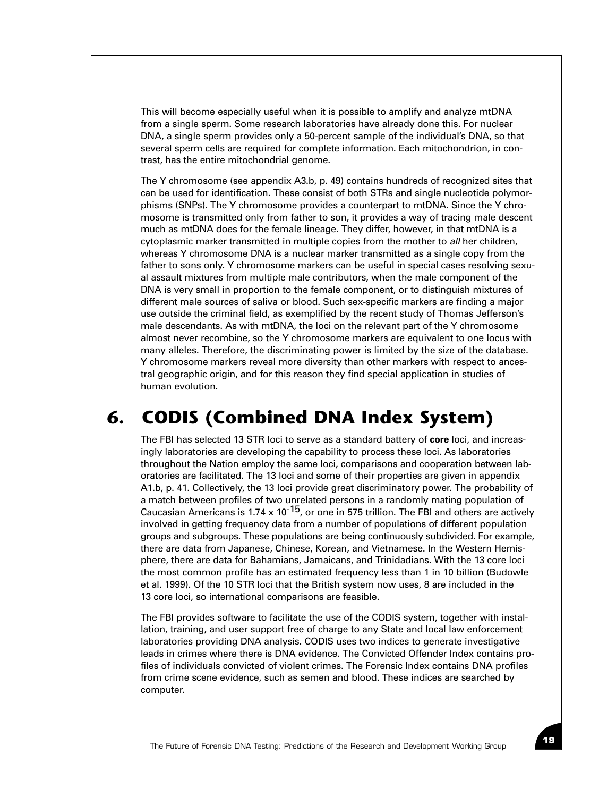This will become especially useful when it is possible to amplify and analyze mtDNA from a single sperm. Some research laboratories have already done this. For nuclear DNA, a single sperm provides only a 50-percent sample of the individual's DNA, so that several sperm cells are required for complete information. Each mitochondrion, in contrast, has the entire mitochondrial genome.

The Y chromosome (see appendix A3.b, p. 49) contains hundreds of recognized sites that can be used for identification. These consist of both STRs and single nucleotide polymorphisms (SNPs). The Y chromosome provides a counterpart to mtDNA. Since the Y chromosome is transmitted only from father to son, it provides a way of tracing male descent much as mtDNA does for the female lineage. They differ, however, in that mtDNA is a cytoplasmic marker transmitted in multiple copies from the mother to *all* her children, whereas Y chromosome DNA is a nuclear marker transmitted as a single copy from the father to sons only. Y chromosome markers can be useful in special cases resolving sexual assault mixtures from multiple male contributors, when the male component of the DNA is very small in proportion to the female component, or to distinguish mixtures of different male sources of saliva or blood. Such sex-specific markers are finding a major use outside the criminal field, as exemplified by the recent study of Thomas Jefferson's male descendants. As with mtDNA, the loci on the relevant part of the Y chromosome almost never recombine, so the Y chromosome markers are equivalent to one locus with many alleles. Therefore, the discriminating power is limited by the size of the database. Y chromosome markers reveal more diversity than other markers with respect to ancestral geographic origin, and for this reason they find special application in studies of human evolution.

## **6. CODIS (Combined DNA Index System)**

The FBI has selected 13 STR loci to serve as a standard battery of **core** loci, and increasingly laboratories are developing the capability to process these loci. As laboratories throughout the Nation employ the same loci, comparisons and cooperation between laboratories are facilitated. The 13 loci and some of their properties are given in appendix A1.b, p. 41. Collectively, the 13 loci provide great discriminatory power. The probability of a match between profiles of two unrelated persons in a randomly mating population of Caucasian Americans is 1.74 x 10<sup>-15</sup>, or one in 575 trillion. The FBI and others are actively involved in getting frequency data from a number of populations of different population groups and subgroups. These populations are being continuously subdivided. For example, there are data from Japanese, Chinese, Korean, and Vietnamese. In the Western Hemisphere, there are data for Bahamians, Jamaicans, and Trinidadians. With the 13 core loci the most common profile has an estimated frequency less than 1 in 10 billion (Budowle et al. 1999). Of the 10 STR loci that the British system now uses, 8 are included in the 13 core loci, so international comparisons are feasible.

The FBI provides software to facilitate the use of the CODIS system, together with installation, training, and user support free of charge to any State and local law enforcement laboratories providing DNA analysis. CODIS uses two indices to generate investigative leads in crimes where there is DNA evidence. The Convicted Offender Index contains profiles of individuals convicted of violent crimes. The Forensic Index contains DNA profiles from crime scene evidence, such as semen and blood. These indices are searched by computer.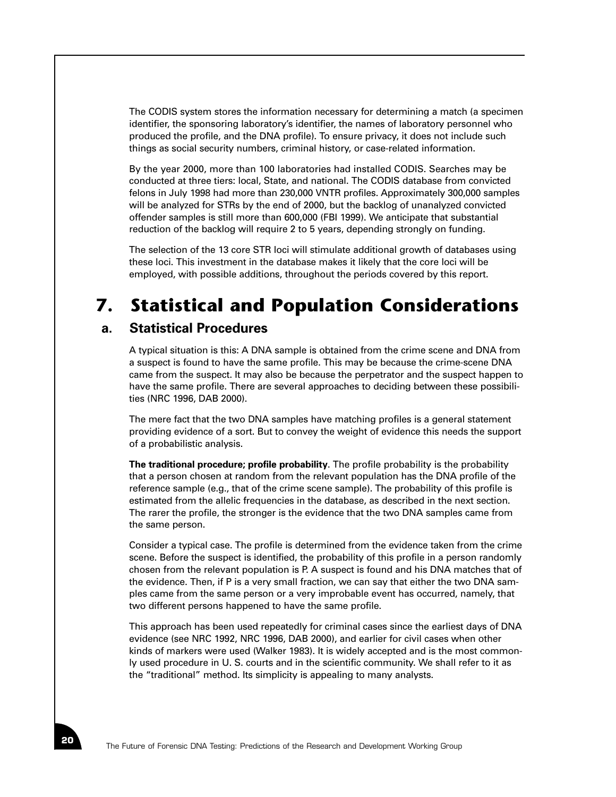The CODIS system stores the information necessary for determining a match (a specimen identifier, the sponsoring laboratory's identifier, the names of laboratory personnel who produced the profile, and the DNA profile). To ensure privacy, it does not include such things as social security numbers, criminal history, or case-related information.

By the year 2000, more than 100 laboratories had installed CODIS. Searches may be conducted at three tiers: local, State, and national. The CODIS database from convicted felons in July 1998 had more than 230,000 VNTR profiles. Approximately 300,000 samples will be analyzed for STRs by the end of 2000, but the backlog of unanalyzed convicted offender samples is still more than 600,000 (FBI 1999). We anticipate that substantial reduction of the backlog will require 2 to 5 years, depending strongly on funding.

The selection of the 13 core STR loci will stimulate additional growth of databases using these loci. This investment in the database makes it likely that the core loci will be employed, with possible additions, throughout the periods covered by this report.

# **7. Statistical and Population Considerations**

#### **a. Statistical Procedures**

A typical situation is this: A DNA sample is obtained from the crime scene and DNA from a suspect is found to have the same profile. This may be because the crime-scene DNA came from the suspect. It may also be because the perpetrator and the suspect happen to have the same profile. There are several approaches to deciding between these possibilities (NRC 1996, DAB 2000).

The mere fact that the two DNA samples have matching profiles is a general statement providing evidence of a sort. But to convey the weight of evidence this needs the support of a probabilistic analysis.

**The traditional procedure; profile probability**. The profile probability is the probability that a person chosen at random from the relevant population has the DNA profile of the reference sample (e.g., that of the crime scene sample). The probability of this profile is estimated from the allelic frequencies in the database, as described in the next section. The rarer the profile, the stronger is the evidence that the two DNA samples came from the same person.

Consider a typical case. The profile is determined from the evidence taken from the crime scene. Before the suspect is identified, the probability of this profile in a person randomly chosen from the relevant population is P. A suspect is found and his DNA matches that of the evidence. Then, if P is a very small fraction, we can say that either the two DNA samples came from the same person or a very improbable event has occurred, namely, that two different persons happened to have the same profile.

This approach has been used repeatedly for criminal cases since the earliest days of DNA evidence (see NRC 1992, NRC 1996, DAB 2000), and earlier for civil cases when other kinds of markers were used (Walker 1983). It is widely accepted and is the most commonly used procedure in U. S. courts and in the scientific community. We shall refer to it as the "traditional" method. Its simplicity is appealing to many analysts.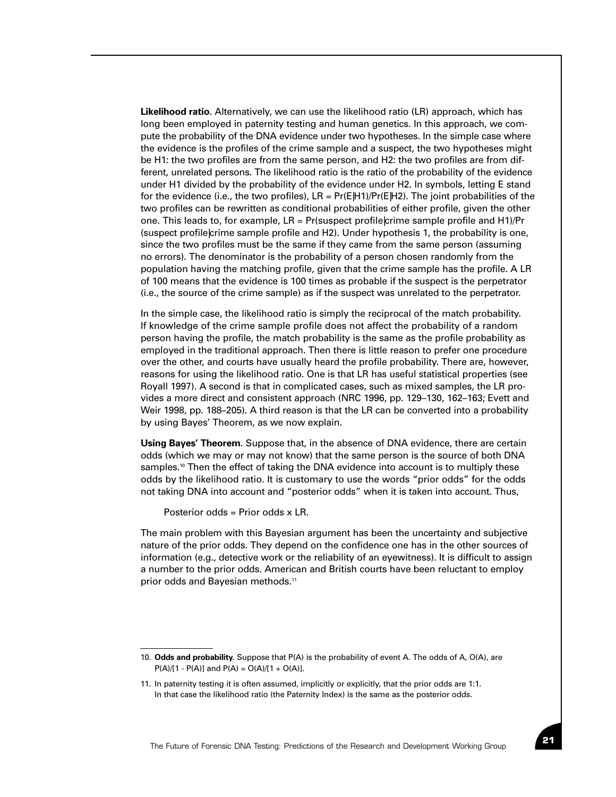**Likelihood ratio**. Alternatively, we can use the likelihood ratio (LR) approach, which has long been employed in paternity testing and human genetics. In this approach, we compute the probability of the DNA evidence under two hypotheses. In the simple case where the evidence is the profiles of the crime sample and a suspect, the two hypotheses might be H1: the two profiles are from the same person, and H2: the two profiles are from different, unrelated persons. The likelihood ratio is the ratio of the probability of the evidence under H1 divided by the probability of the evidence under H2. In symbols, letting E stand for the evidence (i.e., the two profiles),  $LR = Pr(E|H1)/Pr(E|H2)$ . The joint probabilities of the two profiles can be rewritten as conditional probabilities of either profile, given the other one. This leads to, for example, LR = Pr(suspect profile|crime sample profile and H1)/Pr (suspect profile|crime sample profile and H2). Under hypothesis 1, the probability is one, since the two profiles must be the same if they came from the same person (assuming no errors). The denominator is the probability of a person chosen randomly from the population having the matching profile, given that the crime sample has the profile. A LR of 100 means that the evidence is 100 times as probable if the suspect is the perpetrator (i.e., the source of the crime sample) as if the suspect was unrelated to the perpetrator.

In the simple case, the likelihood ratio is simply the reciprocal of the match probability. If knowledge of the crime sample profile does not affect the probability of a random person having the profile, the match probability is the same as the profile probability as employed in the traditional approach. Then there is little reason to prefer one procedure over the other, and courts have usually heard the profile probability. There are, however, reasons for using the likelihood ratio. One is that LR has useful statistical properties (see Royall 1997). A second is that in complicated cases, such as mixed samples, the LR provides a more direct and consistent approach (NRC 1996, pp. 129–130, 162–163; Evett and Weir 1998, pp. 188–205). A third reason is that the LR can be converted into a probability by using Bayes' Theorem, as we now explain.

**Using Bayes' Theorem**. Suppose that, in the absence of DNA evidence, there are certain odds (which we may or may not know) that the same person is the source of both DNA samples.<sup>10</sup> Then the effect of taking the DNA evidence into account is to multiply these odds by the likelihood ratio. It is customary to use the words "prior odds" for the odds not taking DNA into account and "posterior odds" when it is taken into account. Thus,

Posterior odds = Prior odds x LR.

The main problem with this Bayesian argument has been the uncertainty and subjective nature of the prior odds. They depend on the confidence one has in the other sources of information (e.g., detective work or the reliability of an eyewitness). It is difficult to assign a number to the prior odds. American and British courts have been reluctant to employ prior odds and Bayesian methods.<sup>11</sup>

<sup>10.</sup> **Odds and probability.** Suppose that P(A) is the probability of event A. The odds of A, O(A), are  $P(A)/[1 - P(A)]$  and  $P(A) = O(A)/[1 + O(A)]$ .

<sup>11.</sup> In paternity testing it is often assumed, implicitly or explicitly, that the prior odds are 1:1. In that case the likelihood ratio (the Paternity Index) is the same as the posterior odds.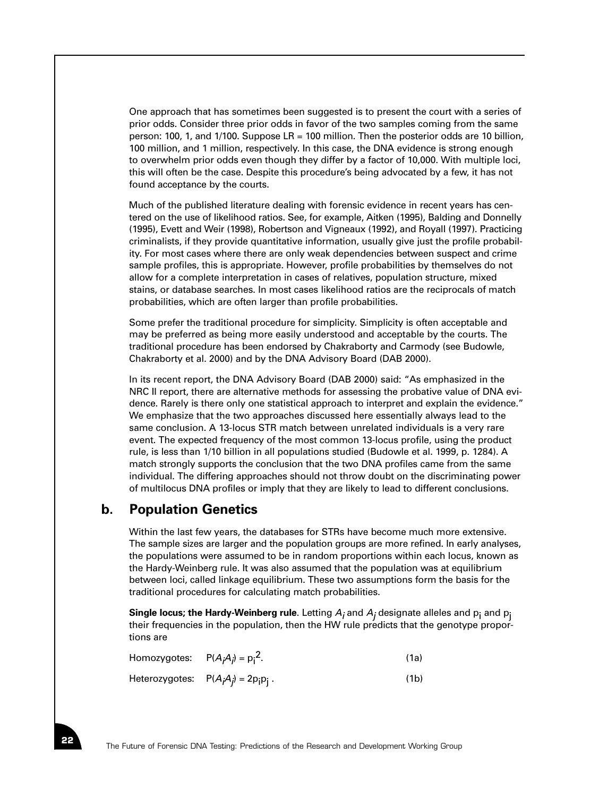One approach that has sometimes been suggested is to present the court with a series of prior odds. Consider three prior odds in favor of the two samples coming from the same person: 100, 1, and 1/100. Suppose LR = 100 million. Then the posterior odds are 10 billion, 100 million, and 1 million, respectively. In this case, the DNA evidence is strong enough to overwhelm prior odds even though they differ by a factor of 10,000. With multiple loci, this will often be the case. Despite this procedure's being advocated by a few, it has not found acceptance by the courts.

Much of the published literature dealing with forensic evidence in recent years has centered on the use of likelihood ratios. See, for example, Aitken (1995), Balding and Donnelly (1995), Evett and Weir (1998), Robertson and Vigneaux (1992), and Royall (1997). Practicing criminalists, if they provide quantitative information, usually give just the profile probability. For most cases where there are only weak dependencies between suspect and crime sample profiles, this is appropriate. However, profile probabilities by themselves do not allow for a complete interpretation in cases of relatives, population structure, mixed stains, or database searches. In most cases likelihood ratios are the reciprocals of match probabilities, which are often larger than profile probabilities.

Some prefer the traditional procedure for simplicity. Simplicity is often acceptable and may be preferred as being more easily understood and acceptable by the courts. The traditional procedure has been endorsed by Chakraborty and Carmody (see Budowle, Chakraborty et al. 2000) and by the DNA Advisory Board (DAB 2000).

In its recent report, the DNA Advisory Board (DAB 2000) said: "As emphasized in the NRC II report, there are alternative methods for assessing the probative value of DNA evidence. Rarely is there only one statistical approach to interpret and explain the evidence." We emphasize that the two approaches discussed here essentially always lead to the same conclusion. A 13-locus STR match between unrelated individuals is a very rare event. The expected frequency of the most common 13-locus profile, using the product rule, is less than 1/10 billion in all populations studied (Budowle et al. 1999, p. 1284). A match strongly supports the conclusion that the two DNA profiles came from the same individual. The differing approaches should not throw doubt on the discriminating power of multilocus DNA profiles or imply that they are likely to lead to different conclusions.

#### **b. Population Genetics**

Within the last few years, the databases for STRs have become much more extensive. The sample sizes are larger and the population groups are more refined. In early analyses, the populations were assumed to be in random proportions within each locus, known as the Hardy-Weinberg rule. It was also assumed that the population was at equilibrium between loci, called linkage equilibrium. These two assumptions form the basis for the traditional procedures for calculating match probabilities.

**Single locus; the Hardy-Weinberg rule**. Letting  $A_i$  and  $A_j$  designate alleles and  $p_i$  and  $p_j$ their frequencies in the population, then the HW rule predicts that the genotype proportions are

| Homozygotes: $P(A_iA_j) = p_i^2$ . |                                        | (1a) |
|------------------------------------|----------------------------------------|------|
|                                    | Heterozygotes: $P(A_iA_j) = 2p_ip_i$ . | (1b) |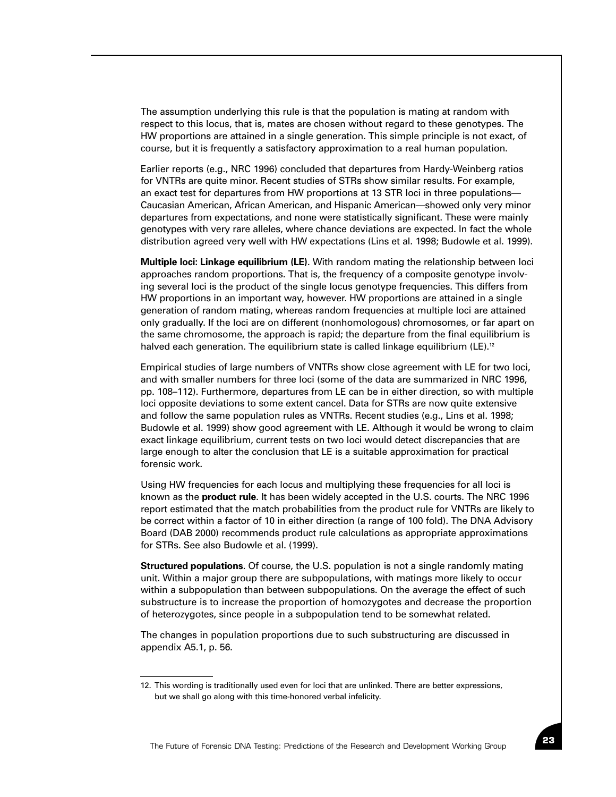The assumption underlying this rule is that the population is mating at random with respect to this locus, that is, mates are chosen without regard to these genotypes. The HW proportions are attained in a single generation. This simple principle is not exact, of course, but it is frequently a satisfactory approximation to a real human population.

Earlier reports (e.g., NRC 1996) concluded that departures from Hardy-Weinberg ratios for VNTRs are quite minor. Recent studies of STRs show similar results. For example, an exact test for departures from HW proportions at 13 STR loci in three populations— Caucasian American, African American, and Hispanic American—showed only very minor departures from expectations, and none were statistically significant. These were mainly genotypes with very rare alleles, where chance deviations are expected. In fact the whole distribution agreed very well with HW expectations (Lins et al. 1998; Budowle et al. 1999).

**Multiple loci: Linkage equilibrium (LE)**. With random mating the relationship between loci approaches random proportions. That is, the frequency of a composite genotype involving several loci is the product of the single locus genotype frequencies. This differs from HW proportions in an important way, however. HW proportions are attained in a single generation of random mating, whereas random frequencies at multiple loci are attained only gradually. If the loci are on different (nonhomologous) chromosomes, or far apart on the same chromosome, the approach is rapid; the departure from the final equilibrium is halved each generation. The equilibrium state is called linkage equilibrium (LE).<sup>12</sup>

Empirical studies of large numbers of VNTRs show close agreement with LE for two loci, and with smaller numbers for three loci (some of the data are summarized in NRC 1996, pp. 108–112). Furthermore, departures from LE can be in either direction, so with multiple loci opposite deviations to some extent cancel. Data for STRs are now quite extensive and follow the same population rules as VNTRs. Recent studies (e.g., Lins et al. 1998; Budowle et al. 1999) show good agreement with LE. Although it would be wrong to claim exact linkage equilibrium, current tests on two loci would detect discrepancies that are large enough to alter the conclusion that LE is a suitable approximation for practical forensic work.

Using HW frequencies for each locus and multiplying these frequencies for all loci is known as the **product rule**. It has been widely accepted in the U.S. courts. The NRC 1996 report estimated that the match probabilities from the product rule for VNTRs are likely to be correct within a factor of 10 in either direction (a range of 100 fold). The DNA Advisory Board (DAB 2000) recommends product rule calculations as appropriate approximations for STRs. See also Budowle et al. (1999).

**Structured populations**. Of course, the U.S. population is not a single randomly mating unit. Within a major group there are subpopulations, with matings more likely to occur within a subpopulation than between subpopulations. On the average the effect of such substructure is to increase the proportion of homozygotes and decrease the proportion of heterozygotes, since people in a subpopulation tend to be somewhat related.

The changes in population proportions due to such substructuring are discussed in appendix A5.1, p. 56.

<sup>12.</sup> This wording is traditionally used even for loci that are unlinked. There are better expressions, but we shall go along with this time-honored verbal infelicity.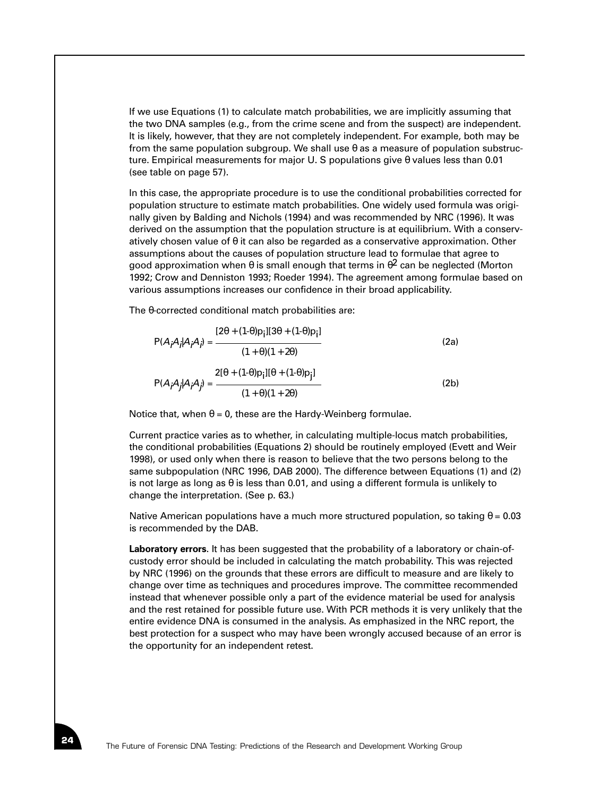If we use Equations (1) to calculate match probabilities, we are implicitly assuming that the two DNA samples (e.g., from the crime scene and from the suspect) are independent. It is likely, however, that they are not completely independent. For example, both may be from the same population subgroup. We shall use  $\theta$  as a measure of population substructure. Empirical measurements for major U. S populations give θ values less than 0.01 (see table on page 57).

In this case, the appropriate procedure is to use the conditional probabilities corrected for population structure to estimate match probabilities. One widely used formula was originally given by Balding and Nichols (1994) and was recommended by NRC (1996). It was derived on the assumption that the population structure is at equilibrium. With a conservatively chosen value of  $\theta$  it can also be regarded as a conservative approximation. Other assumptions about the causes of population structure lead to formulae that agree to good approximation when  $\theta$  is small enough that terms in  $\theta^2$  can be neglected (Morton 1992; Crow and Denniston 1993; Roeder 1994). The agreement among formulae based on various assumptions increases our confidence in their broad applicability.

The θ-corrected conditional match probabilities are:

$$
P(A_iA_j|A_iA_j) = \frac{[2\theta + (1-\theta)p_i][3\theta + (1-\theta)p_i]}{(1+\theta)(1+2\theta)}
$$
(2a)  

$$
P(A_iA_j|A_iA_j) = \frac{2[\theta + (1-\theta)p_i][\theta + (1-\theta)p_j]}{(1+\theta)(1+2\theta)}
$$
(2b)

Notice that, when  $\theta = 0$ , these are the Hardy-Weinberg formulae.

Current practice varies as to whether, in calculating multiple-locus match probabilities, the conditional probabilities (Equations 2) should be routinely employed (Evett and Weir 1998), or used only when there is reason to believe that the two persons belong to the same subpopulation (NRC 1996, DAB 2000). The difference between Equations (1) and (2) is not large as long as  $\theta$  is less than 0.01, and using a different formula is unlikely to change the interpretation. (See p. 63.)

Native American populations have a much more structured population, so taking  $\theta = 0.03$ is recommended by the DAB.

**Laboratory errors**. It has been suggested that the probability of a laboratory or chain-ofcustody error should be included in calculating the match probability. This was rejected by NRC (1996) on the grounds that these errors are difficult to measure and are likely to change over time as techniques and procedures improve. The committee recommended instead that whenever possible only a part of the evidence material be used for analysis and the rest retained for possible future use. With PCR methods it is very unlikely that the entire evidence DNA is consumed in the analysis. As emphasized in the NRC report, the best protection for a suspect who may have been wrongly accused because of an error is the opportunity for an independent retest.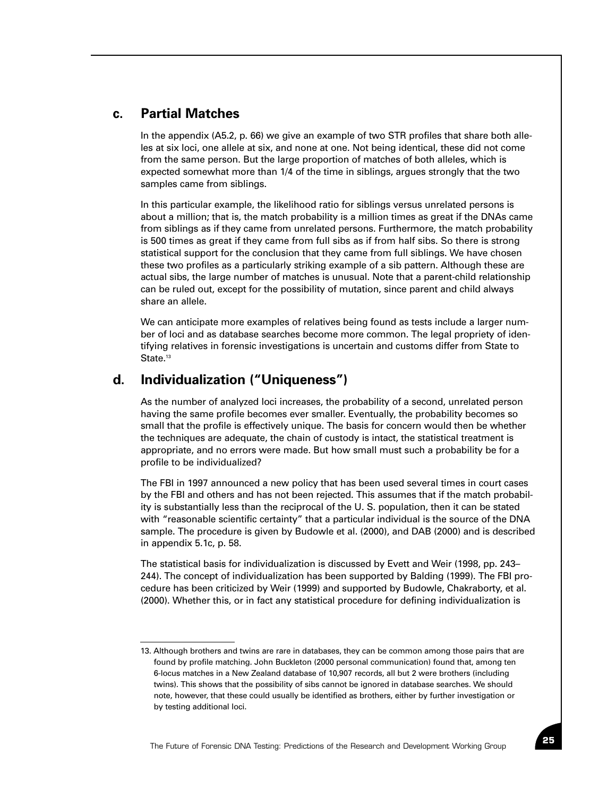#### **c. Partial Matches**

In the appendix (A5.2, p. 66) we give an example of two STR profiles that share both alleles at six loci, one allele at six, and none at one. Not being identical, these did not come from the same person. But the large proportion of matches of both alleles, which is expected somewhat more than 1/4 of the time in siblings, argues strongly that the two samples came from siblings.

In this particular example, the likelihood ratio for siblings versus unrelated persons is about a million; that is, the match probability is a million times as great if the DNAs came from siblings as if they came from unrelated persons. Furthermore, the match probability is 500 times as great if they came from full sibs as if from half sibs. So there is strong statistical support for the conclusion that they came from full siblings. We have chosen these two profiles as a particularly striking example of a sib pattern. Although these are actual sibs, the large number of matches is unusual. Note that a parent-child relationship can be ruled out, except for the possibility of mutation, since parent and child always share an allele.

We can anticipate more examples of relatives being found as tests include a larger number of loci and as database searches become more common. The legal propriety of identifying relatives in forensic investigations is uncertain and customs differ from State to State.<sup>13</sup>

#### **d. Individualization ("Uniqueness")**

As the number of analyzed loci increases, the probability of a second, unrelated person having the same profile becomes ever smaller. Eventually, the probability becomes so small that the profile is effectively unique. The basis for concern would then be whether the techniques are adequate, the chain of custody is intact, the statistical treatment is appropriate, and no errors were made. But how small must such a probability be for a profile to be individualized?

The FBI in 1997 announced a new policy that has been used several times in court cases by the FBI and others and has not been rejected. This assumes that if the match probability is substantially less than the reciprocal of the U. S. population, then it can be stated with "reasonable scientific certainty" that a particular individual is the source of the DNA sample. The procedure is given by Budowle et al. (2000), and DAB (2000) and is described in appendix 5.1c, p. 58.

The statistical basis for individualization is discussed by Evett and Weir (1998, pp. 243– 244). The concept of individualization has been supported by Balding (1999). The FBI procedure has been criticized by Weir (1999) and supported by Budowle, Chakraborty, et al. (2000). Whether this, or in fact any statistical procedure for defining individualization is

<sup>13.</sup> Although brothers and twins are rare in databases, they can be common among those pairs that are found by profile matching. John Buckleton (2000 personal communication) found that, among ten 6-locus matches in a New Zealand database of 10,907 records, all but 2 were brothers (including twins). This shows that the possibility of sibs cannot be ignored in database searches. We should note, however, that these could usually be identified as brothers, either by further investigation or by testing additional loci.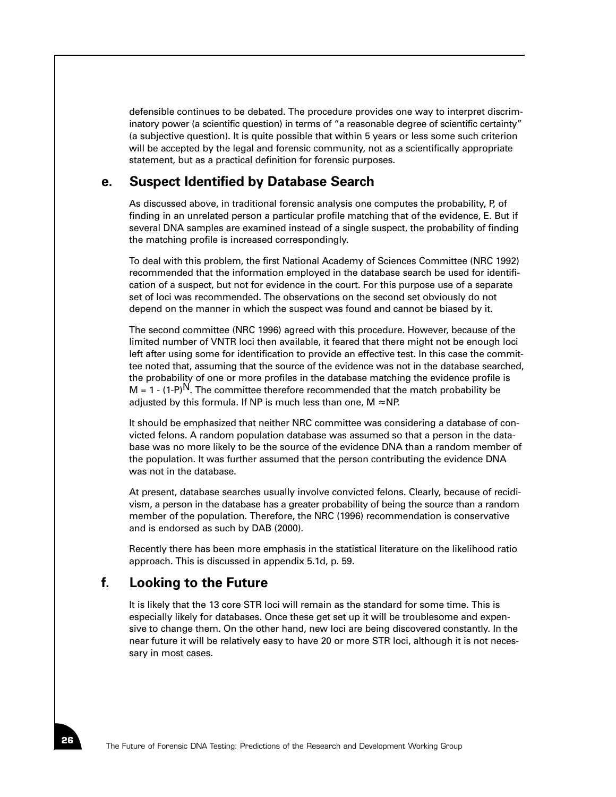defensible continues to be debated. The procedure provides one way to interpret discriminatory power (a scientific question) in terms of "a reasonable degree of scientific certainty" (a subjective question). It is quite possible that within 5 years or less some such criterion will be accepted by the legal and forensic community, not as a scientifically appropriate statement, but as a practical definition for forensic purposes.

## **e. Suspect Identified by Database Search**

As discussed above, in traditional forensic analysis one computes the probability, P, of finding in an unrelated person a particular profile matching that of the evidence, E. But if several DNA samples are examined instead of a single suspect, the probability of finding the matching profile is increased correspondingly.

To deal with this problem, the first National Academy of Sciences Committee (NRC 1992) recommended that the information employed in the database search be used for identification of a suspect, but not for evidence in the court. For this purpose use of a separate set of loci was recommended. The observations on the second set obviously do not depend on the manner in which the suspect was found and cannot be biased by it.

The second committee (NRC 1996) agreed with this procedure. However, because of the limited number of VNTR loci then available, it feared that there might not be enough loci left after using some for identification to provide an effective test. In this case the committee noted that, assuming that the source of the evidence was not in the database searched, the probability of one or more profiles in the database matching the evidence profile is  $M = 1 - (1-P)^N$ . The committee therefore recommended that the match probability be adjusted by this formula. If NP is much less than one,  $M \approx NP$ .

It should be emphasized that neither NRC committee was considering a database of convicted felons. A random population database was assumed so that a person in the database was no more likely to be the source of the evidence DNA than a random member of the population. It was further assumed that the person contributing the evidence DNA was not in the database.

At present, database searches usually involve convicted felons. Clearly, because of recidivism, a person in the database has a greater probability of being the source than a random member of the population. Therefore, the NRC (1996) recommendation is conservative and is endorsed as such by DAB (2000).

Recently there has been more emphasis in the statistical literature on the likelihood ratio approach. This is discussed in appendix 5.1d, p. 59.

# **f. Looking to the Future**

It is likely that the 13 core STR loci will remain as the standard for some time. This is especially likely for databases. Once these get set up it will be troublesome and expensive to change them. On the other hand, new loci are being discovered constantly. In the near future it will be relatively easy to have 20 or more STR loci, although it is not necessary in most cases.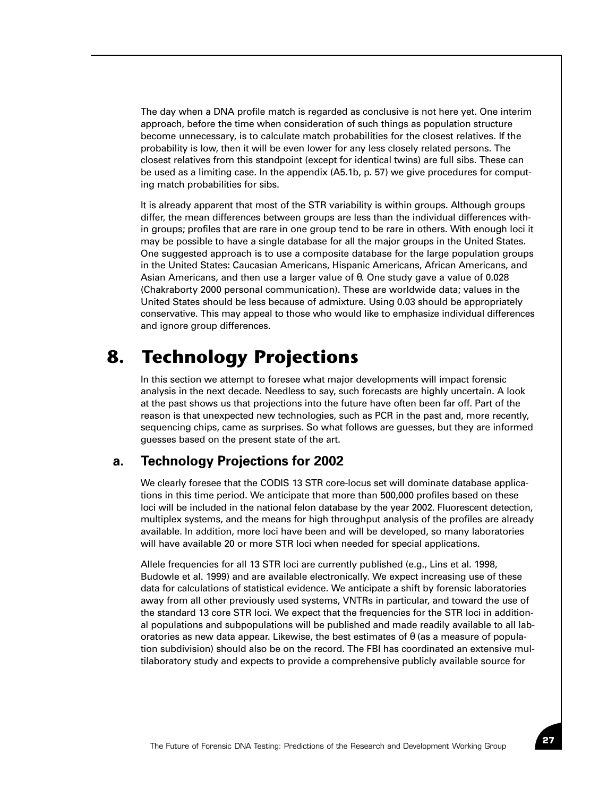The day when a DNA profile match is regarded as conclusive is not here yet. One interim approach, before the time when consideration of such things as population structure become unnecessary, is to calculate match probabilities for the closest relatives. If the probability is low, then it will be even lower for any less closely related persons. The closest relatives from this standpoint (except for identical twins) are full sibs. These can be used as a limiting case. In the appendix (A5.1b, p. 57) we give procedures for computing match probabilities for sibs.

It is already apparent that most of the STR variability is within groups. Although groups differ, the mean differences between groups are less than the individual differences within groups; profiles that are rare in one group tend to be rare in others. With enough loci it may be possible to have a single database for all the major groups in the United States. One suggested approach is to use a composite database for the large population groups in the United States: Caucasian Americans, Hispanic Americans, African Americans, and Asian Americans, and then use a larger value of θ. One study gave a value of 0.028 (Chakraborty 2000 personal communication). These are worldwide data; values in the United States should be less because of admixture. Using 0.03 should be appropriately conservative. This may appeal to those who would like to emphasize individual differences and ignore group differences.

# **8. Technology Projections**

In this section we attempt to foresee what major developments will impact forensic analysis in the next decade. Needless to say, such forecasts are highly uncertain. A look at the past shows us that projections into the future have often been far off. Part of the reason is that unexpected new technologies, such as PCR in the past and, more recently, sequencing chips, came as surprises. So what follows are guesses, but they are informed guesses based on the present state of the art.

# **a. Technology Projections for 2002**

We clearly foresee that the CODIS 13 STR core-locus set will dominate database applications in this time period. We anticipate that more than 500,000 profiles based on these loci will be included in the national felon database by the year 2002. Fluorescent detection, multiplex systems, and the means for high throughput analysis of the profiles are already available. In addition, more loci have been and will be developed, so many laboratories will have available 20 or more STR loci when needed for special applications.

Allele frequencies for all 13 STR loci are currently published (e.g., Lins et al. 1998, Budowle et al. 1999) and are available electronically. We expect increasing use of these data for calculations of statistical evidence. We anticipate a shift by forensic laboratories away from all other previously used systems, VNTRs in particular, and toward the use of the standard 13 core STR loci. We expect that the frequencies for the STR loci in additional populations and subpopulations will be published and made readily available to all laboratories as new data appear. Likewise, the best estimates of  $\theta$  (as a measure of population subdivision) should also be on the record. The FBI has coordinated an extensive multilaboratory study and expects to provide a comprehensive publicly available source for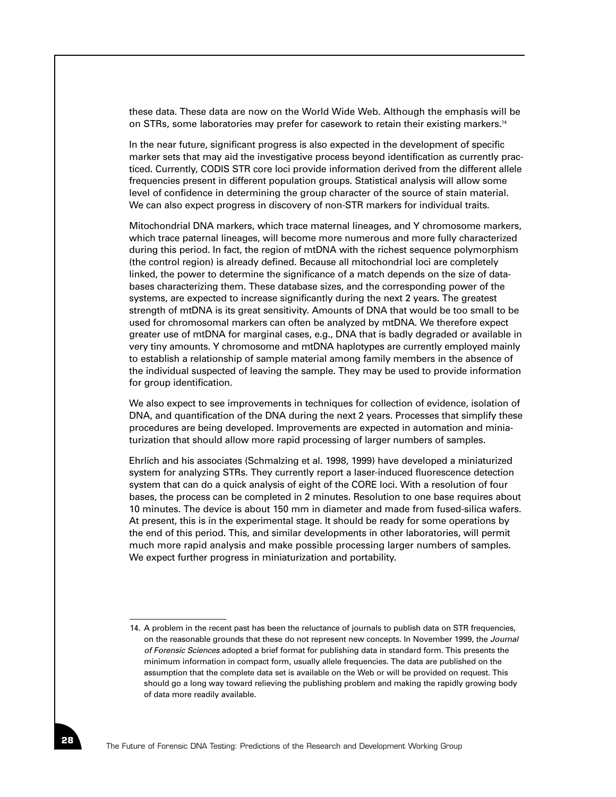these data. These data are now on the World Wide Web. Although the emphasis will be on STRs, some laboratories may prefer for casework to retain their existing markers.14

In the near future, significant progress is also expected in the development of specific marker sets that may aid the investigative process beyond identification as currently practiced. Currently, CODIS STR core loci provide information derived from the different allele frequencies present in different population groups. Statistical analysis will allow some level of confidence in determining the group character of the source of stain material. We can also expect progress in discovery of non-STR markers for individual traits.

Mitochondrial DNA markers, which trace maternal lineages, and Y chromosome markers, which trace paternal lineages, will become more numerous and more fully characterized during this period. In fact, the region of mtDNA with the richest sequence polymorphism (the control region) is already defined. Because all mitochondrial loci are completely linked, the power to determine the significance of a match depends on the size of databases characterizing them. These database sizes, and the corresponding power of the systems, are expected to increase significantly during the next 2 years. The greatest strength of mtDNA is its great sensitivity. Amounts of DNA that would be too small to be used for chromosomal markers can often be analyzed by mtDNA. We therefore expect greater use of mtDNA for marginal cases, e.g., DNA that is badly degraded or available in very tiny amounts. Y chromosome and mtDNA haplotypes are currently employed mainly to establish a relationship of sample material among family members in the absence of the individual suspected of leaving the sample. They may be used to provide information for group identification.

We also expect to see improvements in techniques for collection of evidence, isolation of DNA, and quantification of the DNA during the next 2 years. Processes that simplify these procedures are being developed. Improvements are expected in automation and miniaturization that should allow more rapid processing of larger numbers of samples.

Ehrlich and his associates (Schmalzing et al. 1998, 1999) have developed a miniaturized system for analyzing STRs. They currently report a laser-induced fluorescence detection system that can do a quick analysis of eight of the CORE loci. With a resolution of four bases, the process can be completed in 2 minutes. Resolution to one base requires about 10 minutes. The device is about 150 mm in diameter and made from fused-silica wafers. At present, this is in the experimental stage. It should be ready for some operations by the end of this period. This, and similar developments in other laboratories, will permit much more rapid analysis and make possible processing larger numbers of samples. We expect further progress in miniaturization and portability.

<sup>14.</sup> A problem in the recent past has been the reluctance of journals to publish data on STR frequencies, on the reasonable grounds that these do not represent new concepts. In November 1999, the *Journal of Forensic Sciences* adopted a brief format for publishing data in standard form. This presents the minimum information in compact form, usually allele frequencies. The data are published on the assumption that the complete data set is available on the Web or will be provided on request. This should go a long way toward relieving the publishing problem and making the rapidly growing body of data more readily available.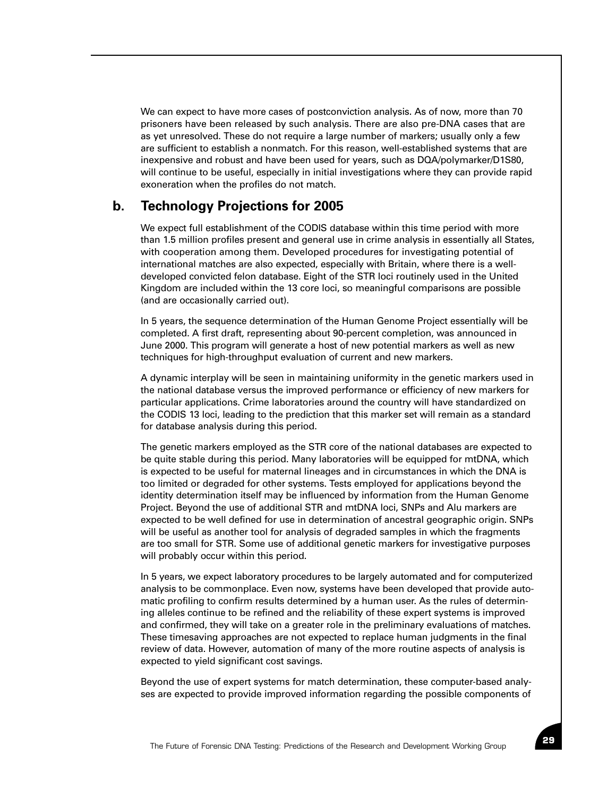We can expect to have more cases of postconviction analysis. As of now, more than 70 prisoners have been released by such analysis. There are also pre-DNA cases that are as yet unresolved. These do not require a large number of markers; usually only a few are sufficient to establish a nonmatch. For this reason, well-established systems that are inexpensive and robust and have been used for years, such as DQA/polymarker/D1S80, will continue to be useful, especially in initial investigations where they can provide rapid exoneration when the profiles do not match.

# **b. Technology Projections for 2005**

We expect full establishment of the CODIS database within this time period with more than 1.5 million profiles present and general use in crime analysis in essentially all States, with cooperation among them. Developed procedures for investigating potential of international matches are also expected, especially with Britain, where there is a welldeveloped convicted felon database. Eight of the STR loci routinely used in the United Kingdom are included within the 13 core loci, so meaningful comparisons are possible (and are occasionally carried out).

In 5 years, the sequence determination of the Human Genome Project essentially will be completed. A first draft, representing about 90-percent completion, was announced in June 2000. This program will generate a host of new potential markers as well as new techniques for high-throughput evaluation of current and new markers.

A dynamic interplay will be seen in maintaining uniformity in the genetic markers used in the national database versus the improved performance or efficiency of new markers for particular applications. Crime laboratories around the country will have standardized on the CODIS 13 loci, leading to the prediction that this marker set will remain as a standard for database analysis during this period.

The genetic markers employed as the STR core of the national databases are expected to be quite stable during this period. Many laboratories will be equipped for mtDNA, which is expected to be useful for maternal lineages and in circumstances in which the DNA is too limited or degraded for other systems. Tests employed for applications beyond the identity determination itself may be influenced by information from the Human Genome Project. Beyond the use of additional STR and mtDNA loci, SNPs and Alu markers are expected to be well defined for use in determination of ancestral geographic origin. SNPs will be useful as another tool for analysis of degraded samples in which the fragments are too small for STR. Some use of additional genetic markers for investigative purposes will probably occur within this period.

In 5 years, we expect laboratory procedures to be largely automated and for computerized analysis to be commonplace. Even now, systems have been developed that provide automatic profiling to confirm results determined by a human user. As the rules of determining alleles continue to be refined and the reliability of these expert systems is improved and confirmed, they will take on a greater role in the preliminary evaluations of matches. These timesaving approaches are not expected to replace human judgments in the final review of data. However, automation of many of the more routine aspects of analysis is expected to yield significant cost savings.

Beyond the use of expert systems for match determination, these computer-based analyses are expected to provide improved information regarding the possible components of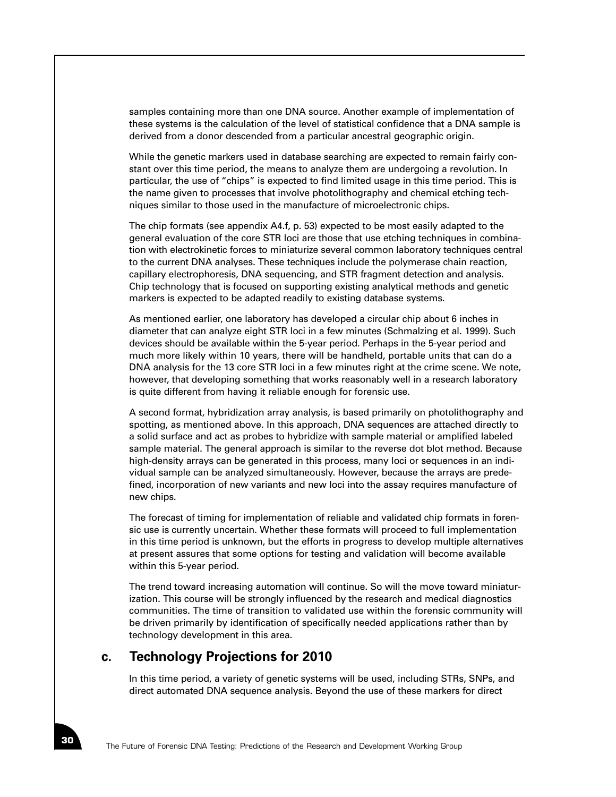samples containing more than one DNA source. Another example of implementation of these systems is the calculation of the level of statistical confidence that a DNA sample is derived from a donor descended from a particular ancestral geographic origin.

While the genetic markers used in database searching are expected to remain fairly constant over this time period, the means to analyze them are undergoing a revolution. In particular, the use of "chips" is expected to find limited usage in this time period. This is the name given to processes that involve photolithography and chemical etching techniques similar to those used in the manufacture of microelectronic chips.

The chip formats (see appendix A4.f, p. 53) expected to be most easily adapted to the general evaluation of the core STR loci are those that use etching techniques in combination with electrokinetic forces to miniaturize several common laboratory techniques central to the current DNA analyses. These techniques include the polymerase chain reaction, capillary electrophoresis, DNA sequencing, and STR fragment detection and analysis. Chip technology that is focused on supporting existing analytical methods and genetic markers is expected to be adapted readily to existing database systems.

As mentioned earlier, one laboratory has developed a circular chip about 6 inches in diameter that can analyze eight STR loci in a few minutes (Schmalzing et al. 1999). Such devices should be available within the 5-year period. Perhaps in the 5-year period and much more likely within 10 years, there will be handheld, portable units that can do a DNA analysis for the 13 core STR loci in a few minutes right at the crime scene. We note, however, that developing something that works reasonably well in a research laboratory is quite different from having it reliable enough for forensic use.

A second format, hybridization array analysis, is based primarily on photolithography and spotting, as mentioned above. In this approach, DNA sequences are attached directly to a solid surface and act as probes to hybridize with sample material or amplified labeled sample material. The general approach is similar to the reverse dot blot method. Because high-density arrays can be generated in this process, many loci or sequences in an individual sample can be analyzed simultaneously. However, because the arrays are predefined, incorporation of new variants and new loci into the assay requires manufacture of new chips.

The forecast of timing for implementation of reliable and validated chip formats in forensic use is currently uncertain. Whether these formats will proceed to full implementation in this time period is unknown, but the efforts in progress to develop multiple alternatives at present assures that some options for testing and validation will become available within this 5-year period.

The trend toward increasing automation will continue. So will the move toward miniaturization. This course will be strongly influenced by the research and medical diagnostics communities. The time of transition to validated use within the forensic community will be driven primarily by identification of specifically needed applications rather than by technology development in this area.

#### **c. Technology Projections for 2010**

In this time period, a variety of genetic systems will be used, including STRs, SNPs, and direct automated DNA sequence analysis. Beyond the use of these markers for direct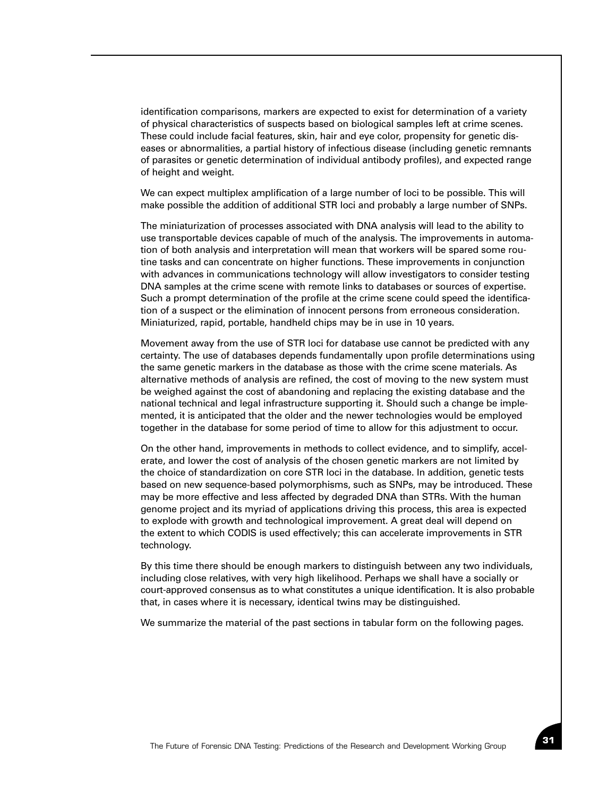identification comparisons, markers are expected to exist for determination of a variety of physical characteristics of suspects based on biological samples left at crime scenes. These could include facial features, skin, hair and eye color, propensity for genetic diseases or abnormalities, a partial history of infectious disease (including genetic remnants of parasites or genetic determination of individual antibody profiles), and expected range of height and weight.

We can expect multiplex amplification of a large number of loci to be possible. This will make possible the addition of additional STR loci and probably a large number of SNPs.

The miniaturization of processes associated with DNA analysis will lead to the ability to use transportable devices capable of much of the analysis. The improvements in automation of both analysis and interpretation will mean that workers will be spared some routine tasks and can concentrate on higher functions. These improvements in conjunction with advances in communications technology will allow investigators to consider testing DNA samples at the crime scene with remote links to databases or sources of expertise. Such a prompt determination of the profile at the crime scene could speed the identification of a suspect or the elimination of innocent persons from erroneous consideration. Miniaturized, rapid, portable, handheld chips may be in use in 10 years.

Movement away from the use of STR loci for database use cannot be predicted with any certainty. The use of databases depends fundamentally upon profile determinations using the same genetic markers in the database as those with the crime scene materials. As alternative methods of analysis are refined, the cost of moving to the new system must be weighed against the cost of abandoning and replacing the existing database and the national technical and legal infrastructure supporting it. Should such a change be implemented, it is anticipated that the older and the newer technologies would be employed together in the database for some period of time to allow for this adjustment to occur.

On the other hand, improvements in methods to collect evidence, and to simplify, accelerate, and lower the cost of analysis of the chosen genetic markers are not limited by the choice of standardization on core STR loci in the database. In addition, genetic tests based on new sequence-based polymorphisms, such as SNPs, may be introduced. These may be more effective and less affected by degraded DNA than STRs. With the human genome project and its myriad of applications driving this process, this area is expected to explode with growth and technological improvement. A great deal will depend on the extent to which CODIS is used effectively; this can accelerate improvements in STR technology.

By this time there should be enough markers to distinguish between any two individuals, including close relatives, with very high likelihood. Perhaps we shall have a socially or court-approved consensus as to what constitutes a unique identification. It is also probable that, in cases where it is necessary, identical twins may be distinguished.

We summarize the material of the past sections in tabular form on the following pages.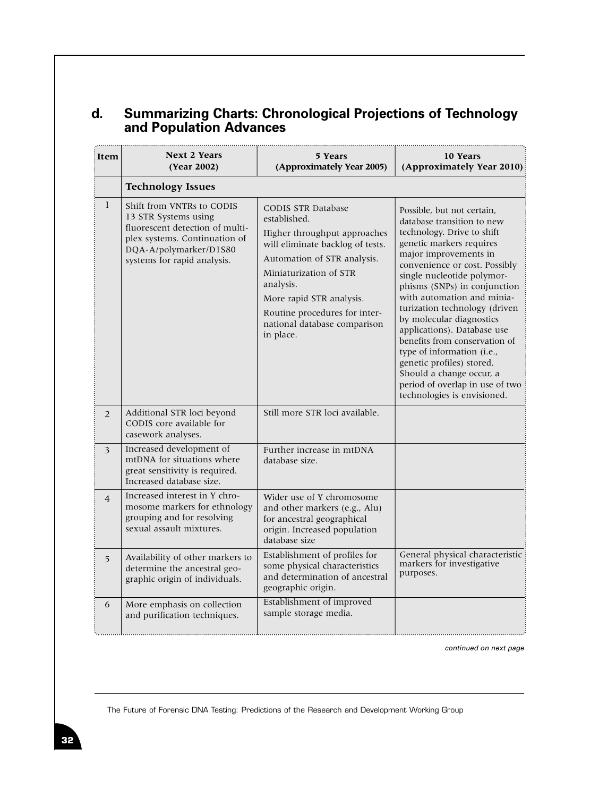# **d. Summarizing Charts: Chronological Projections of Technology and Population Advances**

| Item           | <b>Next 2 Years</b><br>(Year 2002)                                                                                                                                             | 5 Years<br>(Approximately Year 2005)                                                                                                                                                                                                                                                          | 10 Years<br>(Approximately Year 2010)                                                                                                                                                                                                                                                                                                                                                                                                                                                                                                                          |
|----------------|--------------------------------------------------------------------------------------------------------------------------------------------------------------------------------|-----------------------------------------------------------------------------------------------------------------------------------------------------------------------------------------------------------------------------------------------------------------------------------------------|----------------------------------------------------------------------------------------------------------------------------------------------------------------------------------------------------------------------------------------------------------------------------------------------------------------------------------------------------------------------------------------------------------------------------------------------------------------------------------------------------------------------------------------------------------------|
|                | <b>Technology Issues</b>                                                                                                                                                       |                                                                                                                                                                                                                                                                                               |                                                                                                                                                                                                                                                                                                                                                                                                                                                                                                                                                                |
| $\mathbf{1}$   | Shift from VNTRs to CODIS<br>13 STR Systems using<br>fluorescent detection of multi-<br>plex systems. Continuation of<br>DQA-A/polymarker/D1S80<br>systems for rapid analysis. | <b>CODIS STR Database</b><br>established.<br>Higher throughput approaches<br>will eliminate backlog of tests.<br>Automation of STR analysis.<br>Miniaturization of STR<br>analysis.<br>More rapid STR analysis.<br>Routine procedures for inter-<br>national database comparison<br>in place. | Possible, but not certain,<br>database transition to new<br>technology. Drive to shift<br>genetic markers requires<br>major improvements in<br>convenience or cost. Possibly<br>single nucleotide polymor-<br>phisms (SNPs) in conjunction<br>with automation and minia-<br>turization technology (driven<br>by molecular diagnostics<br>applications). Database use<br>benefits from conservation of<br>type of information (i.e.,<br>genetic profiles) stored.<br>Should a change occur, a<br>period of overlap in use of two<br>technologies is envisioned. |
| 2              | Additional STR loci beyond<br>CODIS core available for<br>casework analyses.                                                                                                   | Still more STR loci available.                                                                                                                                                                                                                                                                |                                                                                                                                                                                                                                                                                                                                                                                                                                                                                                                                                                |
| 3              | Increased development of<br>mtDNA for situations where<br>great sensitivity is required.<br>Increased database size.                                                           | Further increase in mtDNA<br>database size.                                                                                                                                                                                                                                                   |                                                                                                                                                                                                                                                                                                                                                                                                                                                                                                                                                                |
| $\overline{4}$ | Increased interest in Y chro-<br>mosome markers for ethnology<br>grouping and for resolving<br>sexual assault mixtures.                                                        | Wider use of Y chromosome<br>and other markers (e.g., Alu)<br>for ancestral geographical<br>origin. Increased population<br>database size                                                                                                                                                     |                                                                                                                                                                                                                                                                                                                                                                                                                                                                                                                                                                |
| 5              | Availability of other markers to<br>determine the ancestral geo-<br>graphic origin of individuals.                                                                             | Establishment of profiles for<br>some physical characteristics<br>and determination of ancestral<br>geographic origin.                                                                                                                                                                        | General physical characteristic<br>markers for investigative<br>purposes.                                                                                                                                                                                                                                                                                                                                                                                                                                                                                      |
| 6              | More emphasis on collection<br>and purification techniques.                                                                                                                    | Establishment of improved<br>sample storage media.                                                                                                                                                                                                                                            |                                                                                                                                                                                                                                                                                                                                                                                                                                                                                                                                                                |

*continued on next page*

The Future of Forensic DNA Testing: Predictions of the Research and Development Working Group

...........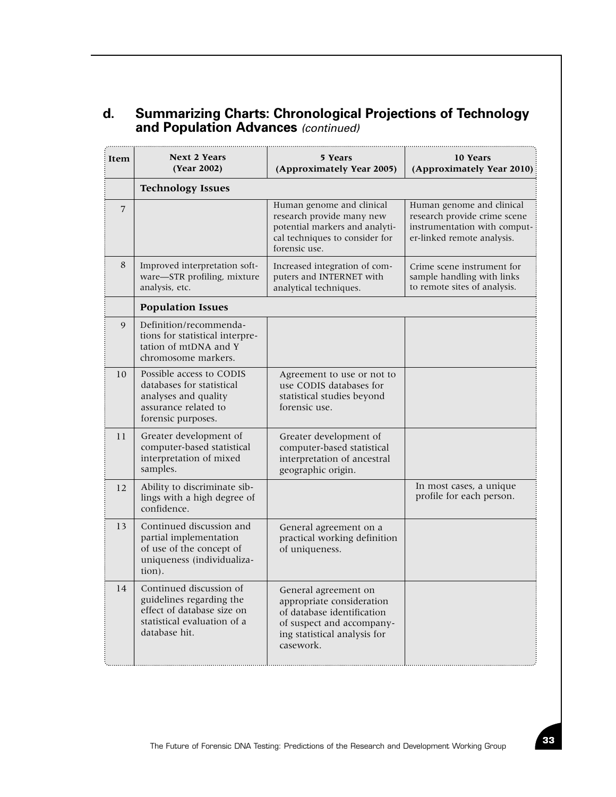# **d. Summarizing Charts: Chronological Projections of Technology and Population Advances** *(continued)*

| Item | <b>Next 2 Years</b><br>(Year 2002)                                                                                                | 5 Years<br>(Approximately Year 2005)                                                                                                                      | 10 Years<br>(Approximately Year 2010)                                                                                   |  |  |  |
|------|-----------------------------------------------------------------------------------------------------------------------------------|-----------------------------------------------------------------------------------------------------------------------------------------------------------|-------------------------------------------------------------------------------------------------------------------------|--|--|--|
|      | <b>Technology Issues</b>                                                                                                          |                                                                                                                                                           |                                                                                                                         |  |  |  |
| 7    |                                                                                                                                   | Human genome and clinical<br>research provide many new<br>potential markers and analyti-<br>cal techniques to consider for<br>forensic use.               | Human genome and clinical<br>research provide crime scene<br>instrumentation with comput-<br>er-linked remote analysis. |  |  |  |
| 8    | Improved interpretation soft-<br>ware-STR profiling, mixture<br>analysis, etc.                                                    | Increased integration of com-<br>puters and INTERNET with<br>analytical techniques.                                                                       | Crime scene instrument for<br>sample handling with links<br>to remote sites of analysis.                                |  |  |  |
|      | <b>Population Issues</b>                                                                                                          |                                                                                                                                                           |                                                                                                                         |  |  |  |
| 9    | Definition/recommenda-<br>tions for statistical interpre-<br>tation of mtDNA and Y<br>chromosome markers.                         |                                                                                                                                                           |                                                                                                                         |  |  |  |
| 10   | Possible access to CODIS<br>databases for statistical<br>analyses and quality<br>assurance related to<br>forensic purposes.       | Agreement to use or not to<br>use CODIS databases for<br>statistical studies beyond<br>forensic use.                                                      |                                                                                                                         |  |  |  |
| 11   | Greater development of<br>computer-based statistical<br>interpretation of mixed<br>samples.                                       | Greater development of<br>computer-based statistical<br>interpretation of ancestral<br>geographic origin.                                                 |                                                                                                                         |  |  |  |
| 12   | Ability to discriminate sib-<br>lings with a high degree of<br>confidence.                                                        |                                                                                                                                                           | In most cases, a unique<br>profile for each person.                                                                     |  |  |  |
| 13   | Continued discussion and<br>partial implementation<br>of use of the concept of<br>uniqueness (individualiza-<br>tion).            | General agreement on a<br>practical working definition<br>of uniqueness.                                                                                  |                                                                                                                         |  |  |  |
| 14   | Continued discussion of<br>guidelines regarding the<br>effect of database size on<br>statistical evaluation of a<br>database hit. | General agreement on<br>appropriate consideration<br>of database identification<br>of suspect and accompany-<br>ing statistical analysis for<br>casework. |                                                                                                                         |  |  |  |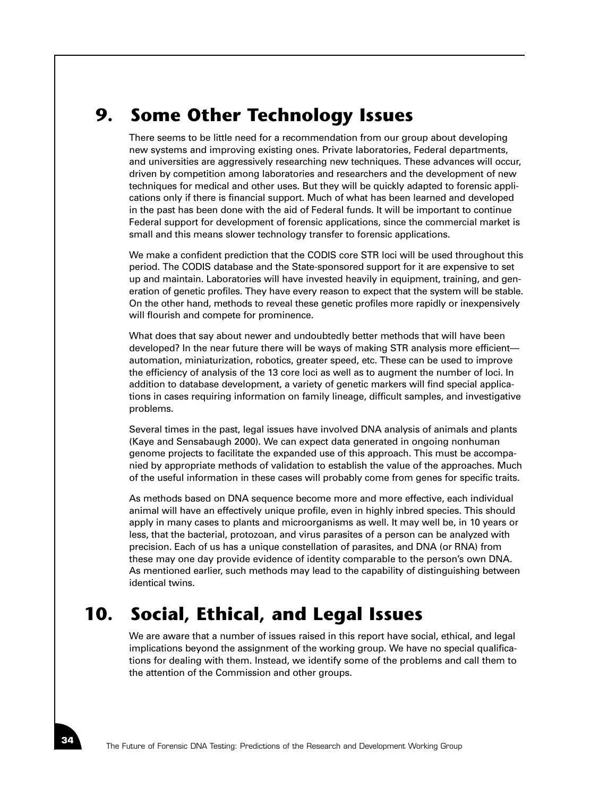# **9. Some Other Technology Issues**

There seems to be little need for a recommendation from our group about developing new systems and improving existing ones. Private laboratories, Federal departments, and universities are aggressively researching new techniques. These advances will occur, driven by competition among laboratories and researchers and the development of new techniques for medical and other uses. But they will be quickly adapted to forensic applications only if there is financial support. Much of what has been learned and developed in the past has been done with the aid of Federal funds. It will be important to continue Federal support for development of forensic applications, since the commercial market is small and this means slower technology transfer to forensic applications.

We make a confident prediction that the CODIS core STR loci will be used throughout this period. The CODIS database and the State-sponsored support for it are expensive to set up and maintain. Laboratories will have invested heavily in equipment, training, and generation of genetic profiles. They have every reason to expect that the system will be stable. On the other hand, methods to reveal these genetic profiles more rapidly or inexpensively will flourish and compete for prominence.

What does that say about newer and undoubtedly better methods that will have been developed? In the near future there will be ways of making STR analysis more efficient automation, miniaturization, robotics, greater speed, etc. These can be used to improve the efficiency of analysis of the 13 core loci as well as to augment the number of loci. In addition to database development, a variety of genetic markers will find special applications in cases requiring information on family lineage, difficult samples, and investigative problems.

Several times in the past, legal issues have involved DNA analysis of animals and plants (Kaye and Sensabaugh 2000). We can expect data generated in ongoing nonhuman genome projects to facilitate the expanded use of this approach. This must be accompanied by appropriate methods of validation to establish the value of the approaches. Much of the useful information in these cases will probably come from genes for specific traits.

As methods based on DNA sequence become more and more effective, each individual animal will have an effectively unique profile, even in highly inbred species. This should apply in many cases to plants and microorganisms as well. It may well be, in 10 years or less, that the bacterial, protozoan, and virus parasites of a person can be analyzed with precision. Each of us has a unique constellation of parasites, and DNA (or RNA) from these may one day provide evidence of identity comparable to the person's own DNA. As mentioned earlier, such methods may lead to the capability of distinguishing between identical twins.

# **10. Social, Ethical, and Legal Issues**

We are aware that a number of issues raised in this report have social, ethical, and legal implications beyond the assignment of the working group. We have no special qualifications for dealing with them. Instead, we identify some of the problems and call them to the attention of the Commission and other groups.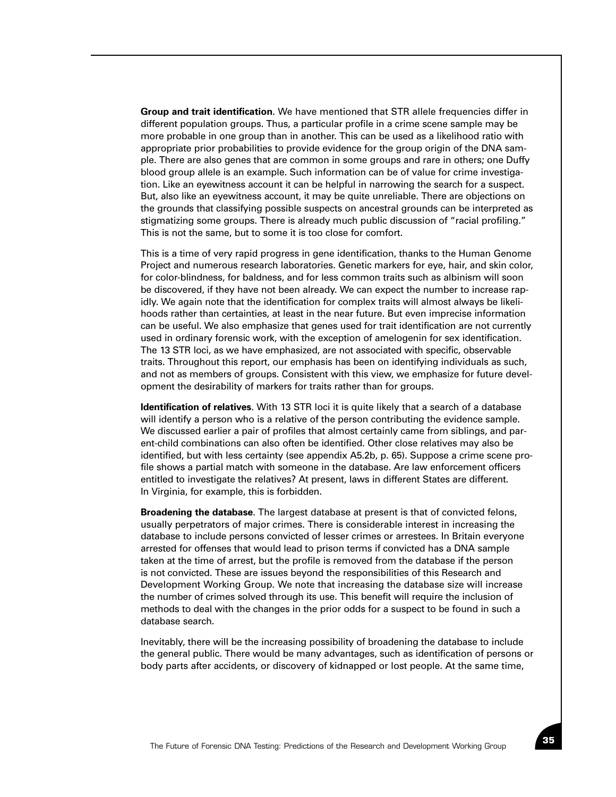**Group and trait identification**. We have mentioned that STR allele frequencies differ in different population groups. Thus, a particular profile in a crime scene sample may be more probable in one group than in another. This can be used as a likelihood ratio with appropriate prior probabilities to provide evidence for the group origin of the DNA sample. There are also genes that are common in some groups and rare in others; one Duffy blood group allele is an example. Such information can be of value for crime investigation. Like an eyewitness account it can be helpful in narrowing the search for a suspect. But, also like an eyewitness account, it may be quite unreliable. There are objections on the grounds that classifying possible suspects on ancestral grounds can be interpreted as stigmatizing some groups. There is already much public discussion of "racial profiling." This is not the same, but to some it is too close for comfort.

This is a time of very rapid progress in gene identification, thanks to the Human Genome Project and numerous research laboratories. Genetic markers for eye, hair, and skin color, for color-blindness, for baldness, and for less common traits such as albinism will soon be discovered, if they have not been already. We can expect the number to increase rapidly. We again note that the identification for complex traits will almost always be likelihoods rather than certainties, at least in the near future. But even imprecise information can be useful. We also emphasize that genes used for trait identification are not currently used in ordinary forensic work, with the exception of amelogenin for sex identification. The 13 STR loci, as we have emphasized, are not associated with specific, observable traits. Throughout this report, our emphasis has been on identifying individuals as such, and not as members of groups. Consistent with this view, we emphasize for future development the desirability of markers for traits rather than for groups.

**Identification of relatives**. With 13 STR loci it is quite likely that a search of a database will identify a person who is a relative of the person contributing the evidence sample. We discussed earlier a pair of profiles that almost certainly came from siblings, and parent-child combinations can also often be identified. Other close relatives may also be identified, but with less certainty (see appendix A5.2b, p. 65). Suppose a crime scene profile shows a partial match with someone in the database. Are law enforcement officers entitled to investigate the relatives? At present, laws in different States are different. In Virginia, for example, this is forbidden.

**Broadening the database**. The largest database at present is that of convicted felons, usually perpetrators of major crimes. There is considerable interest in increasing the database to include persons convicted of lesser crimes or arrestees. In Britain everyone arrested for offenses that would lead to prison terms if convicted has a DNA sample taken at the time of arrest, but the profile is removed from the database if the person is not convicted. These are issues beyond the responsibilities of this Research and Development Working Group. We note that increasing the database size will increase the number of crimes solved through its use. This benefit will require the inclusion of methods to deal with the changes in the prior odds for a suspect to be found in such a database search.

Inevitably, there will be the increasing possibility of broadening the database to include the general public. There would be many advantages, such as identification of persons or body parts after accidents, or discovery of kidnapped or lost people. At the same time,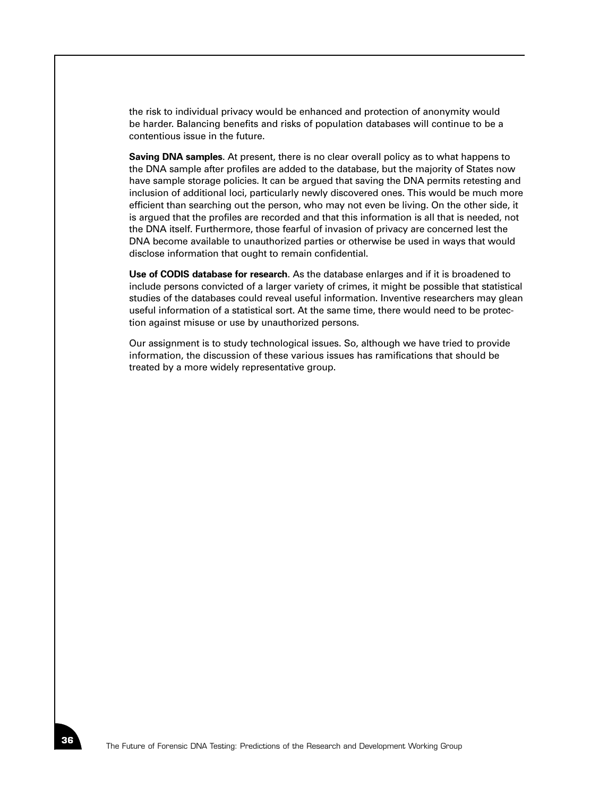the risk to individual privacy would be enhanced and protection of anonymity would be harder. Balancing benefits and risks of population databases will continue to be a contentious issue in the future.

**Saving DNA samples**. At present, there is no clear overall policy as to what happens to the DNA sample after profiles are added to the database, but the majority of States now have sample storage policies. It can be argued that saving the DNA permits retesting and inclusion of additional loci, particularly newly discovered ones. This would be much more efficient than searching out the person, who may not even be living. On the other side, it is argued that the profiles are recorded and that this information is all that is needed, not the DNA itself. Furthermore, those fearful of invasion of privacy are concerned lest the DNA become available to unauthorized parties or otherwise be used in ways that would disclose information that ought to remain confidential.

**Use of CODIS database for research**. As the database enlarges and if it is broadened to include persons convicted of a larger variety of crimes, it might be possible that statistical studies of the databases could reveal useful information. Inventive researchers may glean useful information of a statistical sort. At the same time, there would need to be protection against misuse or use by unauthorized persons.

Our assignment is to study technological issues. So, although we have tried to provide information, the discussion of these various issues has ramifications that should be treated by a more widely representative group.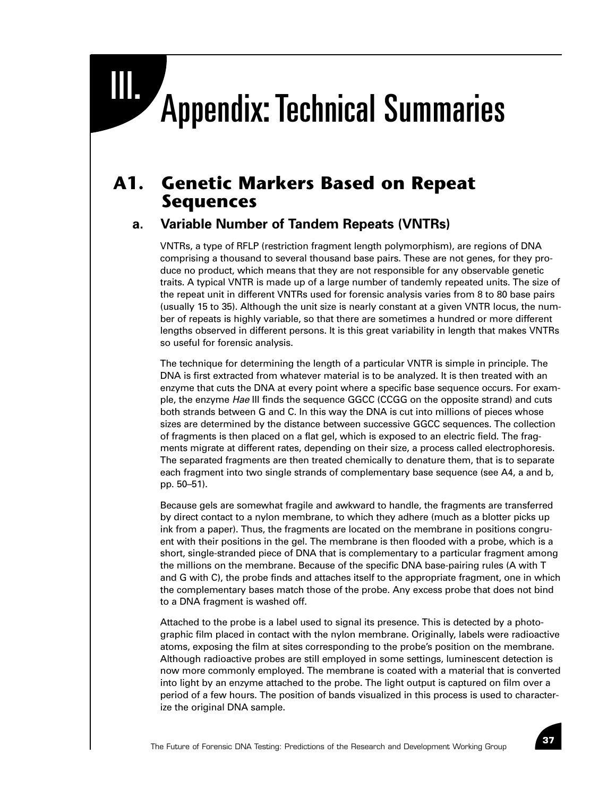# III. Appendix: Technical Summaries

# **A1. Genetic Markers Based on Repeat Sequences**

# **a. Variable Number of Tandem Repeats (VNTRs)**

VNTRs, a type of RFLP (restriction fragment length polymorphism), are regions of DNA comprising a thousand to several thousand base pairs. These are not genes, for they produce no product, which means that they are not responsible for any observable genetic traits. A typical VNTR is made up of a large number of tandemly repeated units. The size of the repeat unit in different VNTRs used for forensic analysis varies from 8 to 80 base pairs (usually 15 to 35). Although the unit size is nearly constant at a given VNTR locus, the number of repeats is highly variable, so that there are sometimes a hundred or more different lengths observed in different persons. It is this great variability in length that makes VNTRs so useful for forensic analysis.

The technique for determining the length of a particular VNTR is simple in principle. The DNA is first extracted from whatever material is to be analyzed. It is then treated with an enzyme that cuts the DNA at every point where a specific base sequence occurs. For example, the enzyme *Hae* III finds the sequence GGCC (CCGG on the opposite strand) and cuts both strands between G and C. In this way the DNA is cut into millions of pieces whose sizes are determined by the distance between successive GGCC sequences. The collection of fragments is then placed on a flat gel, which is exposed to an electric field. The fragments migrate at different rates, depending on their size, a process called electrophoresis. The separated fragments are then treated chemically to denature them, that is to separate each fragment into two single strands of complementary base sequence (see A4, a and b, pp. 50–51).

Because gels are somewhat fragile and awkward to handle, the fragments are transferred by direct contact to a nylon membrane, to which they adhere (much as a blotter picks up ink from a paper). Thus, the fragments are located on the membrane in positions congruent with their positions in the gel. The membrane is then flooded with a probe, which is a short, single-stranded piece of DNA that is complementary to a particular fragment among the millions on the membrane. Because of the specific DNA base-pairing rules (A with T and G with C), the probe finds and attaches itself to the appropriate fragment, one in which the complementary bases match those of the probe. Any excess probe that does not bind to a DNA fragment is washed off.

Attached to the probe is a label used to signal its presence. This is detected by a photographic film placed in contact with the nylon membrane. Originally, labels were radioactive atoms, exposing the film at sites corresponding to the probe's position on the membrane. Although radioactive probes are still employed in some settings, luminescent detection is now more commonly employed. The membrane is coated with a material that is converted into light by an enzyme attached to the probe. The light output is captured on film over a period of a few hours. The position of bands visualized in this process is used to characterize the original DNA sample.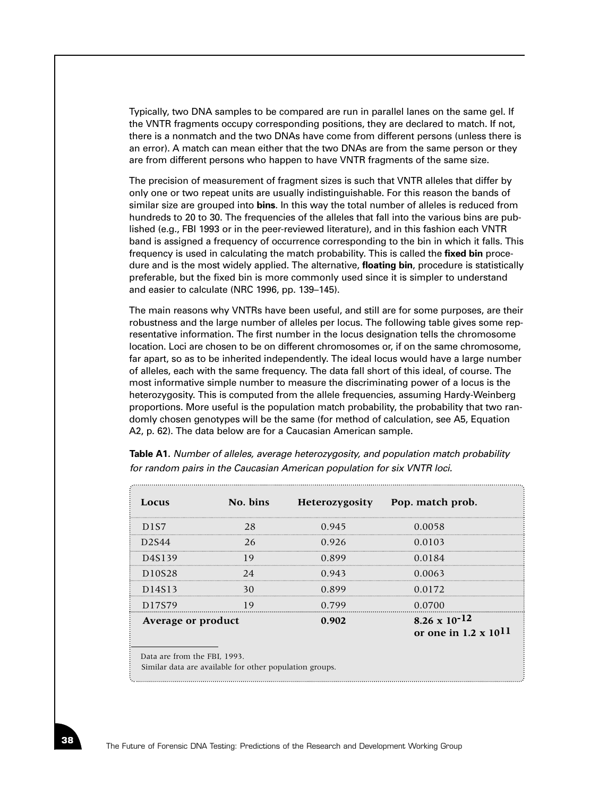Typically, two DNA samples to be compared are run in parallel lanes on the same gel. If the VNTR fragments occupy corresponding positions, they are declared to match. If not, there is a nonmatch and the two DNAs have come from different persons (unless there is an error). A match can mean either that the two DNAs are from the same person or they are from different persons who happen to have VNTR fragments of the same size.

The precision of measurement of fragment sizes is such that VNTR alleles that differ by only one or two repeat units are usually indistinguishable. For this reason the bands of similar size are grouped into **bins**. In this way the total number of alleles is reduced from hundreds to 20 to 30. The frequencies of the alleles that fall into the various bins are published (e.g., FBI 1993 or in the peer-reviewed literature), and in this fashion each VNTR band is assigned a frequency of occurrence corresponding to the bin in which it falls. This frequency is used in calculating the match probability. This is called the **fixed bin** procedure and is the most widely applied. The alternative, **floating bin**, procedure is statistically preferable, but the fixed bin is more commonly used since it is simpler to understand and easier to calculate (NRC 1996, pp. 139–145).

The main reasons why VNTRs have been useful, and still are for some purposes, are their robustness and the large number of alleles per locus. The following table gives some representative information. The first number in the locus designation tells the chromosome location. Loci are chosen to be on different chromosomes or, if on the same chromosome, far apart, so as to be inherited independently. The ideal locus would have a large number of alleles, each with the same frequency. The data fall short of this ideal, of course. The most informative simple number to measure the discriminating power of a locus is the heterozygosity. This is computed from the allele frequencies, assuming Hardy-Weinberg proportions. More useful is the population match probability, the probability that two randomly chosen genotypes will be the same (for method of calculation, see A5, Equation A2, p. 62). The data below are for a Caucasian American sample.

| Locus                                                                                   | No. bins |       | Heterozygosity Pop. match prob.                          |  |  |
|-----------------------------------------------------------------------------------------|----------|-------|----------------------------------------------------------|--|--|
| D <sub>1</sub> S7                                                                       | 28       | 0.945 | 0.0058                                                   |  |  |
| D2S44                                                                                   | 26       | 0.926 | 0.0103                                                   |  |  |
| D <sub>4</sub> S <sub>1</sub> 39                                                        | 19       | 0.899 | 0.0184                                                   |  |  |
| D10S28                                                                                  | 24       | 0.943 | 0.0063                                                   |  |  |
| D14S13                                                                                  | 30       | 0.899 | 0.0172                                                   |  |  |
| D17S79                                                                                  | 19       | 0.799 | 0.0700                                                   |  |  |
| Average or product                                                                      |          | 0.902 | $8.26 \times 10^{-12}$<br>or one in $1.2 \times 10^{11}$ |  |  |
| Data are from the FBI, 1993.<br>Similar data are available for other population groups. |          |       |                                                          |  |  |

**Table A1.** *Number of alleles, average heterozygosity, and population match probability for random pairs in the Caucasian American population for six VNTR loci.*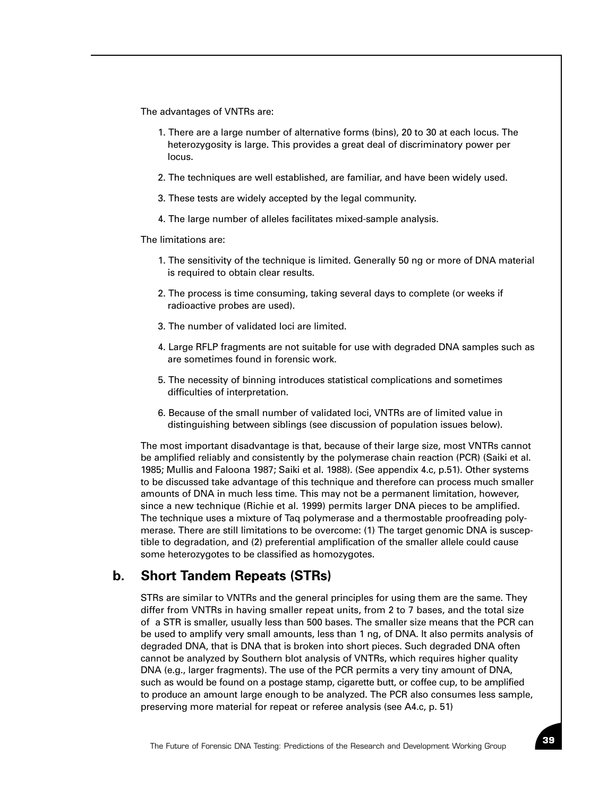The advantages of VNTRs are:

- 1. There are a large number of alternative forms (bins), 20 to 30 at each locus. The heterozygosity is large. This provides a great deal of discriminatory power per locus.
- 2. The techniques are well established, are familiar, and have been widely used.
- 3. These tests are widely accepted by the legal community.
- 4. The large number of alleles facilitates mixed-sample analysis.

The limitations are:

- 1. The sensitivity of the technique is limited. Generally 50 ng or more of DNA material is required to obtain clear results.
- 2. The process is time consuming, taking several days to complete (or weeks if radioactive probes are used).
- 3. The number of validated loci are limited.
- 4. Large RFLP fragments are not suitable for use with degraded DNA samples such as are sometimes found in forensic work.
- 5. The necessity of binning introduces statistical complications and sometimes difficulties of interpretation.
- 6. Because of the small number of validated loci, VNTRs are of limited value in distinguishing between siblings (see discussion of population issues below).

The most important disadvantage is that, because of their large size, most VNTRs cannot be amplified reliably and consistently by the polymerase chain reaction (PCR) (Saiki et al. 1985; Mullis and Faloona 1987; Saiki et al. 1988). (See appendix 4.c, p.51). Other systems to be discussed take advantage of this technique and therefore can process much smaller amounts of DNA in much less time. This may not be a permanent limitation, however, since a new technique (Richie et al. 1999) permits larger DNA pieces to be amplified. The technique uses a mixture of Taq polymerase and a thermostable proofreading polymerase. There are still limitations to be overcome: (1) The target genomic DNA is susceptible to degradation, and (2) preferential amplification of the smaller allele could cause some heterozygotes to be classified as homozygotes.

## **b. Short Tandem Repeats (STRs)**

STRs are similar to VNTRs and the general principles for using them are the same. They differ from VNTRs in having smaller repeat units, from 2 to 7 bases, and the total size of a STR is smaller, usually less than 500 bases. The smaller size means that the PCR can be used to amplify very small amounts, less than 1 ng, of DNA. It also permits analysis of degraded DNA, that is DNA that is broken into short pieces. Such degraded DNA often cannot be analyzed by Southern blot analysis of VNTRs, which requires higher quality DNA (e.g., larger fragments). The use of the PCR permits a very tiny amount of DNA, such as would be found on a postage stamp, cigarette butt, or coffee cup, to be amplified to produce an amount large enough to be analyzed. The PCR also consumes less sample, preserving more material for repeat or referee analysis (see A4.c, p. 51)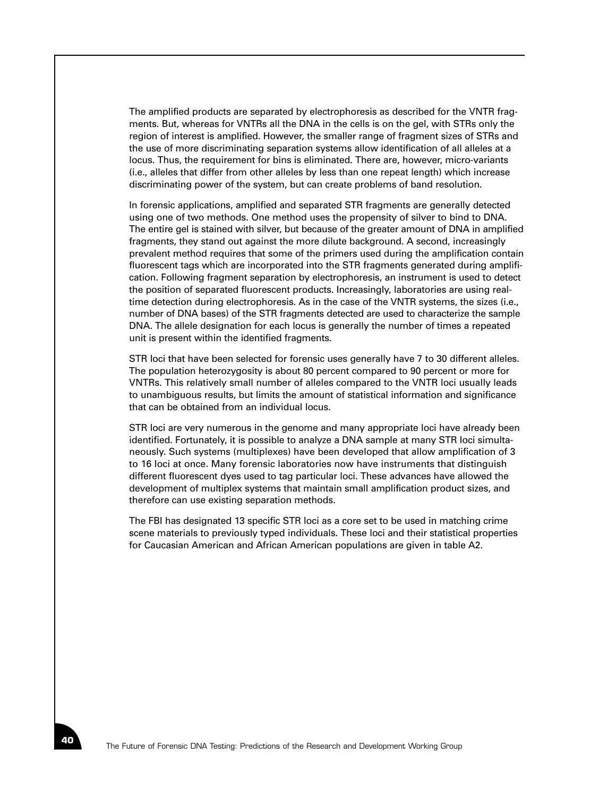The amplified products are separated by electrophoresis as described for the VNTR fragments. But, whereas for VNTRs all the DNA in the cells is on the gel, with STRs only the region of interest is amplified. However, the smaller range of fragment sizes of STRs and the use of more discriminating separation systems allow identification of all alleles at a locus. Thus, the requirement for bins is eliminated. There are, however, micro-variants (i.e., alleles that differ from other alleles by less than one repeat length) which increase discriminating power of the system, but can create problems of band resolution.

In forensic applications, amplified and separated STR fragments are generally detected using one of two methods. One method uses the propensity of silver to bind to DNA. The entire gel is stained with silver, but because of the greater amount of DNA in amplified fragments, they stand out against the more dilute background. A second, increasingly prevalent method requires that some of the primers used during the amplification contain fluorescent tags which are incorporated into the STR fragments generated during amplification. Following fragment separation by electrophoresis, an instrument is used to detect the position of separated fluorescent products. Increasingly, laboratories are using realtime detection during electrophoresis. As in the case of the VNTR systems, the sizes (i.e., number of DNA bases) of the STR fragments detected are used to characterize the sample DNA. The allele designation for each locus is generally the number of times a repeated unit is present within the identified fragments.

STR loci that have been selected for forensic uses generally have 7 to 30 different alleles. The population heterozygosity is about 80 percent compared to 90 percent or more for VNTRs. This relatively small number of alleles compared to the VNTR loci usually leads to unambiguous results, but limits the amount of statistical information and significance that can be obtained from an individual locus.

STR loci are very numerous in the genome and many appropriate loci have already been identified. Fortunately, it is possible to analyze a DNA sample at many STR loci simultaneously. Such systems (multiplexes) have been developed that allow amplification of 3 to 16 loci at once. Many forensic laboratories now have instruments that distinguish different fluorescent dyes used to tag particular loci. These advances have allowed the development of multiplex systems that maintain small amplification product sizes, and therefore can use existing separation methods.

The FBI has designated 13 specific STR loci as a core set to be used in matching crime scene materials to previously typed individuals. These loci and their statistical properties for Caucasian American and African American populations are given in table A2.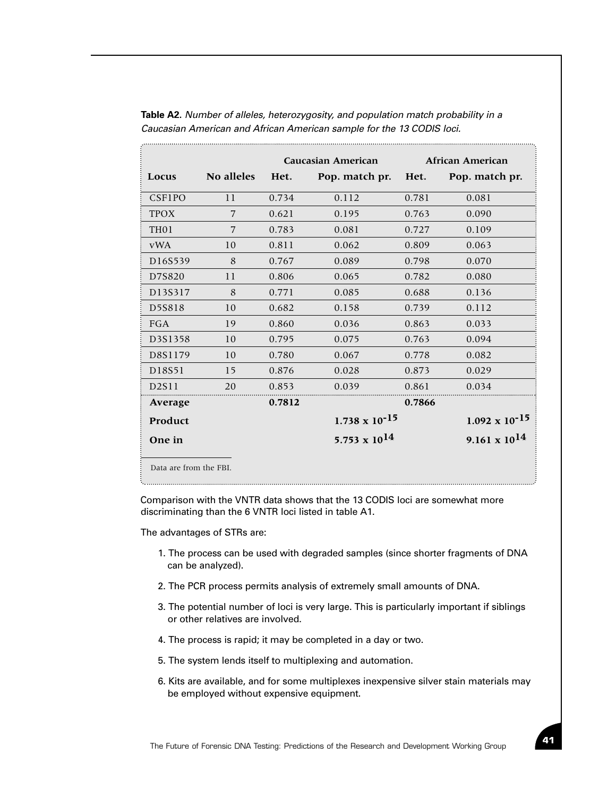|                   |                        | <b>Caucasian American</b> |                         | <b>African American</b> |                         |
|-------------------|------------------------|---------------------------|-------------------------|-------------------------|-------------------------|
| Locus             | No alleles             | Het.                      | Pop. match pr.          | Het.                    | Pop. match pr.          |
| <b>CSF1PO</b>     | 11                     | 0.734                     | 0.112                   | 0.781                   | 0.081                   |
| <b>TPOX</b>       | 7                      | 0.621                     | 0.195                   | 0.763                   | 0.090                   |
| TH <sub>0</sub> 1 | 7                      | 0.783                     | 0.081                   | 0.727                   | 0.109                   |
| <b>vWA</b>        | 10                     | 0.811                     | 0.062                   | 0.809                   | 0.063                   |
| D16S539           | 8                      | 0.767                     | 0.089                   | 0.798                   | 0.070                   |
| D7S820            | 11                     | 0.806                     | 0.065                   | 0.782                   | 0.080                   |
| D13S317           | 8                      | 0.771                     | 0.085                   | 0.688                   | 0.136                   |
| D5S818            | 10                     | 0.682                     | 0.158                   | 0.739                   | 0.112                   |
| FGA               | 19                     | 0.860                     | 0.036                   | 0.863                   | 0.033                   |
| D3S1358           | 10                     | 0.795                     | 0.075                   | 0.763                   | 0.094                   |
| D8S1179           | 10                     | 0.780                     | 0.067                   | 0.778                   | 0.082                   |
| D18S51            | 15                     | 0.876                     | 0.028                   | 0.873                   | 0.029                   |
| D2S11             | 20                     | 0.853                     | 0.039                   | 0.861                   | 0.034                   |
| Average           |                        | 0.7812                    |                         | 0.7866                  |                         |
| Product           |                        |                           | $1.738 \times 10^{-15}$ |                         | $1.092 \times 10^{-15}$ |
| One in            |                        |                           | 5.753 x $10^{14}$       |                         | $9.161 \times 10^{14}$  |
|                   | Data are from the FBI. |                           |                         |                         |                         |

**Table A2.** *Number of alleles, heterozygosity, and population match probability in a Caucasian American and African American sample for the 13 CODIS loci.* 

Comparison with the VNTR data shows that the 13 CODIS loci are somewhat more discriminating than the 6 VNTR loci listed in table A1.

The advantages of STRs are:

- 1. The process can be used with degraded samples (since shorter fragments of DNA can be analyzed).
- 2. The PCR process permits analysis of extremely small amounts of DNA.
- 3. The potential number of loci is very large. This is particularly important if siblings or other relatives are involved.
- 4. The process is rapid; it may be completed in a day or two.
- 5. The system lends itself to multiplexing and automation.
- 6. Kits are available, and for some multiplexes inexpensive silver stain materials may be employed without expensive equipment.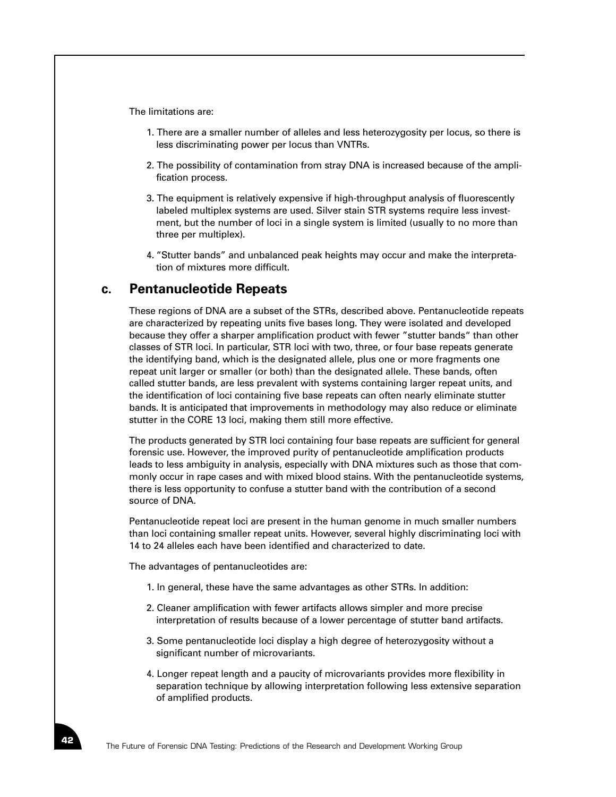The limitations are:

- 1. There are a smaller number of alleles and less heterozygosity per locus, so there is less discriminating power per locus than VNTRs.
- 2. The possibility of contamination from stray DNA is increased because of the amplification process.
- 3. The equipment is relatively expensive if high-throughput analysis of fluorescently labeled multiplex systems are used. Silver stain STR systems require less investment, but the number of loci in a single system is limited (usually to no more than three per multiplex).
- 4. "Stutter bands" and unbalanced peak heights may occur and make the interpretation of mixtures more difficult.

## **c. Pentanucleotide Repeats**

These regions of DNA are a subset of the STRs, described above. Pentanucleotide repeats are characterized by repeating units five bases long. They were isolated and developed because they offer a sharper amplification product with fewer "stutter bands" than other classes of STR loci. In particular, STR loci with two, three, or four base repeats generate the identifying band, which is the designated allele, plus one or more fragments one repeat unit larger or smaller (or both) than the designated allele. These bands, often called stutter bands, are less prevalent with systems containing larger repeat units, and the identification of loci containing five base repeats can often nearly eliminate stutter bands. It is anticipated that improvements in methodology may also reduce or eliminate stutter in the CORE 13 loci, making them still more effective.

The products generated by STR loci containing four base repeats are sufficient for general forensic use. However, the improved purity of pentanucleotide amplification products leads to less ambiguity in analysis, especially with DNA mixtures such as those that commonly occur in rape cases and with mixed blood stains. With the pentanucleotide systems, there is less opportunity to confuse a stutter band with the contribution of a second source of DNA.

Pentanucleotide repeat loci are present in the human genome in much smaller numbers than loci containing smaller repeat units. However, several highly discriminating loci with 14 to 24 alleles each have been identified and characterized to date.

The advantages of pentanucleotides are:

- 1. In general, these have the same advantages as other STRs. In addition:
- 2. Cleaner amplification with fewer artifacts allows simpler and more precise interpretation of results because of a lower percentage of stutter band artifacts.
- 3. Some pentanucleotide loci display a high degree of heterozygosity without a significant number of microvariants.
- 4. Longer repeat length and a paucity of microvariants provides more flexibility in separation technique by allowing interpretation following less extensive separation of amplified products.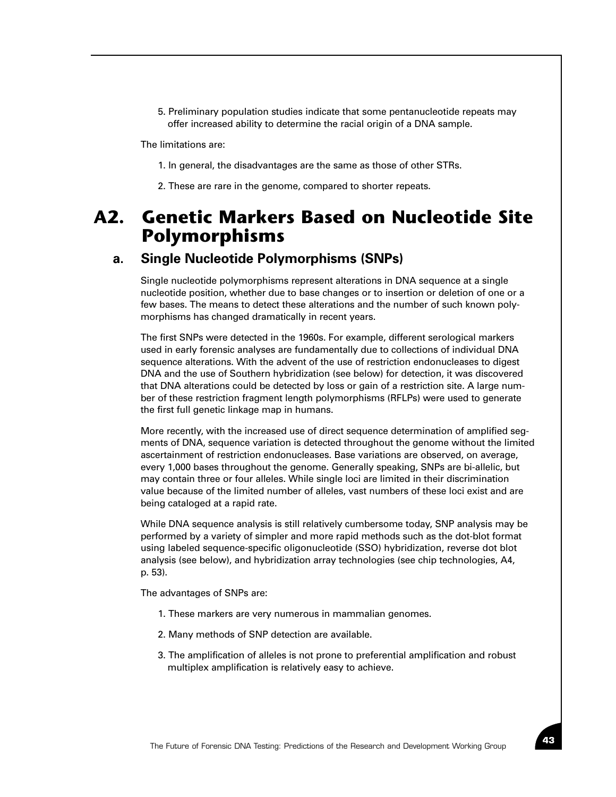5. Preliminary population studies indicate that some pentanucleotide repeats may offer increased ability to determine the racial origin of a DNA sample.

The limitations are:

- 1. In general, the disadvantages are the same as those of other STRs.
- 2. These are rare in the genome, compared to shorter repeats.

# **A2. Genetic Markers Based on Nucleotide Site Polymorphisms**

### **a. Single Nucleotide Polymorphisms (SNPs)**

Single nucleotide polymorphisms represent alterations in DNA sequence at a single nucleotide position, whether due to base changes or to insertion or deletion of one or a few bases. The means to detect these alterations and the number of such known polymorphisms has changed dramatically in recent years.

The first SNPs were detected in the 1960s. For example, different serological markers used in early forensic analyses are fundamentally due to collections of individual DNA sequence alterations. With the advent of the use of restriction endonucleases to digest DNA and the use of Southern hybridization (see below) for detection, it was discovered that DNA alterations could be detected by loss or gain of a restriction site. A large number of these restriction fragment length polymorphisms (RFLPs) were used to generate the first full genetic linkage map in humans.

More recently, with the increased use of direct sequence determination of amplified segments of DNA, sequence variation is detected throughout the genome without the limited ascertainment of restriction endonucleases. Base variations are observed, on average, every 1,000 bases throughout the genome. Generally speaking, SNPs are bi-allelic, but may contain three or four alleles. While single loci are limited in their discrimination value because of the limited number of alleles, vast numbers of these loci exist and are being cataloged at a rapid rate.

While DNA sequence analysis is still relatively cumbersome today, SNP analysis may be performed by a variety of simpler and more rapid methods such as the dot-blot format using labeled sequence-specific oligonucleotide (SSO) hybridization, reverse dot blot analysis (see below), and hybridization array technologies (see chip technologies, A4, p. 53).

The advantages of SNPs are:

- 1. These markers are very numerous in mammalian genomes.
- 2. Many methods of SNP detection are available.
- 3. The amplification of alleles is not prone to preferential amplification and robust multiplex amplification is relatively easy to achieve.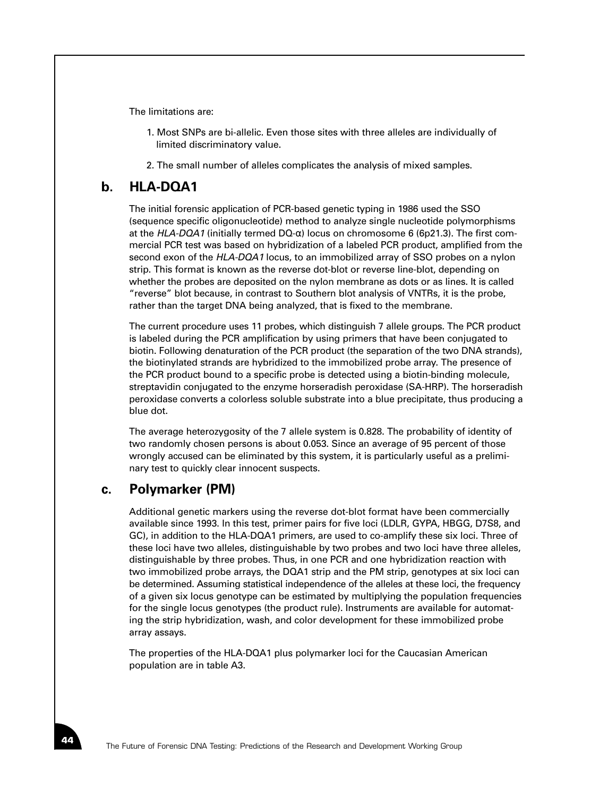The limitations are:

- 1. Most SNPs are bi-allelic. Even those sites with three alleles are individually of limited discriminatory value.
- 2. The small number of alleles complicates the analysis of mixed samples.

# **b. HLA-DQA1**

The initial forensic application of PCR-based genetic typing in 1986 used the SSO (sequence specific oligonucleotide) method to analyze single nucleotide polymorphisms at the *HLA-DQA1* (initially termed DQ-α) locus on chromosome 6 (6p21.3). The first commercial PCR test was based on hybridization of a labeled PCR product, amplified from the second exon of the *HLA-DQA1* locus, to an immobilized array of SSO probes on a nylon strip. This format is known as the reverse dot-blot or reverse line-blot, depending on whether the probes are deposited on the nylon membrane as dots or as lines. It is called "reverse" blot because, in contrast to Southern blot analysis of VNTRs, it is the probe, rather than the target DNA being analyzed, that is fixed to the membrane.

The current procedure uses 11 probes, which distinguish 7 allele groups. The PCR product is labeled during the PCR amplification by using primers that have been conjugated to biotin. Following denaturation of the PCR product (the separation of the two DNA strands), the biotinylated strands are hybridized to the immobilized probe array. The presence of the PCR product bound to a specific probe is detected using a biotin-binding molecule, streptavidin conjugated to the enzyme horseradish peroxidase (SA-HRP). The horseradish peroxidase converts a colorless soluble substrate into a blue precipitate, thus producing a blue dot.

The average heterozygosity of the 7 allele system is 0.828. The probability of identity of two randomly chosen persons is about 0.053. Since an average of 95 percent of those wrongly accused can be eliminated by this system, it is particularly useful as a preliminary test to quickly clear innocent suspects.

#### **c. Polymarker (PM)**

Additional genetic markers using the reverse dot-blot format have been commercially available since 1993. In this test, primer pairs for five loci (LDLR, GYPA, HBGG, D7S8, and GC), in addition to the HLA-DQA1 primers, are used to co-amplify these six loci. Three of these loci have two alleles, distinguishable by two probes and two loci have three alleles, distinguishable by three probes. Thus, in one PCR and one hybridization reaction with two immobilized probe arrays, the DQA1 strip and the PM strip, genotypes at six loci can be determined. Assuming statistical independence of the alleles at these loci, the frequency of a given six locus genotype can be estimated by multiplying the population frequencies for the single locus genotypes (the product rule). Instruments are available for automating the strip hybridization, wash, and color development for these immobilized probe array assays.

The properties of the HLA-DQA1 plus polymarker loci for the Caucasian American population are in table A3.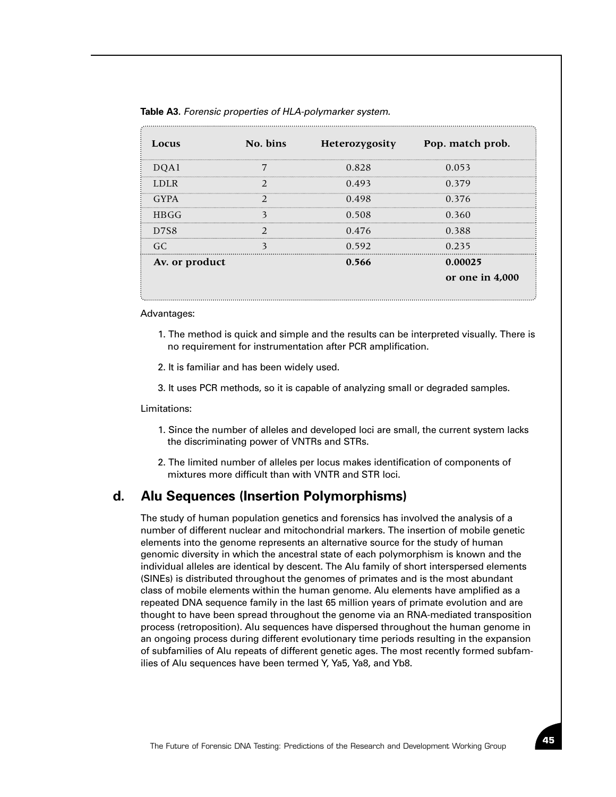| Locus          | No. bins |       | Heterozygosity Pop. match prob. |
|----------------|----------|-------|---------------------------------|
| DOA1           |          | 0.828 | 0.053                           |
| <b>LDLR</b>    |          | 0.493 | 0.379                           |
| GYPA           |          | 0.498 | 0.376                           |
| <b>HBGG</b>    |          | 0.508 | 0.360                           |
| D7S8           |          | 0.476 | 0.388                           |
| GC.            |          | 0.592 | 0.235                           |
| Av. or product |          | 0.566 | 0.00025                         |
|                |          |       | or one in 4,000                 |

**Table A3.** *Forensic properties of HLA-polymarker system.*

Advantages:

- 1. The method is quick and simple and the results can be interpreted visually. There is no requirement for instrumentation after PCR amplification.
- 2. It is familiar and has been widely used.
- 3. It uses PCR methods, so it is capable of analyzing small or degraded samples.

Limitations:

- 1. Since the number of alleles and developed loci are small, the current system lacks the discriminating power of VNTRs and STRs.
- 2. The limited number of alleles per locus makes identification of components of mixtures more difficult than with VNTR and STR loci.

# **d. Alu Sequences (Insertion Polymorphisms)**

The study of human population genetics and forensics has involved the analysis of a number of different nuclear and mitochondrial markers. The insertion of mobile genetic elements into the genome represents an alternative source for the study of human genomic diversity in which the ancestral state of each polymorphism is known and the individual alleles are identical by descent. The Alu family of short interspersed elements (SINEs) is distributed throughout the genomes of primates and is the most abundant class of mobile elements within the human genome. Alu elements have amplified as a repeated DNA sequence family in the last 65 million years of primate evolution and are thought to have been spread throughout the genome via an RNA-mediated transposition process (retroposition). Alu sequences have dispersed throughout the human genome in an ongoing process during different evolutionary time periods resulting in the expansion of subfamilies of Alu repeats of different genetic ages. The most recently formed subfamilies of Alu sequences have been termed Y, Ya5, Ya8, and Yb8.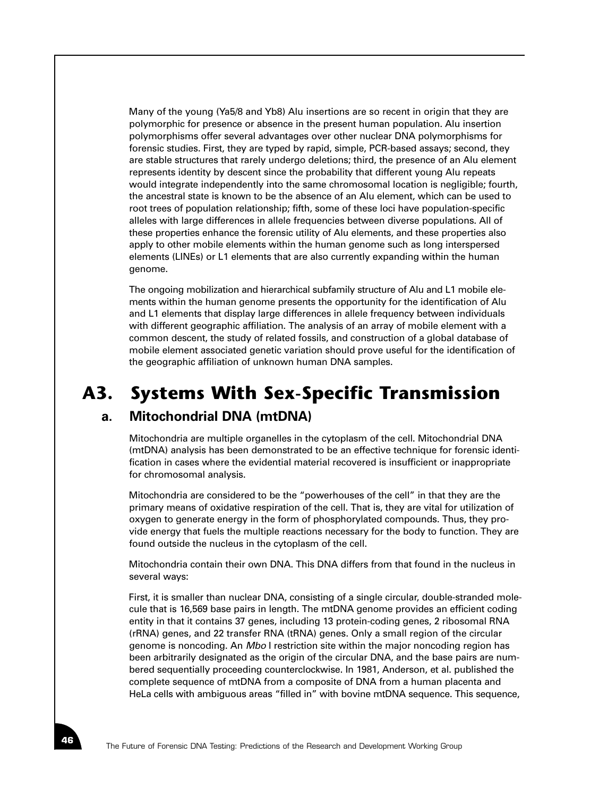Many of the young (Ya5/8 and Yb8) Alu insertions are so recent in origin that they are polymorphic for presence or absence in the present human population. Alu insertion polymorphisms offer several advantages over other nuclear DNA polymorphisms for forensic studies. First, they are typed by rapid, simple, PCR-based assays; second, they are stable structures that rarely undergo deletions; third, the presence of an Alu element represents identity by descent since the probability that different young Alu repeats would integrate independently into the same chromosomal location is negligible; fourth, the ancestral state is known to be the absence of an Alu element, which can be used to root trees of population relationship; fifth, some of these loci have population-specific alleles with large differences in allele frequencies between diverse populations. All of these properties enhance the forensic utility of Alu elements, and these properties also apply to other mobile elements within the human genome such as long interspersed elements (LINEs) or L1 elements that are also currently expanding within the human genome.

The ongoing mobilization and hierarchical subfamily structure of Alu and L1 mobile elements within the human genome presents the opportunity for the identification of Alu and L1 elements that display large differences in allele frequency between individuals with different geographic affiliation. The analysis of an array of mobile element with a common descent, the study of related fossils, and construction of a global database of mobile element associated genetic variation should prove useful for the identification of the geographic affiliation of unknown human DNA samples.

# **A3. Systems With Sex-Specific Transmission**

# **a. Mitochondrial DNA (mtDNA)**

Mitochondria are multiple organelles in the cytoplasm of the cell. Mitochondrial DNA (mtDNA) analysis has been demonstrated to be an effective technique for forensic identification in cases where the evidential material recovered is insufficient or inappropriate for chromosomal analysis.

Mitochondria are considered to be the "powerhouses of the cell" in that they are the primary means of oxidative respiration of the cell. That is, they are vital for utilization of oxygen to generate energy in the form of phosphorylated compounds. Thus, they provide energy that fuels the multiple reactions necessary for the body to function. They are found outside the nucleus in the cytoplasm of the cell.

Mitochondria contain their own DNA. This DNA differs from that found in the nucleus in several ways:

First, it is smaller than nuclear DNA, consisting of a single circular, double-stranded molecule that is 16,569 base pairs in length. The mtDNA genome provides an efficient coding entity in that it contains 37 genes, including 13 protein-coding genes, 2 ribosomal RNA (rRNA) genes, and 22 transfer RNA (tRNA) genes. Only a small region of the circular genome is noncoding. An *Mbo* I restriction site within the major noncoding region has been arbitrarily designated as the origin of the circular DNA, and the base pairs are numbered sequentially proceeding counterclockwise. In 1981, Anderson, et al. published the complete sequence of mtDNA from a composite of DNA from a human placenta and HeLa cells with ambiguous areas "filled in" with bovine mtDNA sequence. This sequence,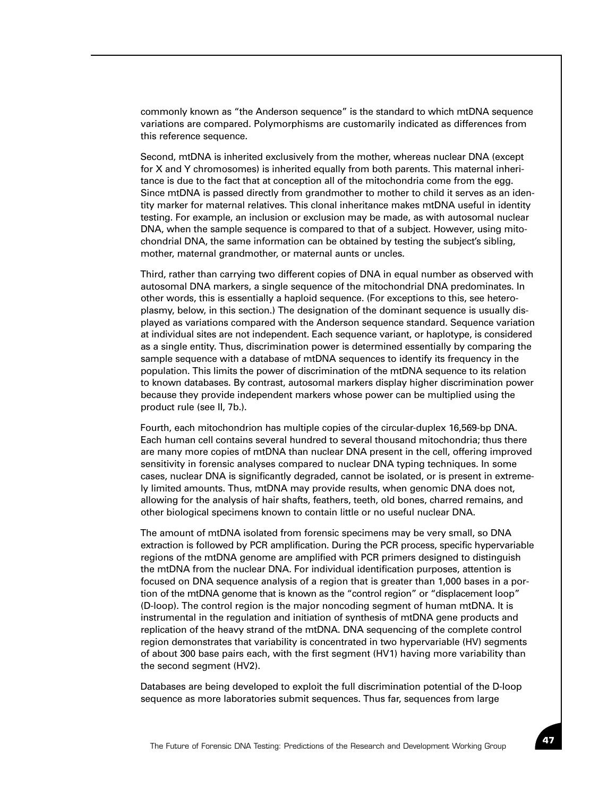commonly known as "the Anderson sequence" is the standard to which mtDNA sequence variations are compared. Polymorphisms are customarily indicated as differences from this reference sequence.

Second, mtDNA is inherited exclusively from the mother, whereas nuclear DNA (except for X and Y chromosomes) is inherited equally from both parents. This maternal inheritance is due to the fact that at conception all of the mitochondria come from the egg. Since mtDNA is passed directly from grandmother to mother to child it serves as an identity marker for maternal relatives. This clonal inheritance makes mtDNA useful in identity testing. For example, an inclusion or exclusion may be made, as with autosomal nuclear DNA, when the sample sequence is compared to that of a subject. However, using mitochondrial DNA, the same information can be obtained by testing the subject's sibling, mother, maternal grandmother, or maternal aunts or uncles.

Third, rather than carrying two different copies of DNA in equal number as observed with autosomal DNA markers, a single sequence of the mitochondrial DNA predominates. In other words, this is essentially a haploid sequence. (For exceptions to this, see heteroplasmy, below, in this section.) The designation of the dominant sequence is usually displayed as variations compared with the Anderson sequence standard. Sequence variation at individual sites are not independent. Each sequence variant, or haplotype, is considered as a single entity. Thus, discrimination power is determined essentially by comparing the sample sequence with a database of mtDNA sequences to identify its frequency in the population. This limits the power of discrimination of the mtDNA sequence to its relation to known databases. By contrast, autosomal markers display higher discrimination power because they provide independent markers whose power can be multiplied using the product rule (see II, 7b.).

Fourth, each mitochondrion has multiple copies of the circular-duplex 16,569-bp DNA. Each human cell contains several hundred to several thousand mitochondria; thus there are many more copies of mtDNA than nuclear DNA present in the cell, offering improved sensitivity in forensic analyses compared to nuclear DNA typing techniques. In some cases, nuclear DNA is significantly degraded, cannot be isolated, or is present in extremely limited amounts. Thus, mtDNA may provide results, when genomic DNA does not, allowing for the analysis of hair shafts, feathers, teeth, old bones, charred remains, and other biological specimens known to contain little or no useful nuclear DNA.

The amount of mtDNA isolated from forensic specimens may be very small, so DNA extraction is followed by PCR amplification. During the PCR process, specific hypervariable regions of the mtDNA genome are amplified with PCR primers designed to distinguish the mtDNA from the nuclear DNA. For individual identification purposes, attention is focused on DNA sequence analysis of a region that is greater than 1,000 bases in a portion of the mtDNA genome that is known as the "control region" or "displacement loop" (D-loop). The control region is the major noncoding segment of human mtDNA. It is instrumental in the regulation and initiation of synthesis of mtDNA gene products and replication of the heavy strand of the mtDNA. DNA sequencing of the complete control region demonstrates that variability is concentrated in two hypervariable (HV) segments of about 300 base pairs each, with the first segment (HV1) having more variability than the second segment (HV2).

Databases are being developed to exploit the full discrimination potential of the D-loop sequence as more laboratories submit sequences. Thus far, sequences from large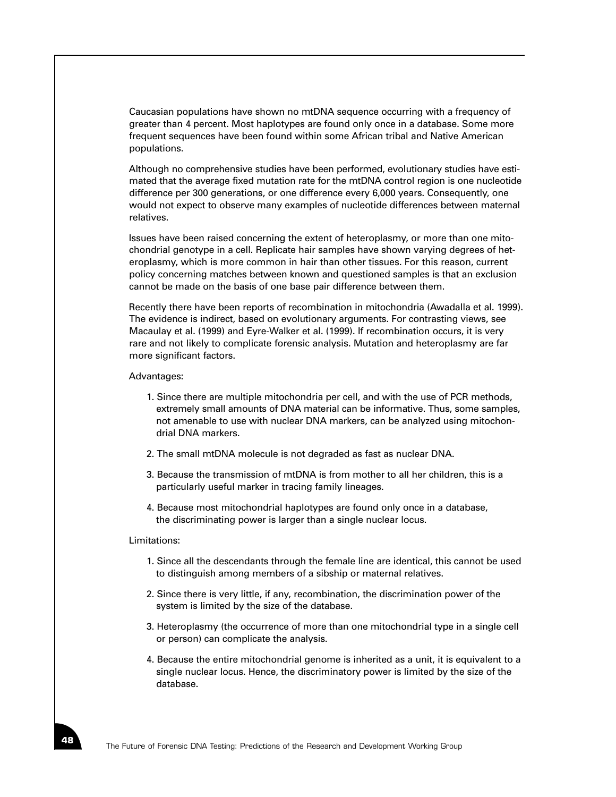Caucasian populations have shown no mtDNA sequence occurring with a frequency of greater than 4 percent. Most haplotypes are found only once in a database. Some more frequent sequences have been found within some African tribal and Native American populations.

Although no comprehensive studies have been performed, evolutionary studies have estimated that the average fixed mutation rate for the mtDNA control region is one nucleotide difference per 300 generations, or one difference every 6,000 years. Consequently, one would not expect to observe many examples of nucleotide differences between maternal relatives.

Issues have been raised concerning the extent of heteroplasmy, or more than one mitochondrial genotype in a cell. Replicate hair samples have shown varying degrees of heteroplasmy, which is more common in hair than other tissues. For this reason, current policy concerning matches between known and questioned samples is that an exclusion cannot be made on the basis of one base pair difference between them.

Recently there have been reports of recombination in mitochondria (Awadalla et al. 1999). The evidence is indirect, based on evolutionary arguments. For contrasting views, see Macaulay et al. (1999) and Eyre-Walker et al. (1999). If recombination occurs, it is very rare and not likely to complicate forensic analysis. Mutation and heteroplasmy are far more significant factors.

#### Advantages:

- 1. Since there are multiple mitochondria per cell, and with the use of PCR methods, extremely small amounts of DNA material can be informative. Thus, some samples, not amenable to use with nuclear DNA markers, can be analyzed using mitochondrial DNA markers.
- 2. The small mtDNA molecule is not degraded as fast as nuclear DNA.
- 3. Because the transmission of mtDNA is from mother to all her children, this is a particularly useful marker in tracing family lineages.
- 4. Because most mitochondrial haplotypes are found only once in a database, the discriminating power is larger than a single nuclear locus.

#### Limitations:

- 1. Since all the descendants through the female line are identical, this cannot be used to distinguish among members of a sibship or maternal relatives.
- 2. Since there is very little, if any, recombination, the discrimination power of the system is limited by the size of the database.
- 3. Heteroplasmy (the occurrence of more than one mitochondrial type in a single cell or person) can complicate the analysis.
- 4. Because the entire mitochondrial genome is inherited as a unit, it is equivalent to a single nuclear locus. Hence, the discriminatory power is limited by the size of the database.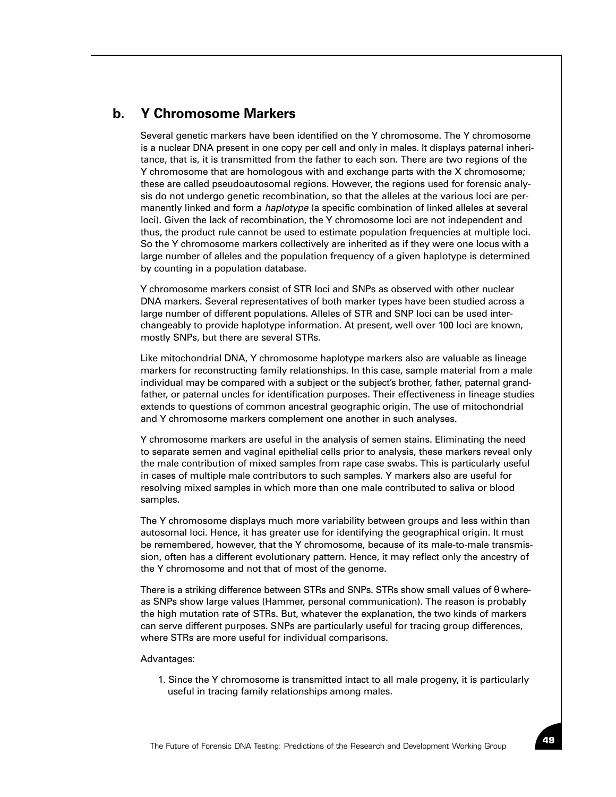# **b. Y Chromosome Markers**

Several genetic markers have been identified on the Y chromosome. The Y chromosome is a nuclear DNA present in one copy per cell and only in males. It displays paternal inheritance, that is, it is transmitted from the father to each son. There are two regions of the Y chromosome that are homologous with and exchange parts with the X chromosome; these are called pseudoautosomal regions. However, the regions used for forensic analysis do not undergo genetic recombination, so that the alleles at the various loci are permanently linked and form a *haplotype* (a specific combination of linked alleles at several loci). Given the lack of recombination, the Y chromosome loci are not independent and thus, the product rule cannot be used to estimate population frequencies at multiple loci. So the Y chromosome markers collectively are inherited as if they were one locus with a large number of alleles and the population frequency of a given haplotype is determined by counting in a population database.

Y chromosome markers consist of STR loci and SNPs as observed with other nuclear DNA markers. Several representatives of both marker types have been studied across a large number of different populations. Alleles of STR and SNP loci can be used interchangeably to provide haplotype information. At present, well over 100 loci are known, mostly SNPs, but there are several STRs.

Like mitochondrial DNA, Y chromosome haplotype markers also are valuable as lineage markers for reconstructing family relationships. In this case, sample material from a male individual may be compared with a subject or the subject's brother, father, paternal grandfather, or paternal uncles for identification purposes. Their effectiveness in lineage studies extends to questions of common ancestral geographic origin. The use of mitochondrial and Y chromosome markers complement one another in such analyses.

Y chromosome markers are useful in the analysis of semen stains. Eliminating the need to separate semen and vaginal epithelial cells prior to analysis, these markers reveal only the male contribution of mixed samples from rape case swabs. This is particularly useful in cases of multiple male contributors to such samples. Y markers also are useful for resolving mixed samples in which more than one male contributed to saliva or blood samples.

The Y chromosome displays much more variability between groups and less within than autosomal loci. Hence, it has greater use for identifying the geographical origin. It must be remembered, however, that the Y chromosome, because of its male-to-male transmission, often has a different evolutionary pattern. Hence, it may reflect only the ancestry of the Y chromosome and not that of most of the genome.

There is a striking difference between STRs and SNPs. STRs show small values of  $\theta$  whereas SNPs show large values (Hammer, personal communication). The reason is probably the high mutation rate of STRs. But, whatever the explanation, the two kinds of markers can serve different purposes. SNPs are particularly useful for tracing group differences, where STRs are more useful for individual comparisons.

#### Advantages:

1. Since the Y chromosome is transmitted intact to all male progeny, it is particularly useful in tracing family relationships among males.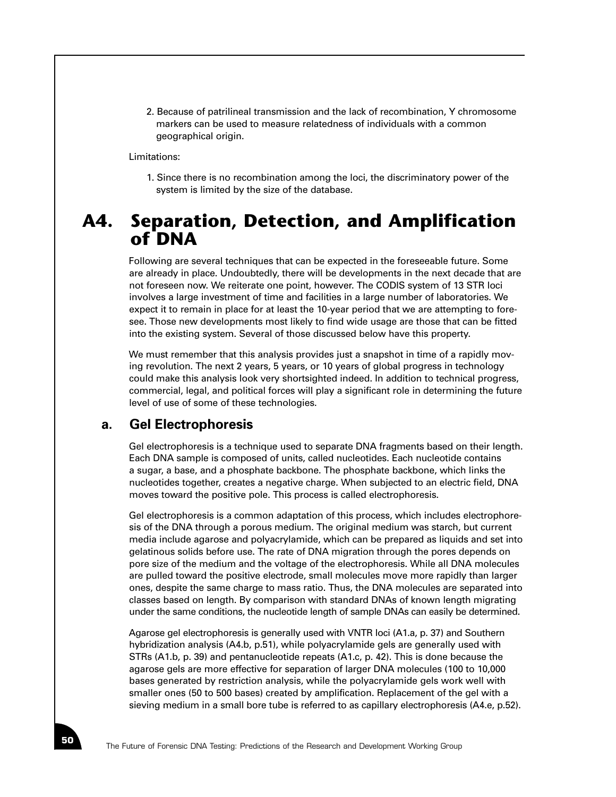2. Because of patrilineal transmission and the lack of recombination, Y chromosome markers can be used to measure relatedness of individuals with a common geographical origin.

#### Limitations:

1. Since there is no recombination among the loci, the discriminatory power of the system is limited by the size of the database.

# **A4. Separation, Detection, and Amplification of DNA**

Following are several techniques that can be expected in the foreseeable future. Some are already in place. Undoubtedly, there will be developments in the next decade that are not foreseen now. We reiterate one point, however. The CODIS system of 13 STR loci involves a large investment of time and facilities in a large number of laboratories. We expect it to remain in place for at least the 10-year period that we are attempting to foresee. Those new developments most likely to find wide usage are those that can be fitted into the existing system. Several of those discussed below have this property.

We must remember that this analysis provides just a snapshot in time of a rapidly moving revolution. The next 2 years, 5 years, or 10 years of global progress in technology could make this analysis look very shortsighted indeed. In addition to technical progress, commercial, legal, and political forces will play a significant role in determining the future level of use of some of these technologies.

#### **a. Gel Electrophoresis**

Gel electrophoresis is a technique used to separate DNA fragments based on their length. Each DNA sample is composed of units, called nucleotides. Each nucleotide contains a sugar, a base, and a phosphate backbone. The phosphate backbone, which links the nucleotides together, creates a negative charge. When subjected to an electric field, DNA moves toward the positive pole. This process is called electrophoresis.

Gel electrophoresis is a common adaptation of this process, which includes electrophoresis of the DNA through a porous medium. The original medium was starch, but current media include agarose and polyacrylamide, which can be prepared as liquids and set into gelatinous solids before use. The rate of DNA migration through the pores depends on pore size of the medium and the voltage of the electrophoresis. While all DNA molecules are pulled toward the positive electrode, small molecules move more rapidly than larger ones, despite the same charge to mass ratio. Thus, the DNA molecules are separated into classes based on length. By comparison with standard DNAs of known length migrating under the same conditions, the nucleotide length of sample DNAs can easily be determined.

Agarose gel electrophoresis is generally used with VNTR loci (A1.a, p. 37) and Southern hybridization analysis (A4.b, p.51), while polyacrylamide gels are generally used with STRs (A1.b, p. 39) and pentanucleotide repeats (A1.c, p. 42). This is done because the agarose gels are more effective for separation of larger DNA molecules (100 to 10,000 bases generated by restriction analysis, while the polyacrylamide gels work well with smaller ones (50 to 500 bases) created by amplification. Replacement of the gel with a sieving medium in a small bore tube is referred to as capillary electrophoresis (A4.e, p.52).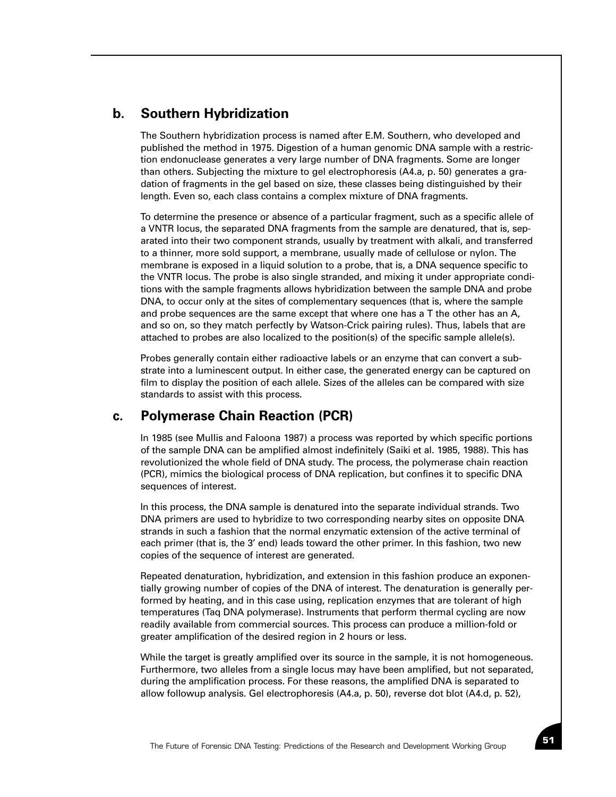# **b. Southern Hybridization**

The Southern hybridization process is named after E.M. Southern, who developed and published the method in 1975. Digestion of a human genomic DNA sample with a restriction endonuclease generates a very large number of DNA fragments. Some are longer than others. Subjecting the mixture to gel electrophoresis (A4.a, p. 50) generates a gradation of fragments in the gel based on size, these classes being distinguished by their length. Even so, each class contains a complex mixture of DNA fragments.

To determine the presence or absence of a particular fragment, such as a specific allele of a VNTR locus, the separated DNA fragments from the sample are denatured, that is, separated into their two component strands, usually by treatment with alkali, and transferred to a thinner, more sold support, a membrane, usually made of cellulose or nylon. The membrane is exposed in a liquid solution to a probe, that is, a DNA sequence specific to the VNTR locus. The probe is also single stranded, and mixing it under appropriate conditions with the sample fragments allows hybridization between the sample DNA and probe DNA, to occur only at the sites of complementary sequences (that is, where the sample and probe sequences are the same except that where one has a T the other has an A, and so on, so they match perfectly by Watson-Crick pairing rules). Thus, labels that are attached to probes are also localized to the position(s) of the specific sample allele(s).

Probes generally contain either radioactive labels or an enzyme that can convert a substrate into a luminescent output. In either case, the generated energy can be captured on film to display the position of each allele. Sizes of the alleles can be compared with size standards to assist with this process.

# **c. Polymerase Chain Reaction (PCR)**

In 1985 (see Mullis and Faloona 1987) a process was reported by which specific portions of the sample DNA can be amplified almost indefinitely (Saiki et al. 1985, 1988). This has revolutionized the whole field of DNA study. The process, the polymerase chain reaction (PCR), mimics the biological process of DNA replication, but confines it to specific DNA sequences of interest.

In this process, the DNA sample is denatured into the separate individual strands. Two DNA primers are used to hybridize to two corresponding nearby sites on opposite DNA strands in such a fashion that the normal enzymatic extension of the active terminal of each primer (that is, the 3' end) leads toward the other primer. In this fashion, two new copies of the sequence of interest are generated.

Repeated denaturation, hybridization, and extension in this fashion produce an exponentially growing number of copies of the DNA of interest. The denaturation is generally performed by heating, and in this case using, replication enzymes that are tolerant of high temperatures (Taq DNA polymerase). Instruments that perform thermal cycling are now readily available from commercial sources. This process can produce a million-fold or greater amplification of the desired region in 2 hours or less.

While the target is greatly amplified over its source in the sample, it is not homogeneous. Furthermore, two alleles from a single locus may have been amplified, but not separated, during the amplification process. For these reasons, the amplified DNA is separated to allow followup analysis. Gel electrophoresis (A4.a, p. 50), reverse dot blot (A4.d, p. 52),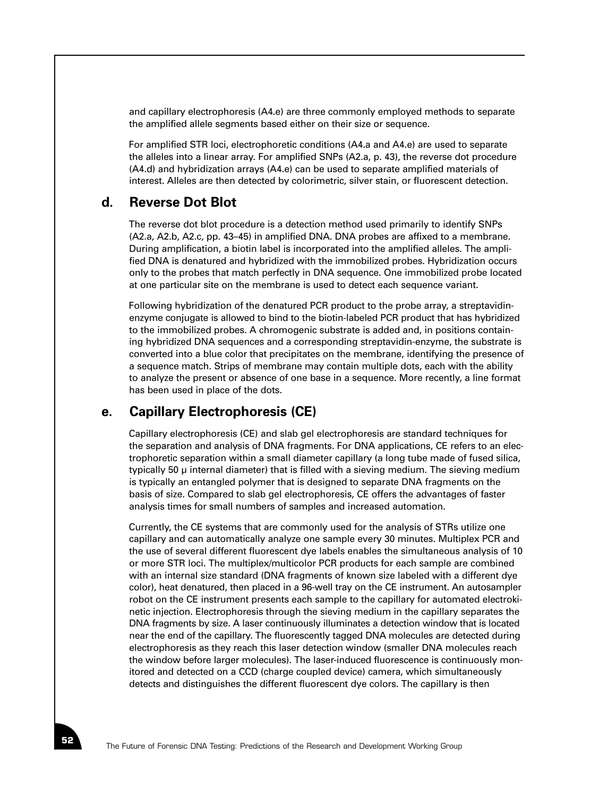and capillary electrophoresis (A4.e) are three commonly employed methods to separate the amplified allele segments based either on their size or sequence.

For amplified STR loci, electrophoretic conditions (A4.a and A4.e) are used to separate the alleles into a linear array. For amplified SNPs (A2.a, p. 43), the reverse dot procedure (A4.d) and hybridization arrays (A4.e) can be used to separate amplified materials of interest. Alleles are then detected by colorimetric, silver stain, or fluorescent detection.

## **d. Reverse Dot Blot**

The reverse dot blot procedure is a detection method used primarily to identify SNPs (A2.a, A2.b, A2.c, pp. 43–45) in amplified DNA. DNA probes are affixed to a membrane. During amplification, a biotin label is incorporated into the amplified alleles. The amplified DNA is denatured and hybridized with the immobilized probes. Hybridization occurs only to the probes that match perfectly in DNA sequence. One immobilized probe located at one particular site on the membrane is used to detect each sequence variant.

Following hybridization of the denatured PCR product to the probe array, a streptavidinenzyme conjugate is allowed to bind to the biotin-labeled PCR product that has hybridized to the immobilized probes. A chromogenic substrate is added and, in positions containing hybridized DNA sequences and a corresponding streptavidin-enzyme, the substrate is converted into a blue color that precipitates on the membrane, identifying the presence of a sequence match. Strips of membrane may contain multiple dots, each with the ability to analyze the present or absence of one base in a sequence. More recently, a line format has been used in place of the dots.

# **e. Capillary Electrophoresis (CE)**

Capillary electrophoresis (CE) and slab gel electrophoresis are standard techniques for the separation and analysis of DNA fragments. For DNA applications, CE refers to an electrophoretic separation within a small diameter capillary (a long tube made of fused silica, typically 50 µ internal diameter) that is filled with a sieving medium. The sieving medium is typically an entangled polymer that is designed to separate DNA fragments on the basis of size. Compared to slab gel electrophoresis, CE offers the advantages of faster analysis times for small numbers of samples and increased automation.

Currently, the CE systems that are commonly used for the analysis of STRs utilize one capillary and can automatically analyze one sample every 30 minutes. Multiplex PCR and the use of several different fluorescent dye labels enables the simultaneous analysis of 10 or more STR loci. The multiplex/multicolor PCR products for each sample are combined with an internal size standard (DNA fragments of known size labeled with a different dye color), heat denatured, then placed in a 96-well tray on the CE instrument. An autosampler robot on the CE instrument presents each sample to the capillary for automated electrokinetic injection. Electrophoresis through the sieving medium in the capillary separates the DNA fragments by size. A laser continuously illuminates a detection window that is located near the end of the capillary. The fluorescently tagged DNA molecules are detected during electrophoresis as they reach this laser detection window (smaller DNA molecules reach the window before larger molecules). The laser-induced fluorescence is continuously monitored and detected on a CCD (charge coupled device) camera, which simultaneously detects and distinguishes the different fluorescent dye colors. The capillary is then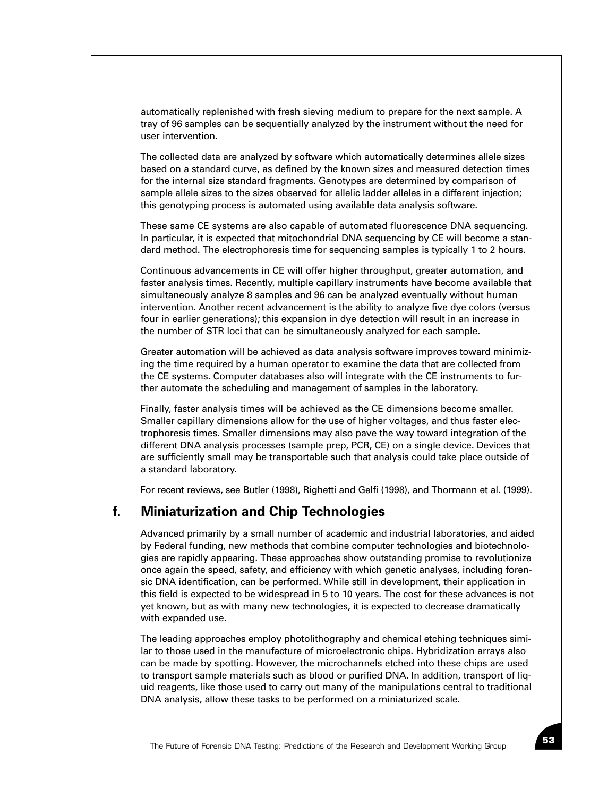automatically replenished with fresh sieving medium to prepare for the next sample. A tray of 96 samples can be sequentially analyzed by the instrument without the need for user intervention.

The collected data are analyzed by software which automatically determines allele sizes based on a standard curve, as defined by the known sizes and measured detection times for the internal size standard fragments. Genotypes are determined by comparison of sample allele sizes to the sizes observed for allelic ladder alleles in a different injection; this genotyping process is automated using available data analysis software.

These same CE systems are also capable of automated fluorescence DNA sequencing. In particular, it is expected that mitochondrial DNA sequencing by CE will become a standard method. The electrophoresis time for sequencing samples is typically 1 to 2 hours.

Continuous advancements in CE will offer higher throughput, greater automation, and faster analysis times. Recently, multiple capillary instruments have become available that simultaneously analyze 8 samples and 96 can be analyzed eventually without human intervention. Another recent advancement is the ability to analyze five dye colors (versus four in earlier generations); this expansion in dye detection will result in an increase in the number of STR loci that can be simultaneously analyzed for each sample.

Greater automation will be achieved as data analysis software improves toward minimizing the time required by a human operator to examine the data that are collected from the CE systems. Computer databases also will integrate with the CE instruments to further automate the scheduling and management of samples in the laboratory.

Finally, faster analysis times will be achieved as the CE dimensions become smaller. Smaller capillary dimensions allow for the use of higher voltages, and thus faster electrophoresis times. Smaller dimensions may also pave the way toward integration of the different DNA analysis processes (sample prep, PCR, CE) on a single device. Devices that are sufficiently small may be transportable such that analysis could take place outside of a standard laboratory.

For recent reviews, see Butler (1998), Righetti and Gelfi (1998), and Thormann et al. (1999).

# **f. Miniaturization and Chip Technologies**

Advanced primarily by a small number of academic and industrial laboratories, and aided by Federal funding, new methods that combine computer technologies and biotechnologies are rapidly appearing. These approaches show outstanding promise to revolutionize once again the speed, safety, and efficiency with which genetic analyses, including forensic DNA identification, can be performed. While still in development, their application in this field is expected to be widespread in 5 to 10 years. The cost for these advances is not yet known, but as with many new technologies, it is expected to decrease dramatically with expanded use.

The leading approaches employ photolithography and chemical etching techniques similar to those used in the manufacture of microelectronic chips. Hybridization arrays also can be made by spotting. However, the microchannels etched into these chips are used to transport sample materials such as blood or purified DNA. In addition, transport of liquid reagents, like those used to carry out many of the manipulations central to traditional DNA analysis, allow these tasks to be performed on a miniaturized scale.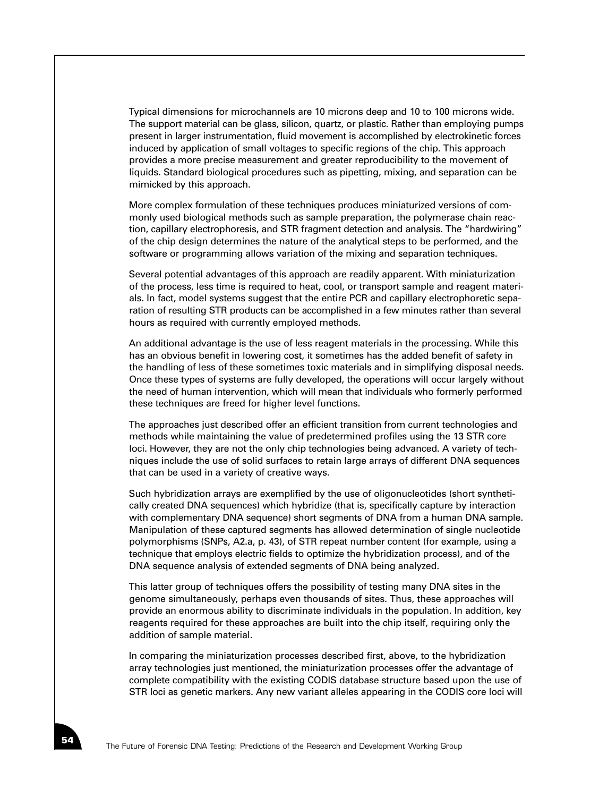Typical dimensions for microchannels are 10 microns deep and 10 to 100 microns wide. The support material can be glass, silicon, quartz, or plastic. Rather than employing pumps present in larger instrumentation, fluid movement is accomplished by electrokinetic forces induced by application of small voltages to specific regions of the chip. This approach provides a more precise measurement and greater reproducibility to the movement of liquids. Standard biological procedures such as pipetting, mixing, and separation can be mimicked by this approach.

More complex formulation of these techniques produces miniaturized versions of commonly used biological methods such as sample preparation, the polymerase chain reaction, capillary electrophoresis, and STR fragment detection and analysis. The "hardwiring" of the chip design determines the nature of the analytical steps to be performed, and the software or programming allows variation of the mixing and separation techniques.

Several potential advantages of this approach are readily apparent. With miniaturization of the process, less time is required to heat, cool, or transport sample and reagent materials. In fact, model systems suggest that the entire PCR and capillary electrophoretic separation of resulting STR products can be accomplished in a few minutes rather than several hours as required with currently employed methods.

An additional advantage is the use of less reagent materials in the processing. While this has an obvious benefit in lowering cost, it sometimes has the added benefit of safety in the handling of less of these sometimes toxic materials and in simplifying disposal needs. Once these types of systems are fully developed, the operations will occur largely without the need of human intervention, which will mean that individuals who formerly performed these techniques are freed for higher level functions.

The approaches just described offer an efficient transition from current technologies and methods while maintaining the value of predetermined profiles using the 13 STR core loci. However, they are not the only chip technologies being advanced. A variety of techniques include the use of solid surfaces to retain large arrays of different DNA sequences that can be used in a variety of creative ways.

Such hybridization arrays are exemplified by the use of oligonucleotides (short synthetically created DNA sequences) which hybridize (that is, specifically capture by interaction with complementary DNA sequence) short segments of DNA from a human DNA sample. Manipulation of these captured segments has allowed determination of single nucleotide polymorphisms (SNPs, A2.a, p. 43), of STR repeat number content (for example, using a technique that employs electric fields to optimize the hybridization process), and of the DNA sequence analysis of extended segments of DNA being analyzed.

This latter group of techniques offers the possibility of testing many DNA sites in the genome simultaneously, perhaps even thousands of sites. Thus, these approaches will provide an enormous ability to discriminate individuals in the population. In addition, key reagents required for these approaches are built into the chip itself, requiring only the addition of sample material.

In comparing the miniaturization processes described first, above, to the hybridization array technologies just mentioned, the miniaturization processes offer the advantage of complete compatibility with the existing CODIS database structure based upon the use of STR loci as genetic markers. Any new variant alleles appearing in the CODIS core loci will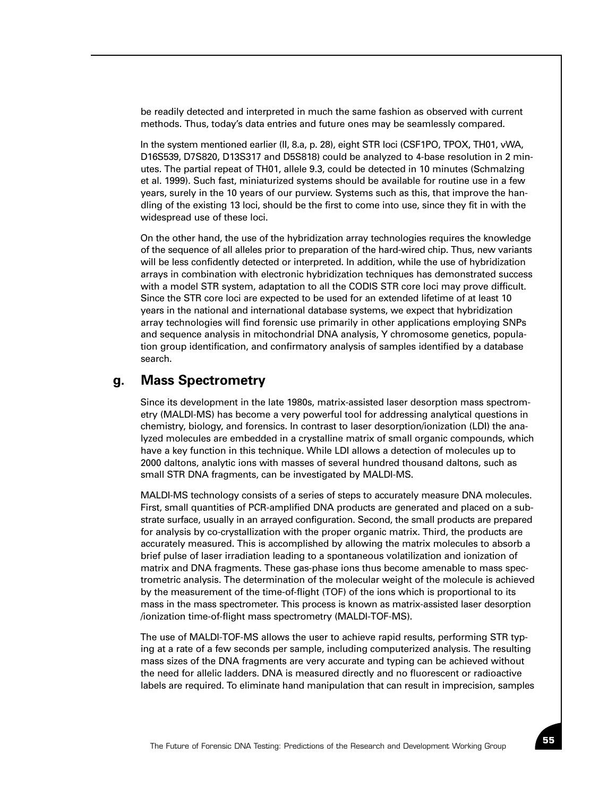be readily detected and interpreted in much the same fashion as observed with current methods. Thus, today's data entries and future ones may be seamlessly compared.

In the system mentioned earlier (II, 8.a, p. 28), eight STR loci (CSF1PO, TPOX, TH01, vWA, D16S539, D7S820, D13S317 and D5S818) could be analyzed to 4-base resolution in 2 minutes. The partial repeat of TH01, allele 9.3, could be detected in 10 minutes (Schmalzing et al. 1999). Such fast, miniaturized systems should be available for routine use in a few years, surely in the 10 years of our purview. Systems such as this, that improve the handling of the existing 13 loci, should be the first to come into use, since they fit in with the widespread use of these loci.

On the other hand, the use of the hybridization array technologies requires the knowledge of the sequence of all alleles prior to preparation of the hard-wired chip. Thus, new variants will be less confidently detected or interpreted. In addition, while the use of hybridization arrays in combination with electronic hybridization techniques has demonstrated success with a model STR system, adaptation to all the CODIS STR core loci may prove difficult. Since the STR core loci are expected to be used for an extended lifetime of at least 10 years in the national and international database systems, we expect that hybridization array technologies will find forensic use primarily in other applications employing SNPs and sequence analysis in mitochondrial DNA analysis, Y chromosome genetics, population group identification, and confirmatory analysis of samples identified by a database search.

## **g. Mass Spectrometry**

Since its development in the late 1980s, matrix-assisted laser desorption mass spectrometry (MALDI-MS) has become a very powerful tool for addressing analytical questions in chemistry, biology, and forensics. In contrast to laser desorption/ionization (LDI) the analyzed molecules are embedded in a crystalline matrix of small organic compounds, which have a key function in this technique. While LDI allows a detection of molecules up to 2000 daltons, analytic ions with masses of several hundred thousand daltons, such as small STR DNA fragments, can be investigated by MALDI-MS.

MALDI-MS technology consists of a series of steps to accurately measure DNA molecules. First, small quantities of PCR-amplified DNA products are generated and placed on a substrate surface, usually in an arrayed configuration. Second, the small products are prepared for analysis by co-crystallization with the proper organic matrix. Third, the products are accurately measured. This is accomplished by allowing the matrix molecules to absorb a brief pulse of laser irradiation leading to a spontaneous volatilization and ionization of matrix and DNA fragments. These gas-phase ions thus become amenable to mass spectrometric analysis. The determination of the molecular weight of the molecule is achieved by the measurement of the time-of-flight (TOF) of the ions which is proportional to its mass in the mass spectrometer. This process is known as matrix-assisted laser desorption /ionization time-of-flight mass spectrometry (MALDI-TOF-MS).

The use of MALDI-TOF-MS allows the user to achieve rapid results, performing STR typing at a rate of a few seconds per sample, including computerized analysis. The resulting mass sizes of the DNA fragments are very accurate and typing can be achieved without the need for allelic ladders. DNA is measured directly and no fluorescent or radioactive labels are required. To eliminate hand manipulation that can result in imprecision, samples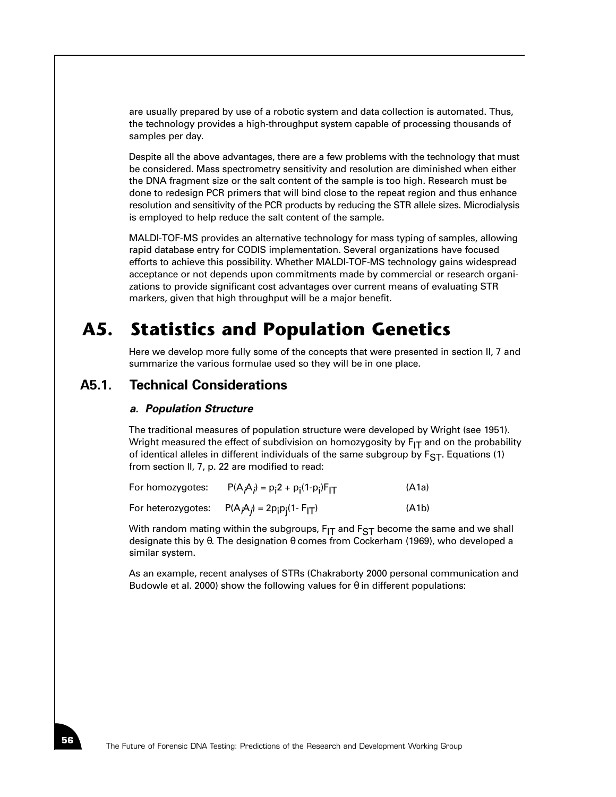are usually prepared by use of a robotic system and data collection is automated. Thus, the technology provides a high-throughput system capable of processing thousands of samples per day.

Despite all the above advantages, there are a few problems with the technology that must be considered. Mass spectrometry sensitivity and resolution are diminished when either the DNA fragment size or the salt content of the sample is too high. Research must be done to redesign PCR primers that will bind close to the repeat region and thus enhance resolution and sensitivity of the PCR products by reducing the STR allele sizes. Microdialysis is employed to help reduce the salt content of the sample.

MALDI-TOF-MS provides an alternative technology for mass typing of samples, allowing rapid database entry for CODIS implementation. Several organizations have focused efforts to achieve this possibility. Whether MALDI-TOF-MS technology gains widespread acceptance or not depends upon commitments made by commercial or research organizations to provide significant cost advantages over current means of evaluating STR markers, given that high throughput will be a major benefit.

# **A5. Statistics and Population Genetics**

Here we develop more fully some of the concepts that were presented in section II, 7 and summarize the various formulae used so they will be in one place.

# **A5.1. Technical Considerations**

#### *a. Population Structure*

The traditional measures of population structure were developed by Wright (see 1951). Wright measured the effect of subdivision on homozygosity by  $F_{IT}$  and on the probability of identical alleles in different individuals of the same subgroup by  $F_{ST}$ . Equations (1) from section II, 7, p. 22 are modified to read:

| For homozygotes:   | $P(A_iA_j) = p_12 + p_1(1-p_j)F_{IT}$ | (A1a) |
|--------------------|---------------------------------------|-------|
| For heterozygotes: | $P(A_iA_j) = 2p_ip_i(1 - F_{IT})$     | (A1b) |

With random mating within the subgroups, F<sub>IT</sub> and F<sub>ST</sub> become the same and we shall designate this by θ. The designation θ comes from Cockerham (1969), who developed a similar system.

As an example, recent analyses of STRs (Chakraborty 2000 personal communication and Budowle et al. 2000) show the following values for  $\theta$  in different populations: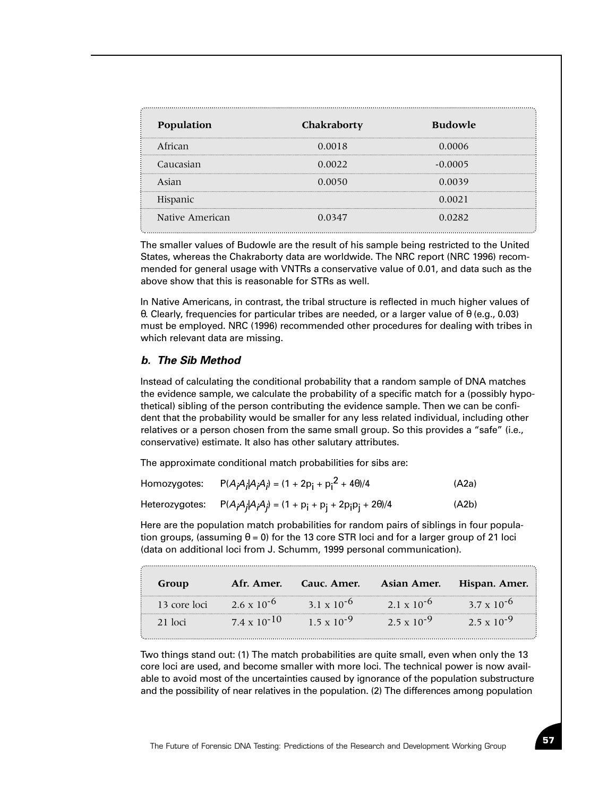| Population      | Chakraborty | <b>Budowle</b> |
|-----------------|-------------|----------------|
| African         | 0.0018      | 0.0006         |
| Caucasian       | 0.0022      | $-0.0005$      |
| Asian           | 0.0050      | 0.0039         |
| Hispanic        |             | 0.0021         |
| Native American | 0.0347      | 0.0282         |

The smaller values of Budowle are the result of his sample being restricted to the United States, whereas the Chakraborty data are worldwide. The NRC report (NRC 1996) recommended for general usage with VNTRs a conservative value of 0.01, and data such as the above show that this is reasonable for STRs as well.

In Native Americans, in contrast, the tribal structure is reflected in much higher values of θ. Clearly, frequencies for particular tribes are needed, or a larger value of θ (e.g., 0.03) must be employed. NRC (1996) recommended other procedures for dealing with tribes in which relevant data are missing.

#### *b. The Sib Method*

Instead of calculating the conditional probability that a random sample of DNA matches the evidence sample, we calculate the probability of a specific match for a (possibly hypothetical) sibling of the person contributing the evidence sample. Then we can be confident that the probability would be smaller for any less related individual, including other relatives or a person chosen from the same small group. So this provides a "safe" (i.e., conservative) estimate. It also has other salutary attributes.

The approximate conditional match probabilities for sibs are:

| Homozygotes:   | $P(A_iA_jA_jA_j) = (1 + 2p_i + p_i^2 + 4\theta)/4$        | (A2a) |
|----------------|-----------------------------------------------------------|-------|
| Heterozygotes: | $P(A_iA_jA_iA_j) = (1 + p_1 + p_1 + 2p_1p_1 + 2\theta)/4$ | (A2b) |

Here are the population match probabilities for random pairs of siblings in four population groups, (assuming  $\theta = 0$ ) for the 13 core STR loci and for a larger group of 21 loci (data on additional loci from J. Schumm, 1999 personal communication).

| Group        | Afr. Amer.            | Cauc. Amer.          | <b>Asian Amer.</b>   | Hispan. Amer.        |
|--------------|-----------------------|----------------------|----------------------|----------------------|
| 13 core loci | $2.6 \times 10^{-6}$  | $31 \times 10^{-6}$  | $2.1 \times 10^{-6}$ | $3.7 \times 10^{-6}$ |
| $21$ $loci$  | $7.4 \times 10^{-10}$ | $1.5 \times 10^{-9}$ | $2.5 \times 10^{-9}$ | $2.5 \times 10^{-9}$ |

Two things stand out: (1) The match probabilities are quite small, even when only the 13 core loci are used, and become smaller with more loci. The technical power is now available to avoid most of the uncertainties caused by ignorance of the population substructure and the possibility of near relatives in the population. (2) The differences among population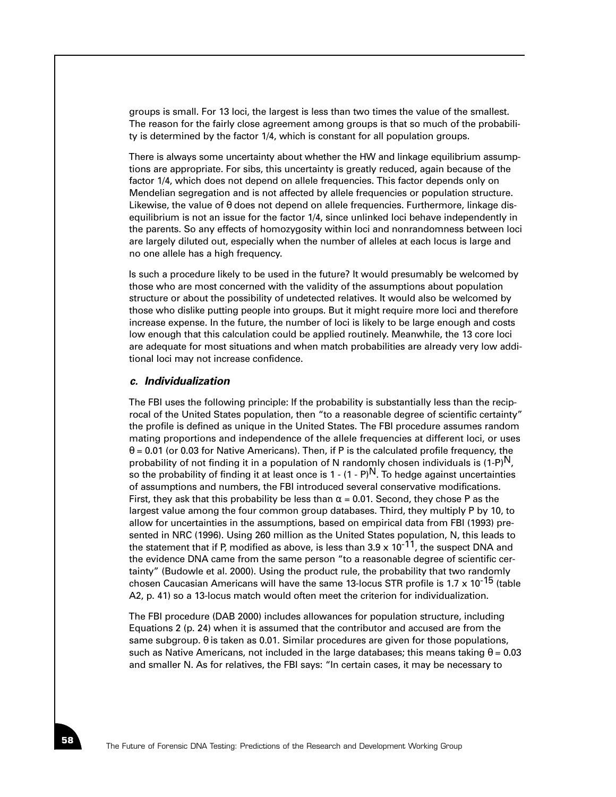groups is small. For 13 loci, the largest is less than two times the value of the smallest. The reason for the fairly close agreement among groups is that so much of the probability is determined by the factor 1/4, which is constant for all population groups.

There is always some uncertainty about whether the HW and linkage equilibrium assumptions are appropriate. For sibs, this uncertainty is greatly reduced, again because of the factor 1/4, which does not depend on allele frequencies. This factor depends only on Mendelian segregation and is not affected by allele frequencies or population structure. Likewise, the value of θ does not depend on allele frequencies. Furthermore, linkage disequilibrium is not an issue for the factor 1/4, since unlinked loci behave independently in the parents. So any effects of homozygosity within loci and nonrandomness between loci are largely diluted out, especially when the number of alleles at each locus is large and no one allele has a high frequency.

Is such a procedure likely to be used in the future? It would presumably be welcomed by those who are most concerned with the validity of the assumptions about population structure or about the possibility of undetected relatives. It would also be welcomed by those who dislike putting people into groups. But it might require more loci and therefore increase expense. In the future, the number of loci is likely to be large enough and costs low enough that this calculation could be applied routinely. Meanwhile, the 13 core loci are adequate for most situations and when match probabilities are already very low additional loci may not increase confidence.

#### *c. Individualization*

The FBI uses the following principle: If the probability is substantially less than the reciprocal of the United States population, then "to a reasonable degree of scientific certainty" the profile is defined as unique in the United States. The FBI procedure assumes random mating proportions and independence of the allele frequencies at different loci, or uses  $\theta$  = 0.01 (or 0.03 for Native Americans). Then, if P is the calculated profile frequency, the probability of not finding it in a population of N randomly chosen individuals is  $(1-P)^N$ , so the probability of finding it at least once is  $1 - (1 - P)^N$ . To hedge against uncertainties of assumptions and numbers, the FBI introduced several conservative modifications. First, they ask that this probability be less than  $\alpha = 0.01$ . Second, they chose P as the largest value among the four common group databases. Third, they multiply P by 10, to allow for uncertainties in the assumptions, based on empirical data from FBI (1993) presented in NRC (1996). Using 260 million as the United States population, N, this leads to the statement that if P, modified as above, is less than  $3.9 \times 10^{-11}$ , the suspect DNA and the evidence DNA came from the same person "to a reasonable degree of scientific certainty" (Budowle et al. 2000). Using the product rule, the probability that two randomly chosen Caucasian Americans will have the same 13-locus STR profile is 1.7 x 10<sup>-15</sup> (table A2, p. 41) so a 13-locus match would often meet the criterion for individualization.

The FBI procedure (DAB 2000) includes allowances for population structure, including Equations 2 (p. 24) when it is assumed that the contributor and accused are from the same subgroup. θ is taken as 0.01. Similar procedures are given for those populations, such as Native Americans, not included in the large databases; this means taking  $\theta = 0.03$ and smaller N. As for relatives, the FBI says: "In certain cases, it may be necessary to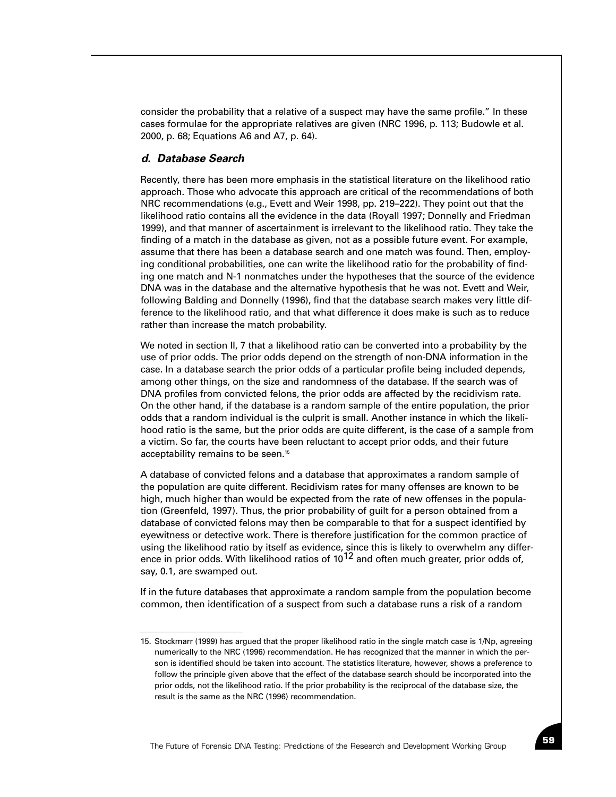consider the probability that a relative of a suspect may have the same profile." In these cases formulae for the appropriate relatives are given (NRC 1996, p. 113; Budowle et al. 2000, p. 68; Equations A6 and A7, p. 64).

#### *d. Database Search*

Recently, there has been more emphasis in the statistical literature on the likelihood ratio approach. Those who advocate this approach are critical of the recommendations of both NRC recommendations (e.g., Evett and Weir 1998, pp. 219–222). They point out that the likelihood ratio contains all the evidence in the data (Royall 1997; Donnelly and Friedman 1999), and that manner of ascertainment is irrelevant to the likelihood ratio. They take the finding of a match in the database as given, not as a possible future event. For example, assume that there has been a database search and one match was found. Then, employing conditional probabilities, one can write the likelihood ratio for the probability of finding one match and N-1 nonmatches under the hypotheses that the source of the evidence DNA was in the database and the alternative hypothesis that he was not. Evett and Weir, following Balding and Donnelly (1996), find that the database search makes very little difference to the likelihood ratio, and that what difference it does make is such as to reduce rather than increase the match probability.

We noted in section II, 7 that a likelihood ratio can be converted into a probability by the use of prior odds. The prior odds depend on the strength of non-DNA information in the case. In a database search the prior odds of a particular profile being included depends, among other things, on the size and randomness of the database. If the search was of DNA profiles from convicted felons, the prior odds are affected by the recidivism rate. On the other hand, if the database is a random sample of the entire population, the prior odds that a random individual is the culprit is small. Another instance in which the likelihood ratio is the same, but the prior odds are quite different, is the case of a sample from a victim. So far, the courts have been reluctant to accept prior odds, and their future acceptability remains to be seen.<sup>15</sup>

A database of convicted felons and a database that approximates a random sample of the population are quite different. Recidivism rates for many offenses are known to be high, much higher than would be expected from the rate of new offenses in the population (Greenfeld, 1997). Thus, the prior probability of guilt for a person obtained from a database of convicted felons may then be comparable to that for a suspect identified by eyewitness or detective work. There is therefore justification for the common practice of using the likelihood ratio by itself as evidence, since this is likely to overwhelm any difference in prior odds. With likelihood ratios of  $10^{12}$  and often much greater, prior odds of, say, 0.1, are swamped out.

If in the future databases that approximate a random sample from the population become common, then identification of a suspect from such a database runs a risk of a random

<sup>15.</sup> Stockmarr (1999) has argued that the proper likelihood ratio in the single match case is 1/Np, agreeing numerically to the NRC (1996) recommendation. He has recognized that the manner in which the person is identified should be taken into account. The statistics literature, however, shows a preference to follow the principle given above that the effect of the database search should be incorporated into the prior odds, not the likelihood ratio. If the prior probability is the reciprocal of the database size, the result is the same as the NRC (1996) recommendation.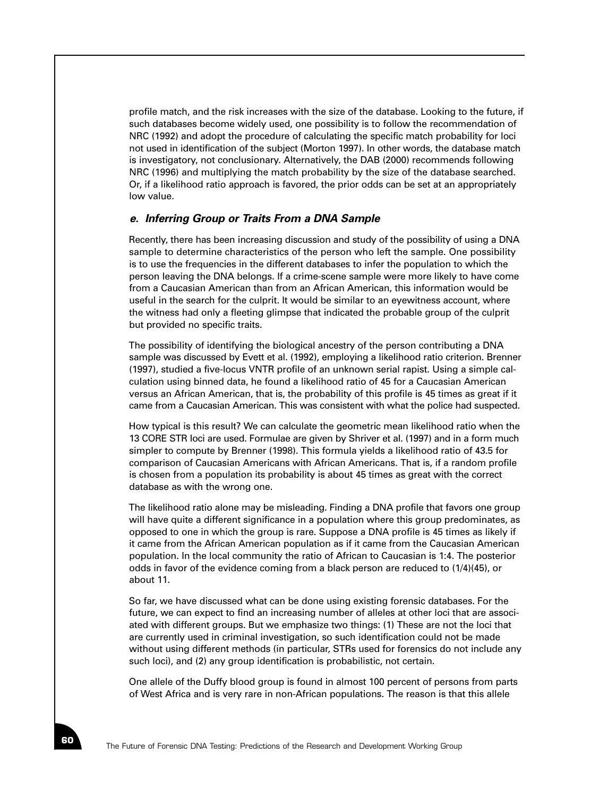profile match, and the risk increases with the size of the database. Looking to the future, if such databases become widely used, one possibility is to follow the recommendation of NRC (1992) and adopt the procedure of calculating the specific match probability for loci not used in identification of the subject (Morton 1997). In other words, the database match is investigatory, not conclusionary. Alternatively, the DAB (2000) recommends following NRC (1996) and multiplying the match probability by the size of the database searched. Or, if a likelihood ratio approach is favored, the prior odds can be set at an appropriately low value.

#### *e. Inferring Group or Traits From a DNA Sample*

Recently, there has been increasing discussion and study of the possibility of using a DNA sample to determine characteristics of the person who left the sample. One possibility is to use the frequencies in the different databases to infer the population to which the person leaving the DNA belongs. If a crime-scene sample were more likely to have come from a Caucasian American than from an African American, this information would be useful in the search for the culprit. It would be similar to an eyewitness account, where the witness had only a fleeting glimpse that indicated the probable group of the culprit but provided no specific traits.

The possibility of identifying the biological ancestry of the person contributing a DNA sample was discussed by Evett et al. (1992), employing a likelihood ratio criterion. Brenner (1997), studied a five-locus VNTR profile of an unknown serial rapist. Using a simple calculation using binned data, he found a likelihood ratio of 45 for a Caucasian American versus an African American, that is, the probability of this profile is 45 times as great if it came from a Caucasian American. This was consistent with what the police had suspected.

How typical is this result? We can calculate the geometric mean likelihood ratio when the 13 CORE STR loci are used. Formulae are given by Shriver et al. (1997) and in a form much simpler to compute by Brenner (1998). This formula yields a likelihood ratio of 43.5 for comparison of Caucasian Americans with African Americans. That is, if a random profile is chosen from a population its probability is about 45 times as great with the correct database as with the wrong one.

The likelihood ratio alone may be misleading. Finding a DNA profile that favors one group will have quite a different significance in a population where this group predominates, as opposed to one in which the group is rare. Suppose a DNA profile is 45 times as likely if it came from the African American population as if it came from the Caucasian American population. In the local community the ratio of African to Caucasian is 1:4. The posterior odds in favor of the evidence coming from a black person are reduced to (1/4)(45), or about 11.

So far, we have discussed what can be done using existing forensic databases. For the future, we can expect to find an increasing number of alleles at other loci that are associated with different groups. But we emphasize two things: (1) These are not the loci that are currently used in criminal investigation, so such identification could not be made without using different methods (in particular, STRs used for forensics do not include any such loci), and (2) any group identification is probabilistic, not certain.

One allele of the Duffy blood group is found in almost 100 percent of persons from parts of West Africa and is very rare in non-African populations. The reason is that this allele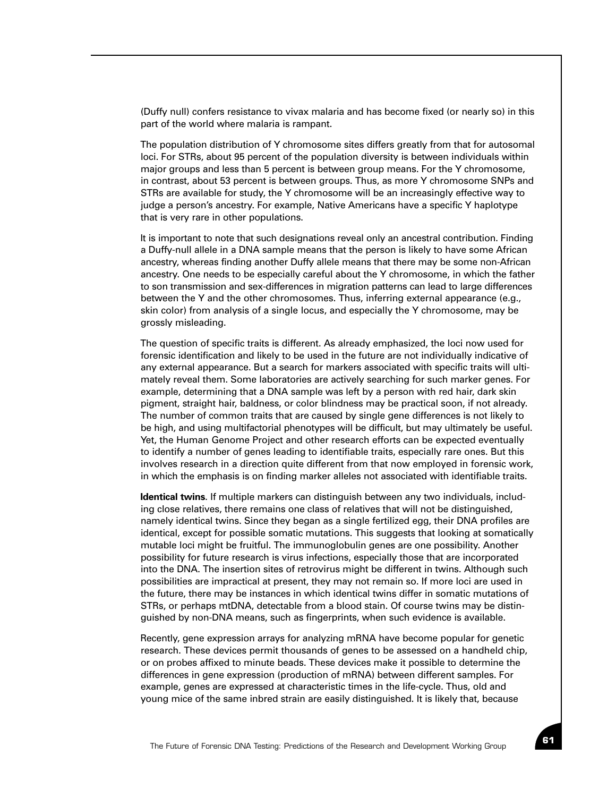(Duffy null) confers resistance to vivax malaria and has become fixed (or nearly so) in this part of the world where malaria is rampant.

The population distribution of Y chromosome sites differs greatly from that for autosomal loci. For STRs, about 95 percent of the population diversity is between individuals within major groups and less than 5 percent is between group means. For the Y chromosome, in contrast, about 53 percent is between groups. Thus, as more Y chromosome SNPs and STRs are available for study, the Y chromosome will be an increasingly effective way to judge a person's ancestry. For example, Native Americans have a specific Y haplotype that is very rare in other populations.

It is important to note that such designations reveal only an ancestral contribution. Finding a Duffy-null allele in a DNA sample means that the person is likely to have some African ancestry, whereas finding another Duffy allele means that there may be some non-African ancestry. One needs to be especially careful about the Y chromosome, in which the father to son transmission and sex-differences in migration patterns can lead to large differences between the Y and the other chromosomes. Thus, inferring external appearance (e.g., skin color) from analysis of a single locus, and especially the Y chromosome, may be grossly misleading.

The question of specific traits is different. As already emphasized, the loci now used for forensic identification and likely to be used in the future are not individually indicative of any external appearance. But a search for markers associated with specific traits will ultimately reveal them. Some laboratories are actively searching for such marker genes. For example, determining that a DNA sample was left by a person with red hair, dark skin pigment, straight hair, baldness, or color blindness may be practical soon, if not already. The number of common traits that are caused by single gene differences is not likely to be high, and using multifactorial phenotypes will be difficult, but may ultimately be useful. Yet, the Human Genome Project and other research efforts can be expected eventually to identify a number of genes leading to identifiable traits, especially rare ones. But this involves research in a direction quite different from that now employed in forensic work, in which the emphasis is on finding marker alleles not associated with identifiable traits.

**Identical twins**. If multiple markers can distinguish between any two individuals, including close relatives, there remains one class of relatives that will not be distinguished, namely identical twins. Since they began as a single fertilized egg, their DNA profiles are identical, except for possible somatic mutations. This suggests that looking at somatically mutable loci might be fruitful. The immunoglobulin genes are one possibility. Another possibility for future research is virus infections, especially those that are incorporated into the DNA. The insertion sites of retrovirus might be different in twins. Although such possibilities are impractical at present, they may not remain so. If more loci are used in the future, there may be instances in which identical twins differ in somatic mutations of STRs, or perhaps mtDNA, detectable from a blood stain. Of course twins may be distinguished by non-DNA means, such as fingerprints, when such evidence is available.

Recently, gene expression arrays for analyzing mRNA have become popular for genetic research. These devices permit thousands of genes to be assessed on a handheld chip, or on probes affixed to minute beads. These devices make it possible to determine the differences in gene expression (production of mRNA) between different samples. For example, genes are expressed at characteristic times in the life-cycle. Thus, old and young mice of the same inbred strain are easily distinguished. It is likely that, because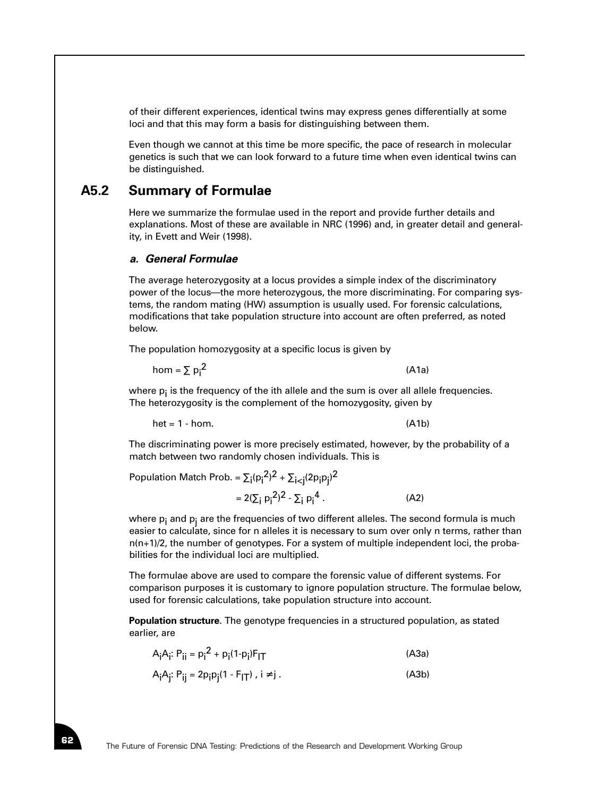of their different experiences, identical twins may express genes differentially at some loci and that this may form a basis for distinguishing between them.

Even though we cannot at this time be more specific, the pace of research in molecular genetics is such that we can look forward to a future time when even identical twins can be distinguished.

### **A5.2 Summary of Formulae**

Here we summarize the formulae used in the report and provide further details and explanations. Most of these are available in NRC (1996) and, in greater detail and generality, in Evett and Weir (1998).

#### *a. General Formulae*

The average heterozygosity at a locus provides a simple index of the discriminatory power of the locus—the more heterozygous, the more discriminating. For comparing systems, the random mating (HW) assumption is usually used. For forensic calculations, modifications that take population structure into account are often preferred, as noted below.

The population homozygosity at a specific locus is given by

$$
hom = \sum p_i^2
$$
 (A1a)

where  $p_i$  is the frequency of the ith allele and the sum is over all allele frequencies. The heterozygosity is the complement of the homozygosity, given by

$$
het = 1 - hom. \tag{A1b}
$$

The discriminating power is more precisely estimated, however, by the probability of a match between two randomly chosen individuals. This is

Population Match Prob. =  $\Sigma_{\mathsf{i}}({\mathsf{p}}_{\mathsf{i}}^2)^2 + \Sigma_{\mathsf{i} < \mathsf{j}}(2{\mathsf{p}}_{\mathsf{i}} {\mathsf{p}}_{\mathsf{j}})^2$ 

$$
= 2(\sum_{i} p_{i}^{2})^{2} - \sum_{i} p_{i}^{4} . \qquad (A2)
$$

where  $p_i$  and  $p_i$  are the frequencies of two different alleles. The second formula is much easier to calculate, since for n alleles it is necessary to sum over only n terms, rather than n(n+1)/2, the number of genotypes. For a system of multiple independent loci, the probabilities for the individual loci are multiplied.

The formulae above are used to compare the forensic value of different systems. For comparison purposes it is customary to ignore population structure. The formulae below, used for forensic calculations, take population structure into account.

**Population structure**. The genotype frequencies in a structured population, as stated earlier, are

| A <sub>i</sub> A <sub>i</sub> : P <sub>ii</sub> = p <sub>i</sub> <sup>2</sup> + p <sub>i</sub> (1-p <sub>i</sub> )F <sub>IT</sub> | (A3a) |
|-----------------------------------------------------------------------------------------------------------------------------------|-------|
| A <sub>i</sub> A <sub>i</sub> : P <sub>ij</sub> = 2p <sub>i</sub> p <sub>i</sub> (1 - F <sub>IT</sub> ) , i ≠ j .                 | (A3b) |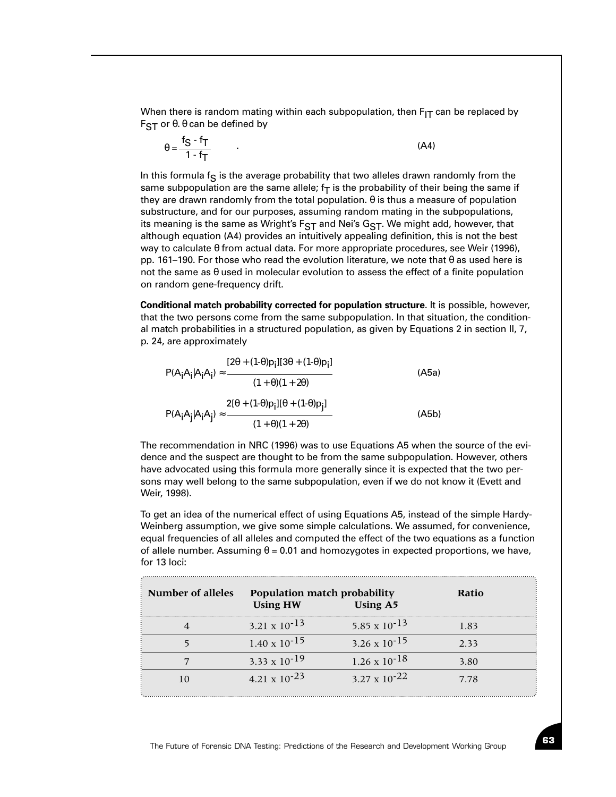When there is random mating within each subpopulation, then  $F_{IT}$  can be replaced by  $F<sub>ST</sub>$  or  $θ$ .  $θ$  can be defined by

$$
\theta = \frac{f_S - f_T}{1 - f_T} \tag{A4}
$$

In this formula  $f_S$  is the average probability that two alleles drawn randomly from the same subpopulation are the same allele;  $f<sub>T</sub>$  is the probability of their being the same if they are drawn randomly from the total population.  $\theta$  is thus a measure of population substructure, and for our purposes, assuming random mating in the subpopulations, its meaning is the same as Wright's  $F_{ST}$  and Nei's  $G_{ST}$ . We might add, however, that although equation (A4) provides an intuitively appealing definition, this is not the best way to calculate θ from actual data. For more appropriate procedures, see Weir (1996), pp. 161–190. For those who read the evolution literature, we note that  $\theta$  as used here is not the same as θ used in molecular evolution to assess the effect of a finite population on random gene-frequency drift.

**Conditional match probability corrected for population structure**. It is possible, however, that the two persons come from the same subpopulation. In that situation, the conditional match probabilities in a structured population, as given by Equations 2 in section II, 7, p. 24, are approximately

$$
P(A_iA_i|A_iA_i) \approx \frac{[2\theta + (1-\theta)p_i][3\theta + (1-\theta)p_i]}{(1+\theta)(1+2\theta)}
$$
(A5a)  

$$
P(A_iA_j|A_iA_j) \approx \frac{2[\theta + (1-\theta)p_i][\theta + (1-\theta)p_j]}{(1+\theta)(1+2\theta)}
$$
(A5b)

The recommendation in NRC (1996) was to use Equations A5 when the source of the evidence and the suspect are thought to be from the same subpopulation. However, others have advocated using this formula more generally since it is expected that the two persons may well belong to the same subpopulation, even if we do not know it (Evett and Weir, 1998).

To get an idea of the numerical effect of using Equations A5, instead of the simple Hardy-Weinberg assumption, we give some simple calculations. We assumed, for convenience, equal frequencies of all alleles and computed the effect of the two equations as a function of allele number. Assuming  $\theta = 0.01$  and homozygotes in expected proportions, we have, for 13 loci:

| <b>Number of alleles</b> | Population match probability<br><b>Using HW</b> | <b>Using A5</b>        | Ratio |  |
|--------------------------|-------------------------------------------------|------------------------|-------|--|
|                          | $3.21 \times 10^{-13}$                          | $5.85 \times 10^{-13}$ | 1.83  |  |
|                          | $1.40 \times 10^{-15}$                          | $3.26 \times 10^{-15}$ | 2.33  |  |
|                          | 3.33 x $10^{-19}$                               | $1.26 \times 10^{-18}$ | 3.80  |  |
| 10                       | 4.21 x $10^{-23}$                               | $3.27 \times 10^{-22}$ | 7.78  |  |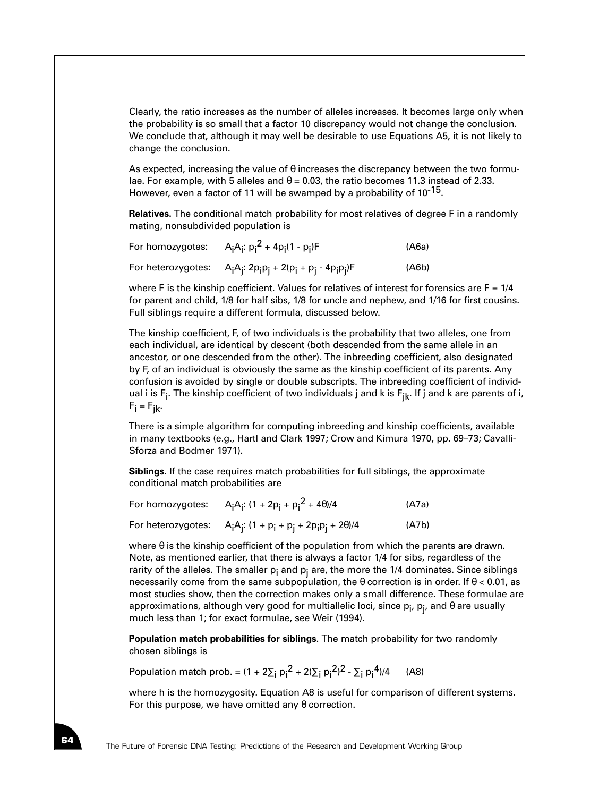Clearly, the ratio increases as the number of alleles increases. It becomes large only when the probability is so small that a factor 10 discrepancy would not change the conclusion. We conclude that, although it may well be desirable to use Equations A5, it is not likely to change the conclusion.

As expected, increasing the value of  $\theta$  increases the discrepancy between the two formulae. For example, with 5 alleles and  $\theta = 0.03$ , the ratio becomes 11.3 instead of 2.33. However, even a factor of 11 will be swamped by a probability of 10<sup>-15</sup>.

**Relatives.** The conditional match probability for most relatives of degree F in a randomly mating, nonsubdivided population is

| For homozygotes: $A_iA_i: p_i^2 + 4p_i(1-p_i)F$                                                                                      | (A6a) |
|--------------------------------------------------------------------------------------------------------------------------------------|-------|
| For heterozygotes: $A_iA_i$ : 2p <sub>i</sub> p <sub>j</sub> + 2(p <sub>i</sub> + p <sub>j</sub> - 4p <sub>i</sub> p <sub>j</sub> )F | (Ab)  |

where F is the kinship coefficient. Values for relatives of interest for forensics are  $F = 1/4$ for parent and child, 1/8 for half sibs, 1/8 for uncle and nephew, and 1/16 for first cousins. Full siblings require a different formula, discussed below.

The kinship coefficient, F, of two individuals is the probability that two alleles, one from each individual, are identical by descent (both descended from the same allele in an ancestor, or one descended from the other). The inbreeding coefficient, also designated by F, of an individual is obviously the same as the kinship coefficient of its parents. Any confusion is avoided by single or double subscripts. The inbreeding coefficient of individual i is Fi . The kinship coefficient of two individuals j and k is Fjk. If j and k are parents of i,  $F_i = F_{ik}$ .

There is a simple algorithm for computing inbreeding and kinship coefficients, available in many textbooks (e.g., Hartl and Clark 1997; Crow and Kimura 1970, pp. 69–73; Cavalli-Sforza and Bodmer 1971).

**Siblings**. If the case requires match probabilities for full siblings, the approximate conditional match probabilities are

| For homozygotes: | A <sub>i</sub> A <sub>i</sub> : $(1 + 2p_i + p_i^2 + 4\theta)/4$       | (A7a) |
|------------------|------------------------------------------------------------------------|-------|
|                  | For heterozygotes: $A_iA_i$ : $(1 + p_i + p_i + 2p_i p_i + 2\theta)/4$ | (A7b) |

where  $\theta$  is the kinship coefficient of the population from which the parents are drawn. Note, as mentioned earlier, that there is always a factor 1/4 for sibs, regardless of the rarity of the alleles. The smaller  $p_i$  and  $p_i$  are, the more the 1/4 dominates. Since siblings necessarily come from the same subpopulation, the  $\theta$  correction is in order. If  $\theta$  < 0.01, as most studies show, then the correction makes only a small difference. These formulae are approximations, although very good for multiallelic loci, since  $\bm{{\mathsf{p}}}_{\mathsf{i}}, \bm{{\mathsf{p}}}_{\mathsf{j}},$  and  $\bm{\theta}$  are usually much less than 1; for exact formulae, see Weir (1994).

**Population match probabilities for siblings**. The match probability for two randomly chosen siblings is

Population match prob. =  $(1 + 2\Sigma_i p_i^2 + 2(\Sigma_i p_i^2)^2 - \Sigma_i p_i^4)/4$  (A8)

where h is the homozygosity. Equation A8 is useful for comparison of different systems. For this purpose, we have omitted any  $\theta$  correction.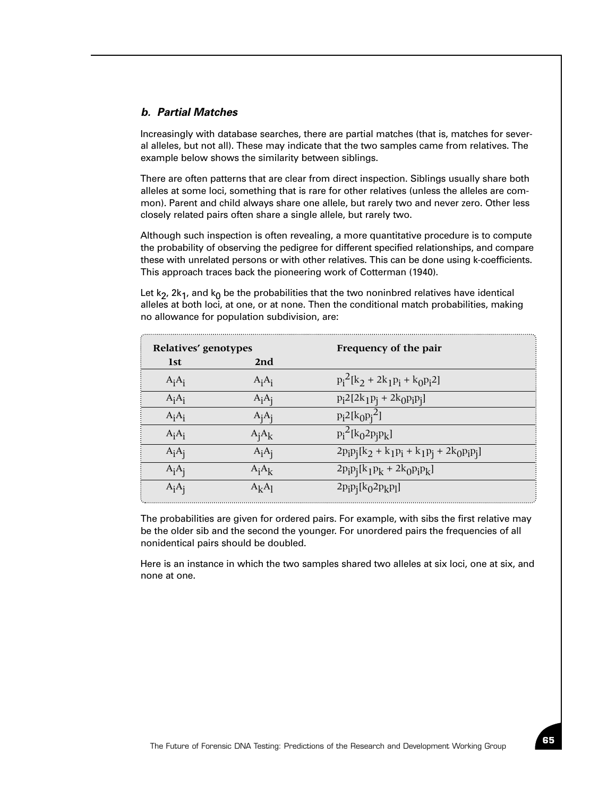### *b. Partial Matches*

Increasingly with database searches, there are partial matches (that is, matches for several alleles, but not all). These may indicate that the two samples came from relatives. The example below shows the similarity between siblings.

There are often patterns that are clear from direct inspection. Siblings usually share both alleles at some loci, something that is rare for other relatives (unless the alleles are common). Parent and child always share one allele, but rarely two and never zero. Other less closely related pairs often share a single allele, but rarely two.

Although such inspection is often revealing, a more quantitative procedure is to compute the probability of observing the pedigree for different specified relationships, and compare these with unrelated persons or with other relatives. This can be done using k-coefficients. This approach traces back the pioneering work of Cotterman (1940).

Let k<sub>2</sub>, 2k<sub>1</sub>, and k<sub>0</sub> be the probabilities that the two noninbred relatives have identical alleles at both loci, at one, or at none. Then the conditional match probabilities, making no allowance for population subdivision, are:

| Relatives' genotypes |          | Frequency of the pair                                             |
|----------------------|----------|-------------------------------------------------------------------|
| <b>lst</b>           | 2nd      |                                                                   |
| $A_iA_i$             | $A_iA_i$ | $p_i^2[k_2 + 2k_1p_i + k_0p_i2]$                                  |
| $A_iA_i$             | $A_iA_i$ | $p_i 2[2k_1p_j + 2k_0p_i p_j]$                                    |
| $A_iA_i$             | $A_iA_i$ | $p_i^2[k_0p_i^2]$                                                 |
| $A_iA_i$             | $A_iA_k$ | $p_i^2[k_02p_ip_k]$                                               |
| $A_iA_i$             | $A_iA_j$ | $2p_{i}p_{j}[k_{2} + k_{1}p_{i} + k_{1}p_{j} + 2k_{0}p_{i}p_{j}]$ |
| $A_iA_i$             | $A_iA_k$ | $2p_i p_j [k_1 p_k + 2k_0 p_i p_k]$                               |
| $A_iA_i$             | $A_kA_l$ | $2p_i p_j [k_0 2p_k p_l]$                                         |

The probabilities are given for ordered pairs. For example, with sibs the first relative may be the older sib and the second the younger. For unordered pairs the frequencies of all nonidentical pairs should be doubled.

Here is an instance in which the two samples shared two alleles at six loci, one at six, and none at one.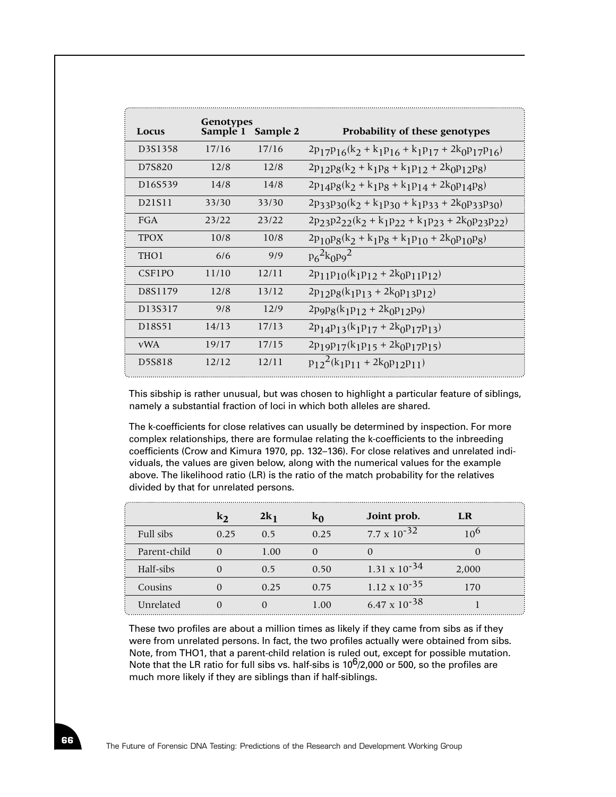| Locus                | Genotypes<br>Sample 1 | Sample 2 | Probability of these genotypes                                  |
|----------------------|-----------------------|----------|-----------------------------------------------------------------|
| D3S1358              | 17/16                 | 17/16    | $2p_{17}p_{16}(k_2 + k_1p_{16} + k_1p_{17} + 2k_0p_{17}p_{16})$ |
| D7S820               | 12/8                  | 12/8     | $2p_{12}p_8(k_2 + k_1p_8 + k_1p_{12} + 2k_0p_{12}p_8)$          |
| D <sub>16</sub> S539 | 14/8                  | 14/8     | $2p_{14}p_8(k_2 + k_1p_8 + k_1p_{14} + 2k_0p_{14}p_8)$          |
| D21S11               | 33/30                 | 33/30    | $2p_33p_30(k_2 + k_1p_30 + k_1p_33 + 2k_0p_33p_30)$             |
| FGA                  | 23/22                 | 23/22    | $2p_{23}p_{22}(k_2 + k_1p_{22} + k_1p_{23} + 2k_0p_{23}p_{22})$ |
| <b>TPOX</b>          | 10/8                  | 10/8     | $2p_{10}p_8(k_2 + k_1p_8 + k_1p_{10} + 2k_0p_{10}p_8)$          |
| THO <sub>1</sub>     | 6/6                   | 9/9      | $p_6^2k_0p_9^2$                                                 |
| <b>CSFIPO</b>        | 11/10                 | 12/11    | $2p_{11}p_{10}(k_1p_{12} + 2k_0p_{11}p_{12})$                   |
| D8S1179              | 12/8                  | 13/12    | $2p_{12}p_8(k_1p_{13} + 2k_0p_{13}p_{12})$                      |
| D13S317              | 9/8                   | 12/9     | $2p9p8(k_1p_{12} + 2k_0p_{12}p_9)$                              |
| D18S51               | 14/13                 | 17/13    | $2p_{14}p_{13}(k_1p_{17} + 2k_0p_{17}p_{13})$                   |
| <b>vWA</b>           | 19/17                 | 17/15    | $2p_1q_1q_1k_1p_15 + 2k_0p_1q_1s_1$                             |
| D5S818               | 12/12                 | 12/11    | $p_{12}^2(k_1p_{11} + 2k_0p_{12}p_{11})$                        |

This sibship is rather unusual, but was chosen to highlight a particular feature of siblings, namely a substantial fraction of loci in which both alleles are shared.

The k-coefficients for close relatives can usually be determined by inspection. For more complex relationships, there are formulae relating the k-coefficients to the inbreeding coefficients (Crow and Kimura 1970, pp. 132–136). For close relatives and unrelated individuals, the values are given below, along with the numerical values for the example above. The likelihood ratio (LR) is the ratio of the match probability for the relatives divided by that for unrelated persons.

|              | $k_2$ | $2k_1$ | $k_0$ | Joint prob.            | LR    |  |
|--------------|-------|--------|-------|------------------------|-------|--|
| Full sibs    | 0.25  | 0.5    | 0.25  | $7.7 \times 10^{-32}$  |       |  |
| Parent-child |       | 1.00   |       |                        |       |  |
| Half-sibs    |       | 0.5    | 0.50  | 1.31 x $10^{-34}$      | 2,000 |  |
| Cousins      |       | 0.25   | 0.75  | $1.12 \times 10^{-35}$ | 170   |  |
| Unrelated    |       |        | 1.00  | 6.47 x $10^{-38}$      |       |  |

These two profiles are about a million times as likely if they came from sibs as if they were from unrelated persons. In fact, the two profiles actually were obtained from sibs. Note, from THO1, that a parent-child relation is ruled out, except for possible mutation. Note that the LR ratio for full sibs vs. half-sibs is  $10^6/2,000$  or 500, so the profiles are much more likely if they are siblings than if half-siblings.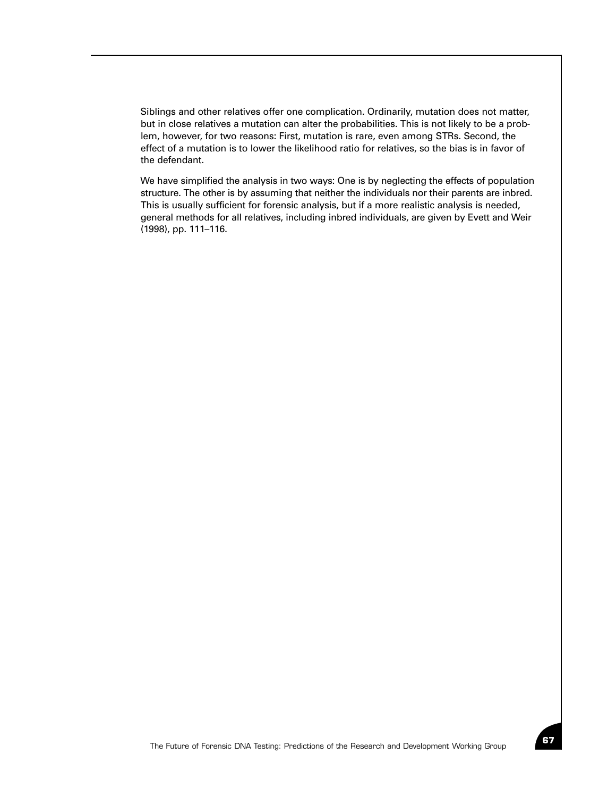Siblings and other relatives offer one complication. Ordinarily, mutation does not matter, but in close relatives a mutation can alter the probabilities. This is not likely to be a problem, however, for two reasons: First, mutation is rare, even among STRs. Second, the effect of a mutation is to lower the likelihood ratio for relatives, so the bias is in favor of the defendant.

We have simplified the analysis in two ways: One is by neglecting the effects of population structure. The other is by assuming that neither the individuals nor their parents are inbred. This is usually sufficient for forensic analysis, but if a more realistic analysis is needed, general methods for all relatives, including inbred individuals, are given by Evett and Weir (1998), pp. 111–116.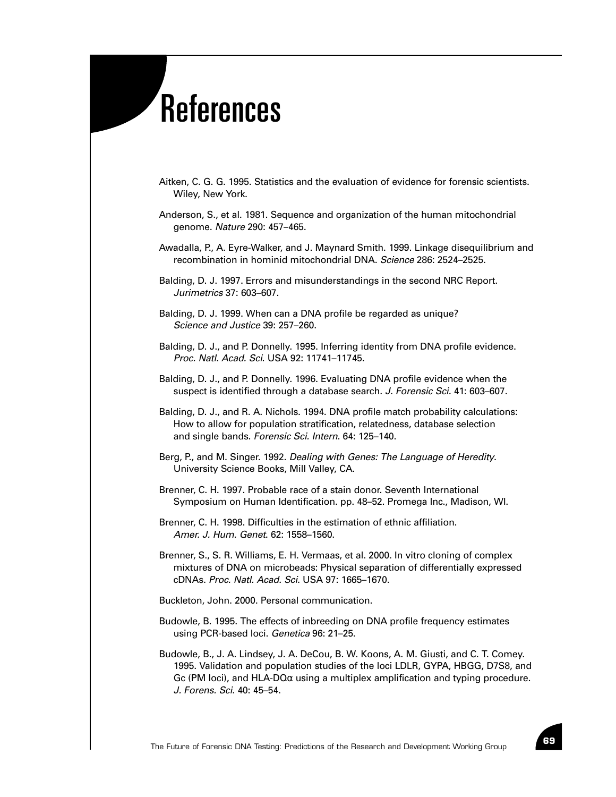## References

- Aitken, C. G. G. 1995. Statistics and the evaluation of evidence for forensic scientists. Wiley, New York.
- Anderson, S., et al. 1981. Sequence and organization of the human mitochondrial genome. *Nature* 290: 457–465.
- Awadalla, P., A. Eyre-Walker, and J. Maynard Smith. 1999. Linkage disequilibrium and recombination in hominid mitochondrial DNA. *Science* 286: 2524–2525.
- Balding, D. J. 1997. Errors and misunderstandings in the second NRC Report. *Jurimetrics* 37: 603–607.
- Balding, D. J. 1999. When can a DNA profile be regarded as unique? *Science and Justice* 39: 257–260.
- Balding, D. J., and P. Donnelly. 1995. Inferring identity from DNA profile evidence. *Proc. Natl. Acad. Sci*. USA 92: 11741–11745.
- Balding, D. J., and P. Donnelly. 1996. Evaluating DNA profile evidence when the suspect is identified through a database search. *J. Forensic Sci.* 41: 603–607.
- Balding, D. J., and R. A. Nichols. 1994. DNA profile match probability calculations: How to allow for population stratification, relatedness, database selection and single bands. *Forensic Sci. Intern*. 64: 125–140.
- Berg, P., and M. Singer. 1992. *Dealing with Genes: The Language of Heredity*. University Science Books, Mill Valley, CA.
- Brenner, C. H. 1997. Probable race of a stain donor. Seventh International Symposium on Human Identification. pp. 48–52. Promega Inc., Madison, WI.
- Brenner, C. H. 1998. Difficulties in the estimation of ethnic affiliation. *Amer. J. Hum. Genet*. 62: 1558–1560.
- Brenner, S., S. R. Williams, E. H. Vermaas, et al. 2000. In vitro cloning of complex mixtures of DNA on microbeads: Physical separation of differentially expressed cDNAs. *Proc. Natl. Acad. Sci*. USA 97: 1665–1670.
- Buckleton, John. 2000. Personal communication.
- Budowle, B. 1995. The effects of inbreeding on DNA profile frequency estimates using PCR-based loci. *Genetica* 96: 21–25.
- Budowle, B., J. A. Lindsey, J. A. DeCou, B. W. Koons, A. M. Giusti, and C. T. Comey. 1995. Validation and population studies of the loci LDLR, GYPA, HBGG, D7S8, and Gc (PM loci), and HLA-DQ $\alpha$  using a multiplex amplification and typing procedure. *J. Forens. Sci*. 40: 45–54.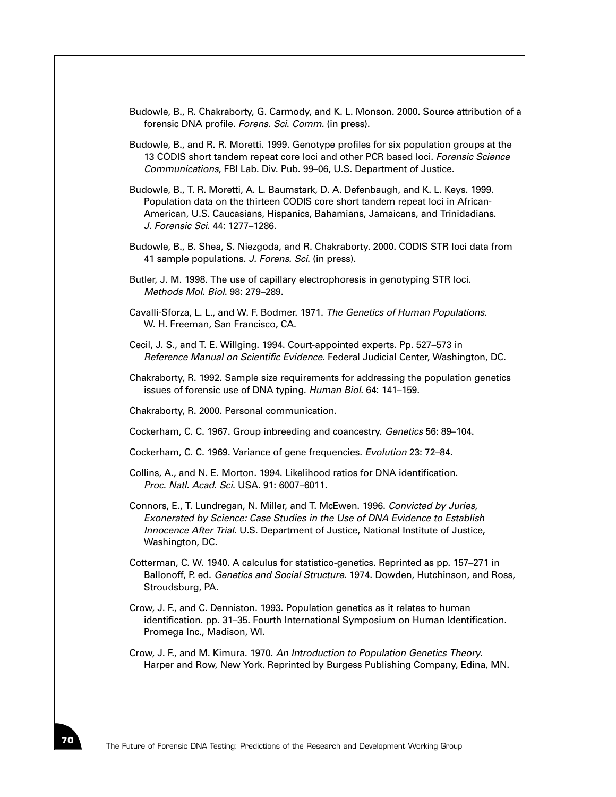- Budowle, B., R. Chakraborty, G. Carmody, and K. L. Monson. 2000. Source attribution of a forensic DNA profile. *Forens. Sci*. *Comm.* (in press).
- Budowle, B., and R. R. Moretti. 1999. Genotype profiles for six population groups at the 13 CODIS short tandem repeat core loci and other PCR based loci. *Forensic Science Communications*, FBI Lab. Div. Pub. 99–06, U.S. Department of Justice.
- Budowle, B., T. R. Moretti, A. L. Baumstark, D. A. Defenbaugh, and K. L. Keys. 1999. Population data on the thirteen CODIS core short tandem repeat loci in African-American, U.S. Caucasians, Hispanics, Bahamians, Jamaicans, and Trinidadians. *J. Forensic Sci*. 44: 1277–1286.
- Budowle, B., B. Shea, S. Niezgoda, and R. Chakraborty. 2000. CODIS STR loci data from 41 sample populations. *J. Forens. Sci*. (in press).
- Butler, J. M. 1998. The use of capillary electrophoresis in genotyping STR loci. *Methods Mol. Biol*. 98: 279–289.
- Cavalli-Sforza, L. L., and W. F. Bodmer. 1971. *The Genetics of Human Populations*. W. H. Freeman, San Francisco, CA.
- Cecil, J. S., and T. E. Willging. 1994. Court-appointed experts. Pp. 527–573 in *Reference Manual on Scientific Evidence*. Federal Judicial Center, Washington, DC.
- Chakraborty, R. 1992. Sample size requirements for addressing the population genetics issues of forensic use of DNA typing. *Human Biol*. 64: 141–159.
- Chakraborty, R. 2000. Personal communication.
- Cockerham, C. C. 1967. Group inbreeding and coancestry. *Genetics* 56: 89–104.
- Cockerham, C. C. 1969. Variance of gene frequencies. *Evolution* 23: 72–84.
- Collins, A., and N. E. Morton. 1994. Likelihood ratios for DNA identification. *Proc. Natl. Acad. Sci*. USA. 91: 6007–6011.
- Connors, E., T. Lundregan, N. Miller, and T. McEwen. 1996. *Convicted by Juries, Exonerated by Science: Case Studies in the Use of DNA Evidence to Establish Innocence After Trial*. U.S. Department of Justice, National Institute of Justice, Washington, DC.
- Cotterman, C. W. 1940. A calculus for statistico-genetics. Reprinted as pp. 157–271 in Ballonoff, P. ed. *Genetics and Social Structure*. 1974. Dowden, Hutchinson, and Ross, Stroudsburg, PA.
- Crow, J. F., and C. Denniston. 1993. Population genetics as it relates to human identification. pp. 31–35. Fourth International Symposium on Human Identification. Promega Inc., Madison, WI.
- Crow, J. F., and M. Kimura. 1970. *An Introduction to Population Genetics Theory*. Harper and Row, New York. Reprinted by Burgess Publishing Company, Edina, MN.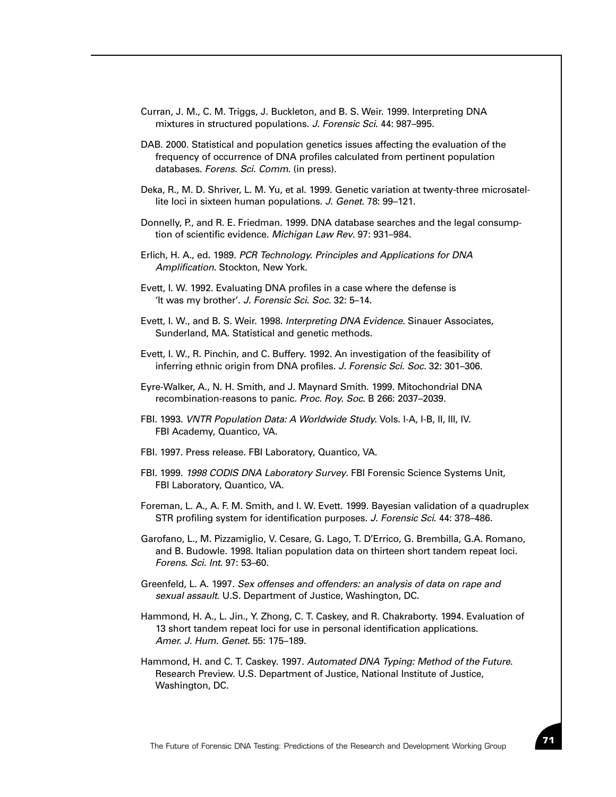- Curran, J. M., C. M. Triggs, J. Buckleton, and B. S. Weir. 1999. Interpreting DNA mixtures in structured populations. *J. Forensic Sci*. 44: 987–995.
- DAB. 2000. Statistical and population genetics issues affecting the evaluation of the frequency of occurrence of DNA profiles calculated from pertinent population databases. *Forens. Sci. Comm*. (in press).
- Deka, R., M. D. Shriver, L. M. Yu, et al. 1999. Genetic variation at twenty-three microsatellite loci in sixteen human populations. *J. Genet*. 78: 99–121.
- Donnelly, P., and R. E. Friedman. 1999. DNA database searches and the legal consumption of scientific evidence. *Michigan Law Rev*. 97: 931–984.
- Erlich, H. A., ed. 1989. *PCR Technology. Principles and Applications for DNA Amplification.* Stockton, New York.
- Evett, I. W. 1992. Evaluating DNA profiles in a case where the defense is 'It was my brother'. *J. Forensic Sci*. *Soc.* 32: 5–14.
- Evett, I. W., and B. S. Weir. 1998. *Interpreting DNA Evidence*. Sinauer Associates, Sunderland, MA. Statistical and genetic methods.
- Evett, I. W., R. Pinchin, and C. Buffery. 1992. An investigation of the feasibility of inferring ethnic origin from DNA profiles. *J. Forensic Sci*. *Soc.* 32: 301–306.
- Eyre-Walker, A., N. H. Smith, and J. Maynard Smith. 1999. Mitochondrial DNA recombination-reasons to panic. *Proc. Roy. Soc*. B 266: 2037–2039.
- FBI. 1993. *VNTR Population Data: A Worldwide Study.* Vols. I-A, I-B, II, III, IV. FBI Academy, Quantico, VA.
- FBI. 1997. Press release. FBI Laboratory, Quantico, VA.
- FBI. 1999. *1998 CODIS DNA Laboratory Survey*. FBI Forensic Science Systems Unit, FBI Laboratory, Quantico, VA.
- Foreman, L. A., A. F. M. Smith, and I. W. Evett. 1999. Bayesian validation of a quadruplex STR profiling system for identification purposes. *J. Forensic Sci*. 44: 378–486.
- Garofano, L., M. Pizzamiglio, V. Cesare, G. Lago, T. D'Errico, G. Brembilla, G.A. Romano, and B. Budowle. 1998. Italian population data on thirteen short tandem repeat loci. *Forens. Sci. Int*. 97: 53–60.
- Greenfeld, L. A. 1997. *Sex offenses and offenders: an analysis of data on rape and sexual assault*. U.S. Department of Justice, Washington, DC.
- Hammond, H. A., L. Jin., Y. Zhong, C. T. Caskey, and R. Chakraborty. 1994. Evaluation of 13 short tandem repeat loci for use in personal identification applications. *Amer. J. Hum. Genet*. 55: 175–189.
- Hammond, H. and C. T. Caskey. 1997. *Automated DNA Typing: Method of the Future*. Research Preview. U.S. Department of Justice, National Institute of Justice, Washington, DC.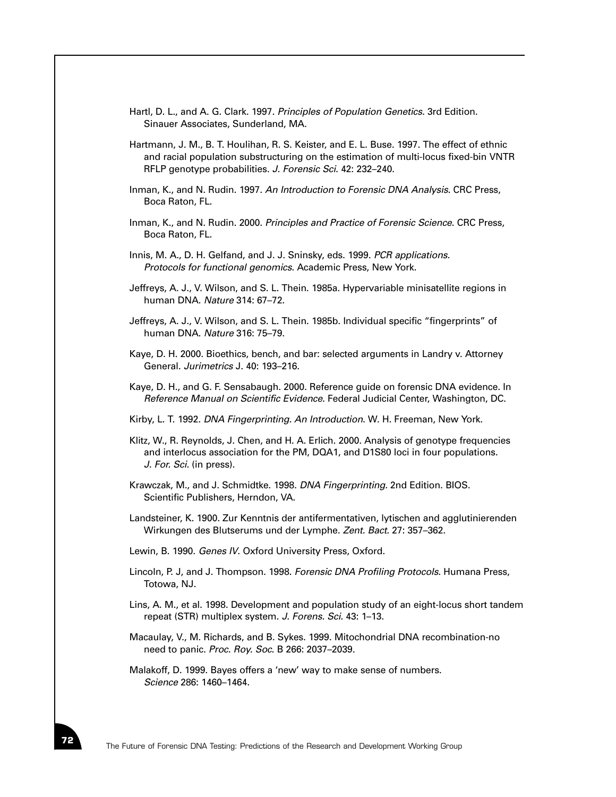- Hartl, D. L., and A. G. Clark. 1997. *Principles of Population Genetics.* 3rd Edition. Sinauer Associates, Sunderland, MA.
- Hartmann, J. M., B. T. Houlihan, R. S. Keister, and E. L. Buse. 1997. The effect of ethnic and racial population substructuring on the estimation of multi-locus fixed-bin VNTR RFLP genotype probabilities. *J. Forensic Sci*. 42: 232–240.
- Inman, K., and N. Rudin. 1997. *An Introduction to Forensic DNA Analysis*. CRC Press, Boca Raton, FL.
- Inman, K., and N. Rudin. 2000. *Principles and Practice of Forensic Science*. CRC Press, Boca Raton, FL.
- Innis, M. A., D. H. Gelfand, and J. J. Sninsky, eds. 1999. *PCR applications. Protocols for functional genomics*. Academic Press, New York.
- Jeffreys, A. J., V. Wilson, and S. L. Thein. 1985a. Hypervariable minisatellite regions in human DNA. *Nature* 314: 67–72.
- Jeffreys, A. J., V. Wilson, and S. L. Thein. 1985b. Individual specific "fingerprints" of human DNA. *Nature* 316: 75–79.
- Kaye, D. H. 2000. Bioethics, bench, and bar: selected arguments in Landry v. Attorney General. *Jurimetrics* J. 40: 193–216.
- Kaye, D. H., and G. F. Sensabaugh. 2000. Reference guide on forensic DNA evidence. In *Reference Manual on Scientific Evidence*. Federal Judicial Center, Washington, DC.
- Kirby, L. T. 1992. *DNA Fingerprinting. An Introduction*. W. H. Freeman, New York.
- Klitz, W., R. Reynolds, J. Chen, and H. A. Erlich. 2000. Analysis of genotype frequencies and interlocus association for the PM, DQA1, and D1S80 loci in four populations. *J. For. Sci.* (in press).
- Krawczak, M., and J. Schmidtke. 1998. *DNA Fingerprinting.* 2nd Edition. BIOS. Scientific Publishers, Herndon, VA.
- Landsteiner, K. 1900. Zur Kenntnis der antifermentativen, lytischen and agglutinierenden Wirkungen des Blutserums und der Lymphe. *Zent. Bact*. 27: 357–362.
- Lewin, B. 1990. *Genes IV*. Oxford University Press, Oxford.
- Lincoln, P. J, and J. Thompson. 1998. *Forensic DNA Profiling Protocols*. Humana Press, Totowa, NJ.
- Lins, A. M., et al. 1998. Development and population study of an eight-locus short tandem repeat (STR) multiplex system. *J. Forens. Sci*. 43: 1–13.
- Macaulay, V., M. Richards, and B. Sykes. 1999. Mitochondrial DNA recombination-no need to panic. *Proc. Roy. Soc*. B 266: 2037–2039.
- Malakoff, D. 1999. Bayes offers a 'new' way to make sense of numbers. *Science* 286: 1460–1464.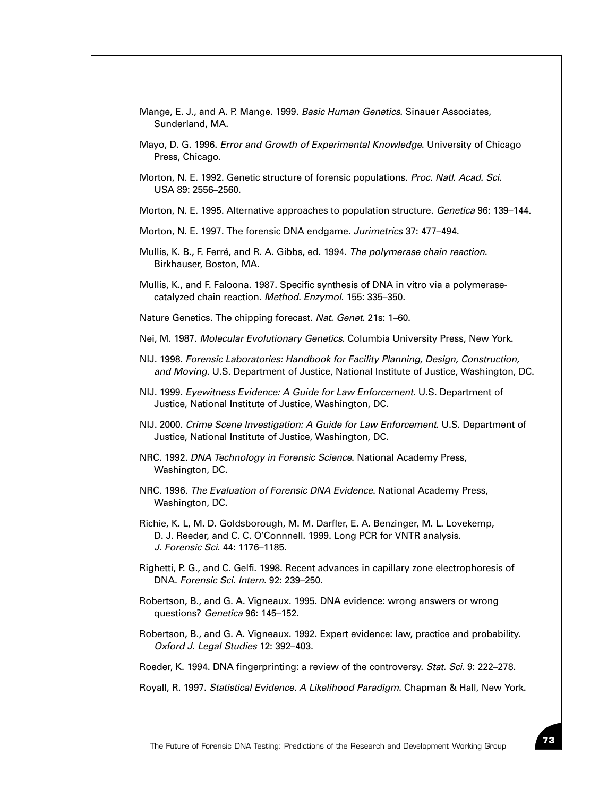- Mange, E. J., and A. P. Mange. 1999. *Basic Human Genetics*. Sinauer Associates, Sunderland, MA.
- Mayo, D. G. 1996. *Error and Growth of Experimental Knowledge*. University of Chicago Press, Chicago.
- Morton, N. E. 1992. Genetic structure of forensic populations. *Proc. Natl. Acad. Sci*. USA 89: 2556–2560.
- Morton, N. E. 1995. Alternative approaches to population structure. *Genetica* 96: 139–144.
- Morton, N. E. 1997. The forensic DNA endgame. *Jurimetrics* 37: 477–494.
- Mullis, K. B., F. Ferré, and R. A. Gibbs, ed. 1994. *The polymerase chain reaction*. Birkhauser, Boston, MA.
- Mullis, K., and F. Faloona. 1987. Specific synthesis of DNA in vitro via a polymerasecatalyzed chain reaction. *Method. Enzymol*. 155: 335–350.
- Nature Genetics. The chipping forecast. *Nat. Genet*. 21s: 1–60.
- Nei, M. 1987. *Molecular Evolutionary Genetics*. Columbia University Press, New York.
- NIJ. 1998. *Forensic Laboratories: Handbook for Facility Planning, Design, Construction, and Moving*. U.S. Department of Justice, National Institute of Justice, Washington, DC.
- NIJ. 1999. *Eyewitness Evidence: A Guide for Law Enforcement*. U.S. Department of Justice, National Institute of Justice, Washington, DC.
- NIJ. 2000. *Crime Scene Investigation: A Guide for Law Enforcement*. U.S. Department of Justice, National Institute of Justice, Washington, DC.
- NRC. 1992. *DNA Technology in Forensic Science*. National Academy Press, Washington, DC.
- NRC. 1996. *The Evaluation of Forensic DNA Evidence*. National Academy Press, Washington, DC.
- Richie, K. L, M. D. Goldsborough, M. M. Darfler, E. A. Benzinger, M. L. Lovekemp, D. J. Reeder, and C. C. O'Connnell. 1999. Long PCR for VNTR analysis. *J. Forensic Sci*. 44: 1176–1185.
- Righetti, P. G., and C. Gelfi. 1998. Recent advances in capillary zone electrophoresis of DNA. *Forensic Sci. Intern*. 92: 239–250.
- Robertson, B., and G. A. Vigneaux. 1995. DNA evidence: wrong answers or wrong questions? *Genetica* 96: 145–152.
- Robertson, B., and G. A. Vigneaux. 1992. Expert evidence: law, practice and probability. *Oxford J. Legal Studies* 12: 392–403.
- Roeder, K. 1994. DNA fingerprinting: a review of the controversy. *Stat. Sci*. 9: 222–278.
- Royall, R. 1997. *Statistical Evidence. A Likelihood Paradigm*. Chapman & Hall, New York.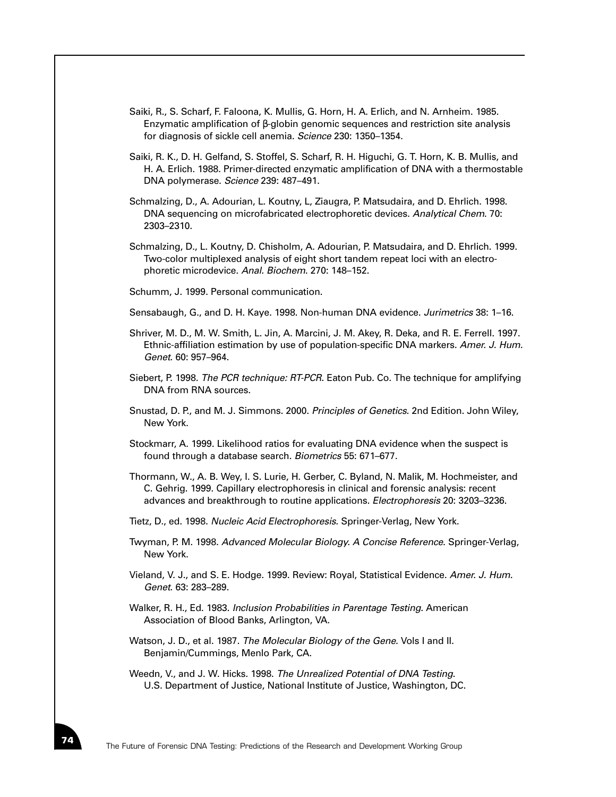- Saiki, R., S. Scharf, F. Faloona, K. Mullis, G. Horn, H. A. Erlich, and N. Arnheim. 1985. Enzymatic amplification of β-globin genomic sequences and restriction site analysis for diagnosis of sickle cell anemia. *Science* 230: 1350–1354.
- Saiki, R. K., D. H. Gelfand, S. Stoffel, S. Scharf, R. H. Higuchi, G. T. Horn, K. B. Mullis, and H. A. Erlich. 1988. Primer-directed enzymatic amplification of DNA with a thermostable DNA polymerase. *Science* 239: 487–491.
- Schmalzing, D., A. Adourian, L. Koutny, L, Ziaugra, P. Matsudaira, and D. Ehrlich. 1998. DNA sequencing on microfabricated electrophoretic devices. *Analytical Chem*. 70: 2303–2310.
- Schmalzing, D., L. Koutny, D. Chisholm, A. Adourian, P. Matsudaira, and D. Ehrlich. 1999. Two-color multiplexed analysis of eight short tandem repeat loci with an electrophoretic microdevice. *Anal. Biochem*. 270: 148–152.
- Schumm, J. 1999. Personal communication.
- Sensabaugh, G., and D. H. Kaye. 1998. Non-human DNA evidence. *Jurimetrics* 38: 1–16.
- Shriver, M. D., M. W. Smith, L. Jin, A. Marcini, J. M. Akey, R. Deka, and R. E. Ferrell. 1997. Ethnic-affiliation estimation by use of population-specific DNA markers. *Amer. J. Hum. Genet*. 60: 957–964.
- Siebert, P. 1998. *The PCR technique: RT-PCR*. Eaton Pub. Co. The technique for amplifying DNA from RNA sources.
- Snustad, D. P., and M. J. Simmons. 2000. *Principles of Genetics.* 2nd Edition. John Wiley, New York.
- Stockmarr, A. 1999. Likelihood ratios for evaluating DNA evidence when the suspect is found through a database search. *Biometrics* 55: 671–677.
- Thormann, W., A. B. Wey, I. S. Lurie, H. Gerber, C. Byland, N. Malik, M. Hochmeister, and C. Gehrig. 1999. Capillary electrophoresis in clinical and forensic analysis: recent advances and breakthrough to routine applications. *Electrophoresis* 20: 3203–3236.
- Tietz, D., ed. 1998. *Nucleic Acid Electrophoresis*. Springer-Verlag, New York.
- Twyman, P. M. 1998. *Advanced Molecular Biology. A Concise Reference*. Springer-Verlag, New York.
- Vieland, V. J., and S. E. Hodge. 1999. Review: Royal, Statistical Evidence. *Amer. J. Hum. Genet*. 63: 283–289.
- Walker, R. H., Ed. 1983. *Inclusion Probabilities in Parentage Testing*. American Association of Blood Banks, Arlington, VA.
- Watson, J. D., et al. 1987. *The Molecular Biology of the Gene.* Vols I and II. Benjamin/Cummings, Menlo Park, CA.

Weedn, V., and J. W. Hicks. 1998. *The Unrealized Potential of DNA Testing*. U.S. Department of Justice, National Institute of Justice, Washington, DC.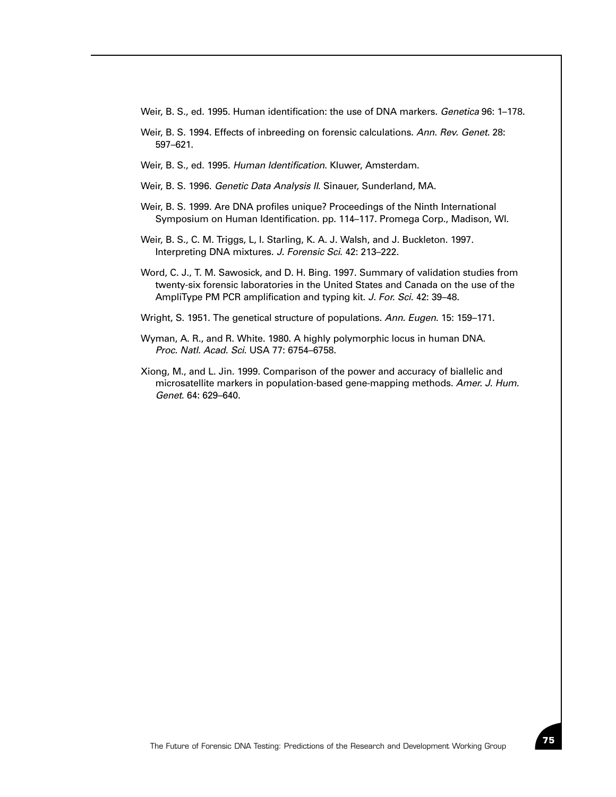Weir, B. S., ed. 1995. Human identification: the use of DNA markers. *Genetica* 96: 1–178.

- Weir, B. S. 1994. Effects of inbreeding on forensic calculations. *Ann. Rev. Genet*. 28: 597–621.
- Weir, B. S., ed. 1995. *Human Identification*. Kluwer, Amsterdam.
- Weir, B. S. 1996. *Genetic Data Analysis II*. Sinauer, Sunderland, MA.
- Weir, B. S. 1999. Are DNA profiles unique? Proceedings of the Ninth International Symposium on Human Identification. pp. 114–117. Promega Corp., Madison, WI.
- Weir, B. S., C. M. Triggs, L, I. Starling, K. A. J. Walsh, and J. Buckleton. 1997. Interpreting DNA mixtures. *J. Forensic Sci*. 42: 213–222.
- Word, C. J., T. M. Sawosick, and D. H. Bing. 1997. Summary of validation studies from twenty-six forensic laboratories in the United States and Canada on the use of the AmpliType PM PCR amplification and typing kit. *J. For. Sci*. 42: 39–48.
- Wright, S. 1951. The genetical structure of populations. *Ann. Eugen*. 15: 159–171.
- Wyman, A. R., and R. White. 1980. A highly polymorphic locus in human DNA. *Proc. Natl. Acad. Sci*. USA 77: 6754–6758.
- Xiong, M., and L. Jin. 1999. Comparison of the power and accuracy of biallelic and microsatellite markers in population-based gene-mapping methods. *Amer. J. Hum. Genet*. 64: 629–640.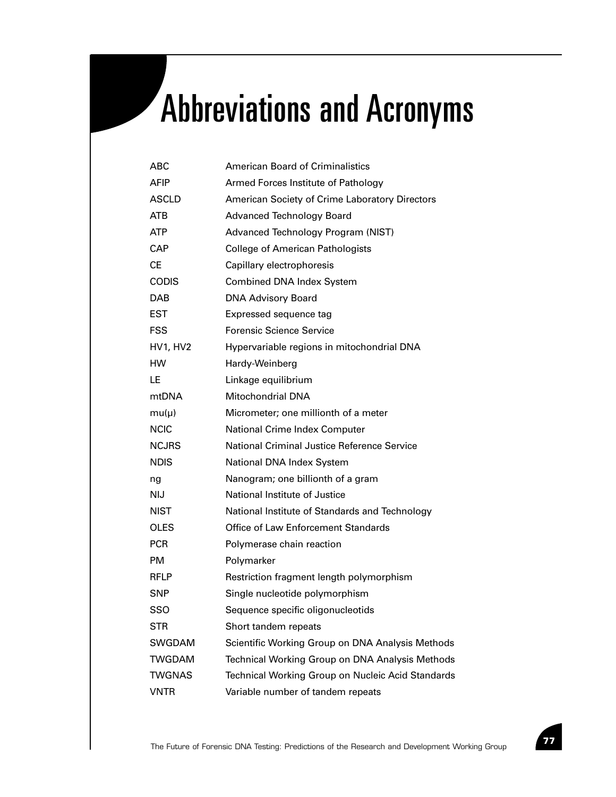# Abbreviations and Acronyms

| ABC           | American Board of Criminalistics                   |
|---------------|----------------------------------------------------|
| AFIP          | Armed Forces Institute of Pathology                |
| <b>ASCLD</b>  | American Society of Crime Laboratory Directors     |
| <b>ATB</b>    | <b>Advanced Technology Board</b>                   |
| ATP           | Advanced Technology Program (NIST)                 |
| CAP           | <b>College of American Pathologists</b>            |
| СE            | Capillary electrophoresis                          |
| <b>CODIS</b>  | <b>Combined DNA Index System</b>                   |
| DAB           | <b>DNA Advisory Board</b>                          |
| EST           | Expressed sequence tag                             |
| FSS           | <b>Forensic Science Service</b>                    |
| HV1, HV2      | Hypervariable regions in mitochondrial DNA         |
| <b>HW</b>     | Hardy-Weinberg                                     |
| LE            | Linkage equilibrium                                |
| mtDNA         | <b>Mitochondrial DNA</b>                           |
| $mu(\mu)$     | Micrometer; one millionth of a meter               |
| <b>NCIC</b>   | National Crime Index Computer                      |
| <b>NCJRS</b>  | <b>National Criminal Justice Reference Service</b> |
| <b>NDIS</b>   | National DNA Index System                          |
| ng            | Nanogram; one billionth of a gram                  |
| NIJ           | National Institute of Justice                      |
| <b>NIST</b>   | National Institute of Standards and Technology     |
| <b>OLES</b>   | <b>Office of Law Enforcement Standards</b>         |
| <b>PCR</b>    | Polymerase chain reaction                          |
| PM            | Polymarker                                         |
| <b>RFLP</b>   | Restriction fragment length polymorphism           |
| SNP           | Single nucleotide polymorphism                     |
| SSO           | Sequence specific oligonucleotids                  |
| <b>STR</b>    | Short tandem repeats                               |
| SWGDAM        | Scientific Working Group on DNA Analysis Methods   |
| <b>TWGDAM</b> | Technical Working Group on DNA Analysis Methods    |
| <b>TWGNAS</b> | Technical Working Group on Nucleic Acid Standards  |
| <b>VNTR</b>   | Variable number of tandem repeats                  |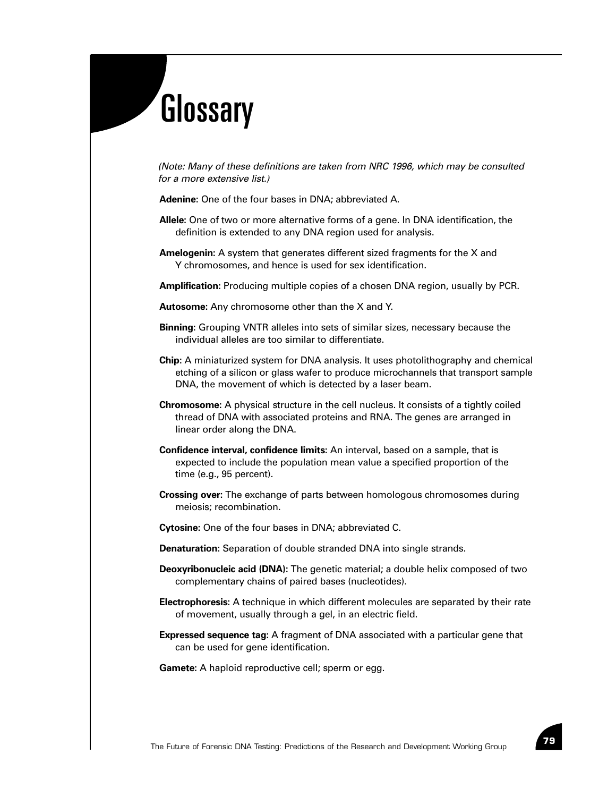# **Glossary**

*(Note: Many of these definitions are taken from NRC 1996, which may be consulted for a more extensive list.)*

**Adenine:** One of the four bases in DNA; abbreviated A.

- **Allele:** One of two or more alternative forms of a gene. In DNA identification, the definition is extended to any DNA region used for analysis.
- **Amelogenin:** A system that generates different sized fragments for the X and Y chromosomes, and hence is used for sex identification.

**Amplification:** Producing multiple copies of a chosen DNA region, usually by PCR.

**Autosome:** Any chromosome other than the X and Y.

- **Binning:** Grouping VNTR alleles into sets of similar sizes, necessary because the individual alleles are too similar to differentiate.
- **Chip:** A miniaturized system for DNA analysis. It uses photolithography and chemical etching of a silicon or glass wafer to produce microchannels that transport sample DNA, the movement of which is detected by a laser beam.
- **Chromosome:** A physical structure in the cell nucleus. It consists of a tightly coiled thread of DNA with associated proteins and RNA. The genes are arranged in linear order along the DNA.
- **Confidence interval, confidence limits:** An interval, based on a sample, that is expected to include the population mean value a specified proportion of the time (e.g., 95 percent).
- **Crossing over:** The exchange of parts between homologous chromosomes during meiosis; recombination.
- **Cytosine:** One of the four bases in DNA; abbreviated C.
- **Denaturation:** Separation of double stranded DNA into single strands.
- **Deoxyribonucleic acid (DNA):** The genetic material; a double helix composed of two complementary chains of paired bases (nucleotides).
- **Electrophoresis:** A technique in which different molecules are separated by their rate of movement, usually through a gel, in an electric field.
- **Expressed sequence tag:** A fragment of DNA associated with a particular gene that can be used for gene identification.
- **Gamete:** A haploid reproductive cell; sperm or egg.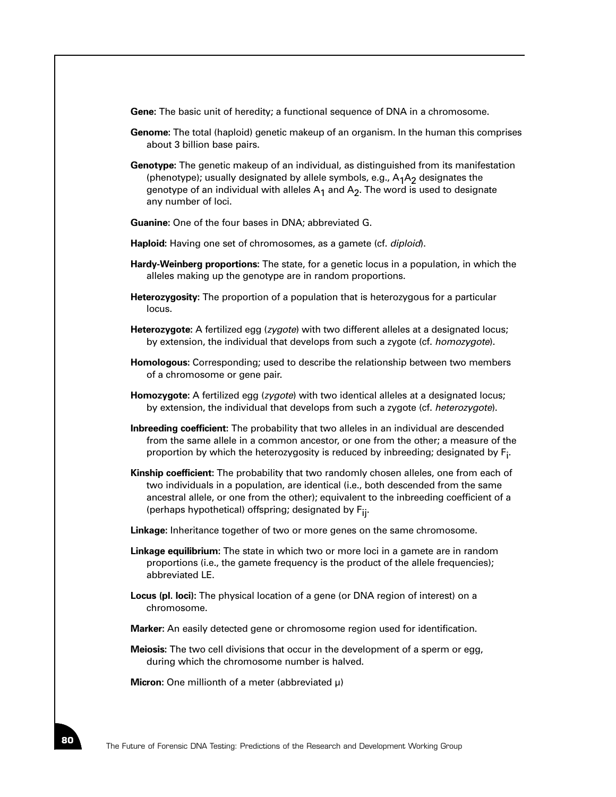**Gene:** The basic unit of heredity; a functional sequence of DNA in a chromosome.

- **Genome:** The total (haploid) genetic makeup of an organism. In the human this comprises about 3 billion base pairs.
- **Genotype:** The genetic makeup of an individual, as distinguished from its manifestation (phenotype); usually designated by allele symbols, e.g.,  $A_1A_2$  designates the genotype of an individual with alleles  $A_1$  and  $A_2$ . The word is used to designate any number of loci.
- **Guanine:** One of the four bases in DNA; abbreviated G.
- **Haploid:** Having one set of chromosomes, as a gamete (cf. *diploid*).
- **Hardy-Weinberg proportions:** The state, for a genetic locus in a population, in which the alleles making up the genotype are in random proportions.
- **Heterozygosity:** The proportion of a population that is heterozygous for a particular locus.
- **Heterozygote:** A fertilized egg (*zygote*) with two different alleles at a designated locus; by extension, the individual that develops from such a zygote (cf. *homozygote*).
- **Homologous:** Corresponding; used to describe the relationship between two members of a chromosome or gene pair.
- **Homozygote:** A fertilized egg (*zygote*) with two identical alleles at a designated locus; by extension, the individual that develops from such a zygote (cf. *heterozygote*).
- **Inbreeding coefficient:** The probability that two alleles in an individual are descended from the same allele in a common ancestor, or one from the other; a measure of the proportion by which the heterozygosity is reduced by inbreeding; designated by  $\mathsf{F}_{\mathsf{i}}.$
- **Kinship coefficient:** The probability that two randomly chosen alleles, one from each of two individuals in a population, are identical (i.e., both descended from the same ancestral allele, or one from the other); equivalent to the inbreeding coefficient of a (perhaps hypothetical) offspring; designated by Fij.
- **Linkage:** Inheritance together of two or more genes on the same chromosome.
- **Linkage equilibrium:** The state in which two or more loci in a gamete are in random proportions (i.e., the gamete frequency is the product of the allele frequencies); abbreviated LE.
- **Locus (pl. loci):** The physical location of a gene (or DNA region of interest) on a chromosome.
- **Marker:** An easily detected gene or chromosome region used for identification.
- **Meiosis:** The two cell divisions that occur in the development of a sperm or egg, during which the chromosome number is halved.

**Micron:** One millionth of a meter (abbreviated µ)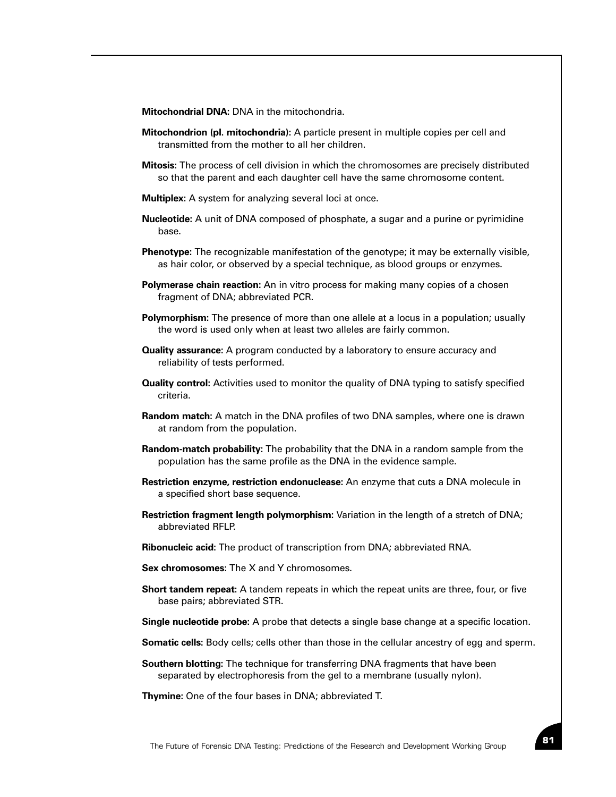**Mitochondrial DNA:** DNA in the mitochondria.

- **Mitochondrion (pl. mitochondria):** A particle present in multiple copies per cell and transmitted from the mother to all her children.
- **Mitosis:** The process of cell division in which the chromosomes are precisely distributed so that the parent and each daughter cell have the same chromosome content.
- **Multiplex:** A system for analyzing several loci at once.
- **Nucleotide:** A unit of DNA composed of phosphate, a sugar and a purine or pyrimidine base.
- **Phenotype:** The recognizable manifestation of the genotype; it may be externally visible, as hair color, or observed by a special technique, as blood groups or enzymes.
- **Polymerase chain reaction:** An in vitro process for making many copies of a chosen fragment of DNA; abbreviated PCR.
- **Polymorphism:** The presence of more than one allele at a locus in a population; usually the word is used only when at least two alleles are fairly common.
- **Quality assurance:** A program conducted by a laboratory to ensure accuracy and reliability of tests performed.
- **Quality control:** Activities used to monitor the quality of DNA typing to satisfy specified criteria.
- **Random match:** A match in the DNA profiles of two DNA samples, where one is drawn at random from the population.
- **Random-match probability:** The probability that the DNA in a random sample from the population has the same profile as the DNA in the evidence sample.
- **Restriction enzyme, restriction endonuclease:** An enzyme that cuts a DNA molecule in a specified short base sequence.
- **Restriction fragment length polymorphism:** Variation in the length of a stretch of DNA; abbreviated RFLP.
- **Ribonucleic acid:** The product of transcription from DNA; abbreviated RNA.
- **Sex chromosomes:** The X and Y chromosomes.
- **Short tandem repeat:** A tandem repeats in which the repeat units are three, four, or five base pairs; abbreviated STR.
- **Single nucleotide probe:** A probe that detects a single base change at a specific location.
- **Somatic cells:** Body cells; cells other than those in the cellular ancestry of egg and sperm.
- **Southern blotting:** The technique for transferring DNA fragments that have been separated by electrophoresis from the gel to a membrane (usually nylon).

**Thymine:** One of the four bases in DNA; abbreviated T.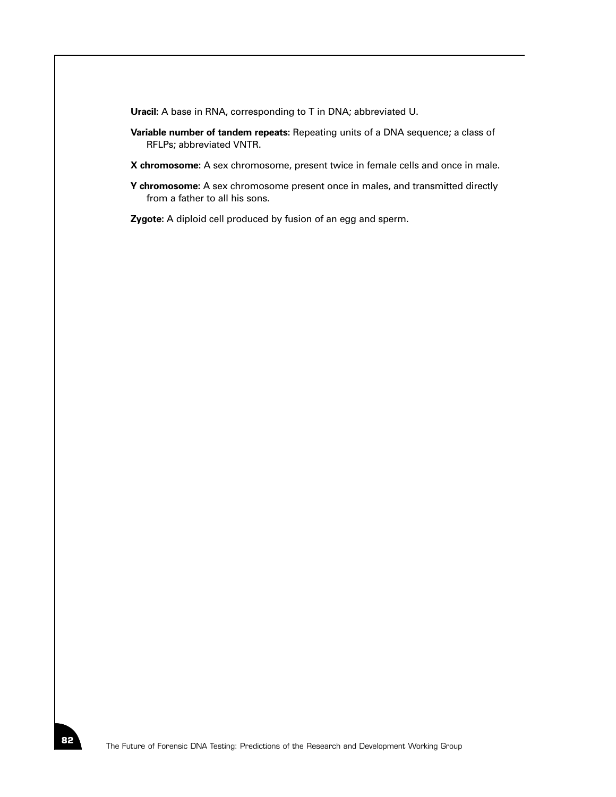**Uracil:** A base in RNA, corresponding to T in DNA; abbreviated U.

- **Variable number of tandem repeats:** Repeating units of a DNA sequence; a class of RFLPs; abbreviated VNTR.
- **X chromosome:** A sex chromosome, present twice in female cells and once in male.
- **Y chromosome:** A sex chromosome present once in males, and transmitted directly from a father to all his sons.

**Zygote:** A diploid cell produced by fusion of an egg and sperm.